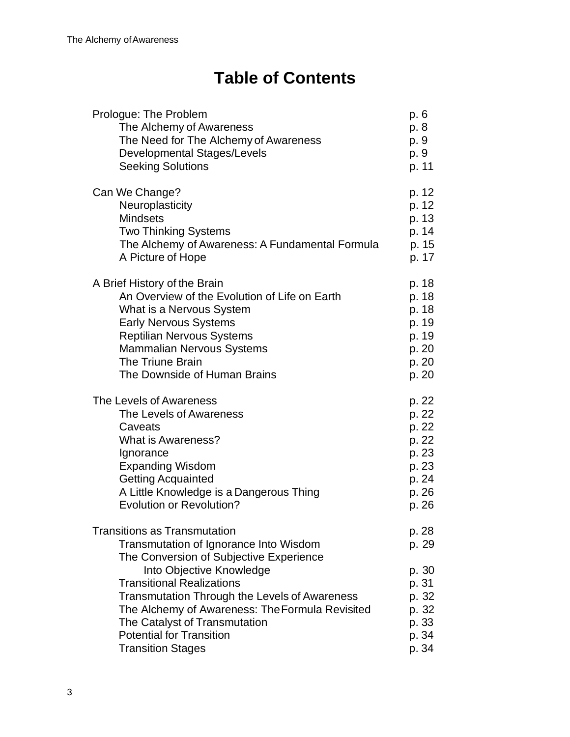# **Table of Contents**

| Prologue: The Problem                                                                                                                                                                                                                                                                                                                                                                               | p. 6                                                                          |
|-----------------------------------------------------------------------------------------------------------------------------------------------------------------------------------------------------------------------------------------------------------------------------------------------------------------------------------------------------------------------------------------------------|-------------------------------------------------------------------------------|
| The Alchemy of Awareness                                                                                                                                                                                                                                                                                                                                                                            | p. 8                                                                          |
| The Need for The Alchemy of Awareness                                                                                                                                                                                                                                                                                                                                                               | p. 9                                                                          |
| Developmental Stages/Levels                                                                                                                                                                                                                                                                                                                                                                         | p. 9                                                                          |
| <b>Seeking Solutions</b>                                                                                                                                                                                                                                                                                                                                                                            | p. 11                                                                         |
| Can We Change?                                                                                                                                                                                                                                                                                                                                                                                      | p. 12                                                                         |
| Neuroplasticity                                                                                                                                                                                                                                                                                                                                                                                     | p. 12                                                                         |
| <b>Mindsets</b>                                                                                                                                                                                                                                                                                                                                                                                     | p. 13                                                                         |
| <b>Two Thinking Systems</b>                                                                                                                                                                                                                                                                                                                                                                         | p. 14                                                                         |
| The Alchemy of Awareness: A Fundamental Formula                                                                                                                                                                                                                                                                                                                                                     | p. 15                                                                         |
| A Picture of Hope                                                                                                                                                                                                                                                                                                                                                                                   | p. 17                                                                         |
| A Brief History of the Brain                                                                                                                                                                                                                                                                                                                                                                        | p. 18                                                                         |
| An Overview of the Evolution of Life on Earth                                                                                                                                                                                                                                                                                                                                                       | p. 18                                                                         |
| What is a Nervous System                                                                                                                                                                                                                                                                                                                                                                            | p. 18                                                                         |
| <b>Early Nervous Systems</b>                                                                                                                                                                                                                                                                                                                                                                        | p. 19                                                                         |
| <b>Reptilian Nervous Systems</b>                                                                                                                                                                                                                                                                                                                                                                    | p. 19                                                                         |
| Mammalian Nervous Systems                                                                                                                                                                                                                                                                                                                                                                           | p. 20                                                                         |
| The Triune Brain                                                                                                                                                                                                                                                                                                                                                                                    | p. 20                                                                         |
| The Downside of Human Brains                                                                                                                                                                                                                                                                                                                                                                        | p. 20                                                                         |
| The Levels of Awareness                                                                                                                                                                                                                                                                                                                                                                             | p. 22                                                                         |
| The Levels of Awareness                                                                                                                                                                                                                                                                                                                                                                             | p. 22                                                                         |
| Caveats                                                                                                                                                                                                                                                                                                                                                                                             | p. 22                                                                         |
| What is Awareness?                                                                                                                                                                                                                                                                                                                                                                                  | p. 22                                                                         |
| Ignorance                                                                                                                                                                                                                                                                                                                                                                                           | p. 23                                                                         |
| <b>Expanding Wisdom</b>                                                                                                                                                                                                                                                                                                                                                                             | p. 23                                                                         |
| <b>Getting Acquainted</b>                                                                                                                                                                                                                                                                                                                                                                           | p. 24                                                                         |
| A Little Knowledge is a Dangerous Thing                                                                                                                                                                                                                                                                                                                                                             | p. 26                                                                         |
| <b>Evolution or Revolution?</b>                                                                                                                                                                                                                                                                                                                                                                     | p. 26                                                                         |
| <b>Transitions as Transmutation</b><br>Transmutation of Ignorance Into Wisdom<br>The Conversion of Subjective Experience<br>Into Objective Knowledge<br><b>Transitional Realizations</b><br><b>Transmutation Through the Levels of Awareness</b><br>The Alchemy of Awareness: The Formula Revisited<br>The Catalyst of Transmutation<br><b>Potential for Transition</b><br><b>Transition Stages</b> | p. 28<br>p. 29<br>p. 30<br>p. 31<br>p. 32<br>p. 32<br>p. 33<br>p. 34<br>p. 34 |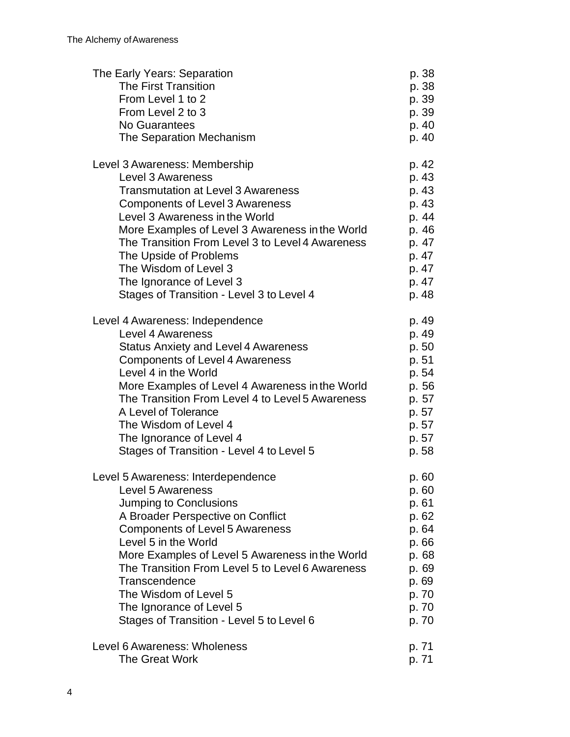| The Early Years: Separation                      | p. 38 |
|--------------------------------------------------|-------|
| The First Transition                             | p. 38 |
| From Level 1 to 2                                | p. 39 |
| From Level 2 to 3                                | p. 39 |
| No Guarantees                                    | p. 40 |
| The Separation Mechanism                         | p. 40 |
| Level 3 Awareness: Membership                    | p. 42 |
| Level 3 Awareness                                | p. 43 |
| <b>Transmutation at Level 3 Awareness</b>        | p. 43 |
| <b>Components of Level 3 Awareness</b>           | p. 43 |
| Level 3 Awareness in the World                   | p. 44 |
| More Examples of Level 3 Awareness in the World  | p. 46 |
| The Transition From Level 3 to Level 4 Awareness | p. 47 |
| The Upside of Problems                           | p. 47 |
| The Wisdom of Level 3                            | p. 47 |
| The Ignorance of Level 3                         | p. 47 |
| Stages of Transition - Level 3 to Level 4        | p. 48 |
| Level 4 Awareness: Independence                  | p. 49 |
| Level 4 Awareness                                | p. 49 |
| <b>Status Anxiety and Level 4 Awareness</b>      | p. 50 |
| <b>Components of Level 4 Awareness</b>           | p. 51 |
| Level 4 in the World                             | p. 54 |
| More Examples of Level 4 Awareness in the World  | p. 56 |
| The Transition From Level 4 to Level 5 Awareness | p. 57 |
| A Level of Tolerance                             | p. 57 |
| The Wisdom of Level 4                            | p. 57 |
| The Ignorance of Level 4                         | p. 57 |
| Stages of Transition - Level 4 to Level 5        | p. 58 |
| Level 5 Awareness: Interdependence               | p. 60 |
| Level 5 Awareness                                | p. 60 |
| Jumping to Conclusions                           | p. 61 |
| A Broader Perspective on Conflict                | p. 62 |
| <b>Components of Level 5 Awareness</b>           | p. 64 |
| Level 5 in the World                             | p. 66 |
| More Examples of Level 5 Awareness in the World  | p. 68 |
| The Transition From Level 5 to Level 6 Awareness | p. 69 |
| Transcendence                                    | p. 69 |
| The Wisdom of Level 5                            | p. 70 |
| The Ignorance of Level 5                         | p. 70 |
| Stages of Transition - Level 5 to Level 6        | p. 70 |
| Level 6 Awareness: Wholeness                     | p. 71 |
| <b>The Great Work</b>                            | p. 71 |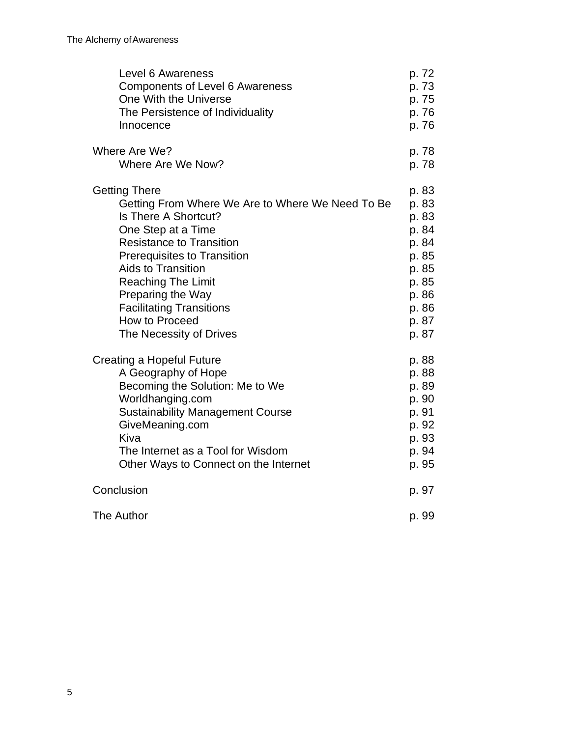| Level 6 Awareness                                | p. 72 |
|--------------------------------------------------|-------|
| <b>Components of Level 6 Awareness</b>           | p. 73 |
| One With the Universe                            | p. 75 |
| The Persistence of Individuality                 | p. 76 |
| Innocence                                        | p. 76 |
| Where Are We?                                    | p. 78 |
| Where Are We Now?                                | p. 78 |
| <b>Getting There</b>                             | p. 83 |
| Getting From Where We Are to Where We Need To Be | p. 83 |
| Is There A Shortcut?                             | p. 83 |
| One Step at a Time                               | p. 84 |
| <b>Resistance to Transition</b>                  | p. 84 |
| <b>Prerequisites to Transition</b>               | p. 85 |
| <b>Aids to Transition</b>                        | p. 85 |
| <b>Reaching The Limit</b>                        | p. 85 |
| Preparing the Way                                | p. 86 |
| <b>Facilitating Transitions</b>                  | p. 86 |
| How to Proceed                                   | p. 87 |
| The Necessity of Drives                          | p. 87 |
| Creating a Hopeful Future                        | p. 88 |
| A Geography of Hope                              | p. 88 |
| Becoming the Solution: Me to We                  | p. 89 |
| Worldhanging.com                                 | p. 90 |
| <b>Sustainability Management Course</b>          | p. 91 |
| GiveMeaning.com                                  | p. 92 |
| Kiva                                             | p. 93 |
| The Internet as a Tool for Wisdom                | p. 94 |
| Other Ways to Connect on the Internet            | p. 95 |
| Conclusion                                       | p. 97 |
| The Author                                       | p. 99 |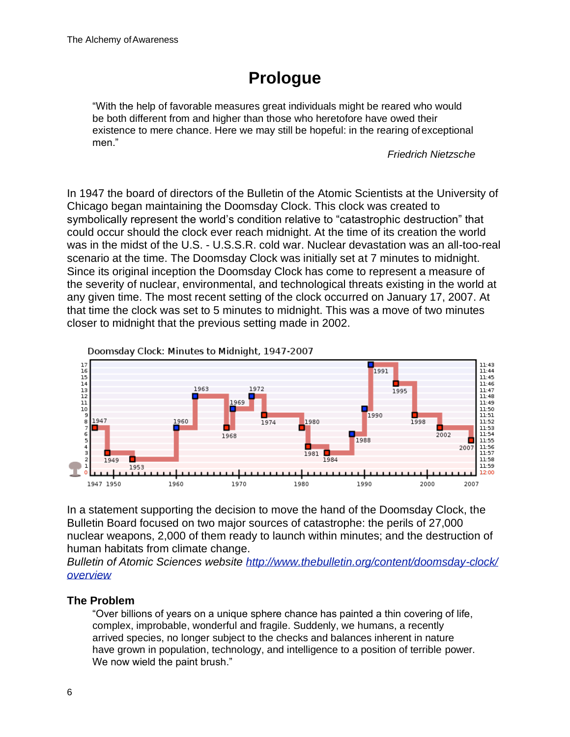# **Prologue**

"With the help of favorable measures great individuals might be reared who would be both different from and higher than those who heretofore have owed their existence to mere chance. Here we may still be hopeful: in the rearing ofexceptional men."

*Friedrich Nietzsche*

In 1947 the board of directors of the Bulletin of the Atomic Scientists at the University of Chicago began maintaining the Doomsday Clock. This clock was created to symbolically represent the world's condition relative to "catastrophic destruction" that could occur should the clock ever reach midnight. At the time of its creation the world was in the midst of the U.S. - U.S.S.R. cold war. Nuclear devastation was an all-too-real scenario at the time. The Doomsday Clock was initially set at 7 minutes to midnight. Since its original inception the Doomsday Clock has come to represent a measure of the severity of nuclear, environmental, and technological threats existing in the world at any given time. The most recent setting of the clock occurred on January 17, 2007. At that time the clock was set to 5 minutes to midnight. This was a move of two minutes closer to midnight that the previous setting made in 2002.



In a statement supporting the decision to move the hand of the Doomsday Clock, the Bulletin Board focused on two major sources of catastrophe: the perils of 27,000 nuclear weapons, 2,000 of them ready to launch within minutes; and the destruction of human habitats from climate change.

*Bulletin of Atomic Sciences website<http://www.thebulletin.org/content/doomsday-clock/> overview*

# **The Problem**

"Over billions of years on a unique sphere chance has painted a thin covering of life, complex, improbable, wonderful and fragile. Suddenly, we humans, a recently arrived species, no longer subject to the checks and balances inherent in nature have grown in population, technology, and intelligence to a position of terrible power. We now wield the paint brush."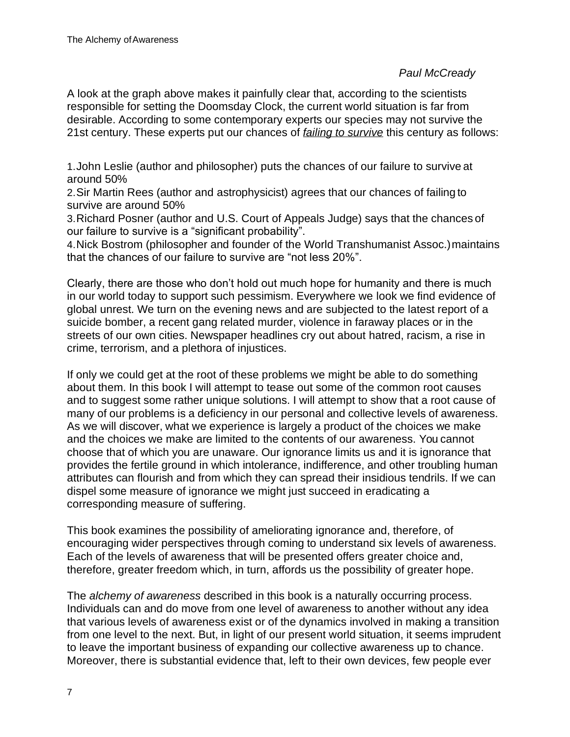#### *Paul McCready*

A look at the graph above makes it painfully clear that, according to the scientists responsible for setting the Doomsday Clock, the current world situation is far from desirable. According to some contemporary experts our species may not survive the 21st century. These experts put our chances of *failing to survive* this century as follows:

1.John Leslie (author and philosopher) puts the chances of our failure to survive at around 50%

2.Sir Martin Rees (author and astrophysicist) agrees that our chances of failing to survive are around 50%

3.Richard Posner (author and U.S. Court of Appeals Judge) says that the chances of our failure to survive is a "significant probability".

4.Nick Bostrom (philosopher and founder of the World Transhumanist Assoc.)maintains that the chances of our failure to survive are "not less 20%".

Clearly, there are those who don't hold out much hope for humanity and there is much in our world today to support such pessimism. Everywhere we look we find evidence of global unrest. We turn on the evening news and are subjected to the latest report of a suicide bomber, a recent gang related murder, violence in faraway places or in the streets of our own cities. Newspaper headlines cry out about hatred, racism, a rise in crime, terrorism, and a plethora of injustices.

If only we could get at the root of these problems we might be able to do something about them. In this book I will attempt to tease out some of the common root causes and to suggest some rather unique solutions. I will attempt to show that a root cause of many of our problems is a deficiency in our personal and collective levels of awareness. As we will discover, what we experience is largely a product of the choices we make and the choices we make are limited to the contents of our awareness. You cannot choose that of which you are unaware. Our ignorance limits us and it is ignorance that provides the fertile ground in which intolerance, indifference, and other troubling human attributes can flourish and from which they can spread their insidious tendrils. If we can dispel some measure of ignorance we might just succeed in eradicating a corresponding measure of suffering.

This book examines the possibility of ameliorating ignorance and, therefore, of encouraging wider perspectives through coming to understand six levels of awareness. Each of the levels of awareness that will be presented offers greater choice and, therefore, greater freedom which, in turn, affords us the possibility of greater hope.

The *alchemy of awareness* described in this book is a naturally occurring process. Individuals can and do move from one level of awareness to another without any idea that various levels of awareness exist or of the dynamics involved in making a transition from one level to the next. But, in light of our present world situation, it seems imprudent to leave the important business of expanding our collective awareness up to chance. Moreover, there is substantial evidence that, left to their own devices, few people ever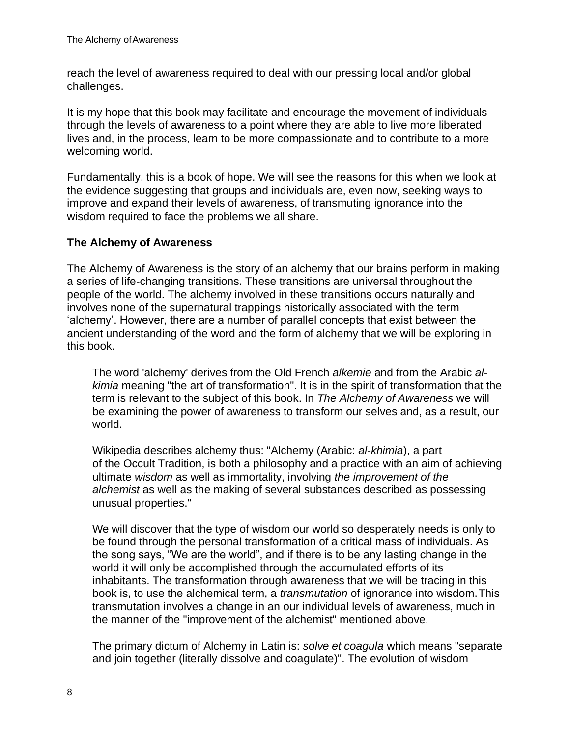reach the level of awareness required to deal with our pressing local and/or global challenges.

It is my hope that this book may facilitate and encourage the movement of individuals through the levels of awareness to a point where they are able to live more liberated lives and, in the process, learn to be more compassionate and to contribute to a more welcoming world.

Fundamentally, this is a book of hope. We will see the reasons for this when we look at the evidence suggesting that groups and individuals are, even now, seeking ways to improve and expand their levels of awareness, of transmuting ignorance into the wisdom required to face the problems we all share.

# **The Alchemy of Awareness**

The Alchemy of Awareness is the story of an alchemy that our brains perform in making a series of life-changing transitions. These transitions are universal throughout the people of the world. The alchemy involved in these transitions occurs naturally and involves none of the supernatural trappings historically associated with the term ʻalchemy'. However, there are a number of parallel concepts that exist between the ancient understanding of the word and the form of alchemy that we will be exploring in this book.

The word 'alchemy' derives from the Old French *alkemie* and from the Arabic *alkimia* meaning "the art of transformation". It is in the spirit of transformation that the term is relevant to the subject of this book. In *The Alchemy of Awareness* we will be examining the power of awareness to transform our selves and, as a result, our world.

Wikipedia describes alchemy thus: "Alchemy (Arabic: *al-khimia*), a part of the Occult Tradition, is both a philosophy and a practice with an aim of achieving ultimate *wisdom* as well as immortality, involving *the improvement of the alchemist* as well as the making of several substances described as possessing unusual properties."

We will discover that the type of wisdom our world so desperately needs is only to be found through the personal transformation of a critical mass of individuals. As the song says, "We are the world", and if there is to be any lasting change in the world it will only be accomplished through the accumulated efforts of its inhabitants. The transformation through awareness that we will be tracing in this book is, to use the alchemical term, a *transmutation* of ignorance into wisdom.This transmutation involves a change in an our individual levels of awareness, much in the manner of the "improvement of the alchemist" mentioned above.

The primary dictum of Alchemy in Latin is: *solve et coagula* which means "separate and join together (literally dissolve and coagulate)". The evolution of wisdom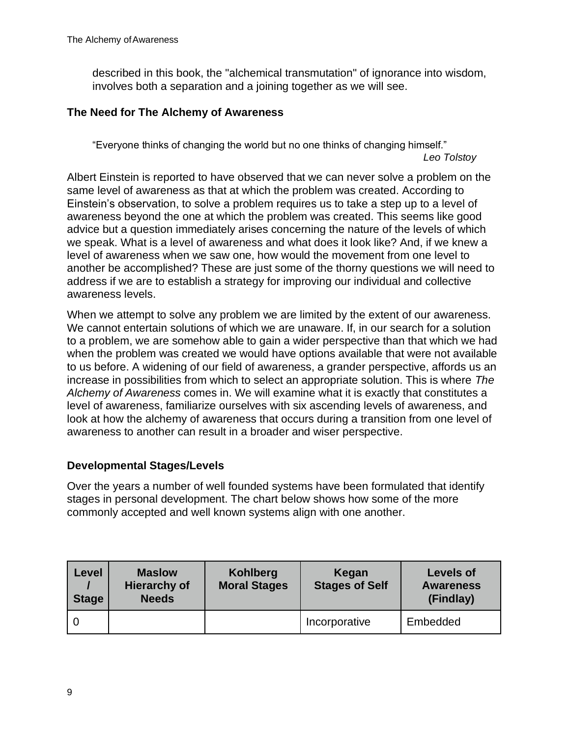described in this book, the "alchemical transmutation" of ignorance into wisdom, involves both a separation and a joining together as we will see.

#### **The Need for The Alchemy of Awareness**

"Everyone thinks of changing the world but no one thinks of changing himself." *Leo Tolstoy*

Albert Einstein is reported to have observed that we can never solve a problem on the same level of awareness as that at which the problem was created. According to Einstein's observation, to solve a problem requires us to take a step up to a level of awareness beyond the one at which the problem was created. This seems like good advice but a question immediately arises concerning the nature of the levels of which we speak. What is a level of awareness and what does it look like? And, if we knew a level of awareness when we saw one, how would the movement from one level to another be accomplished? These are just some of the thorny questions we will need to address if we are to establish a strategy for improving our individual and collective awareness levels.

When we attempt to solve any problem we are limited by the extent of our awareness. We cannot entertain solutions of which we are unaware. If, in our search for a solution to a problem, we are somehow able to gain a wider perspective than that which we had when the problem was created we would have options available that were not available to us before. A widening of our field of awareness, a grander perspective, affords us an increase in possibilities from which to select an appropriate solution. This is where *The Alchemy of Awareness* comes in. We will examine what it is exactly that constitutes a level of awareness, familiarize ourselves with six ascending levels of awareness, and look at how the alchemy of awareness that occurs during a transition from one level of awareness to another can result in a broader and wiser perspective.

# **Developmental Stages/Levels**

Over the years a number of well founded systems have been formulated that identify stages in personal development. The chart below shows how some of the more commonly accepted and well known systems align with one another.

| Level<br><b>Stage</b> | <b>Maslow</b><br><b>Hierarchy of</b><br><b>Needs</b> | Kohlberg<br><b>Moral Stages</b> | Kegan<br><b>Stages of Self</b> | <b>Levels of</b><br><b>Awareness</b><br>(Findlay) |
|-----------------------|------------------------------------------------------|---------------------------------|--------------------------------|---------------------------------------------------|
|                       |                                                      |                                 | Incorporative                  | Embedded                                          |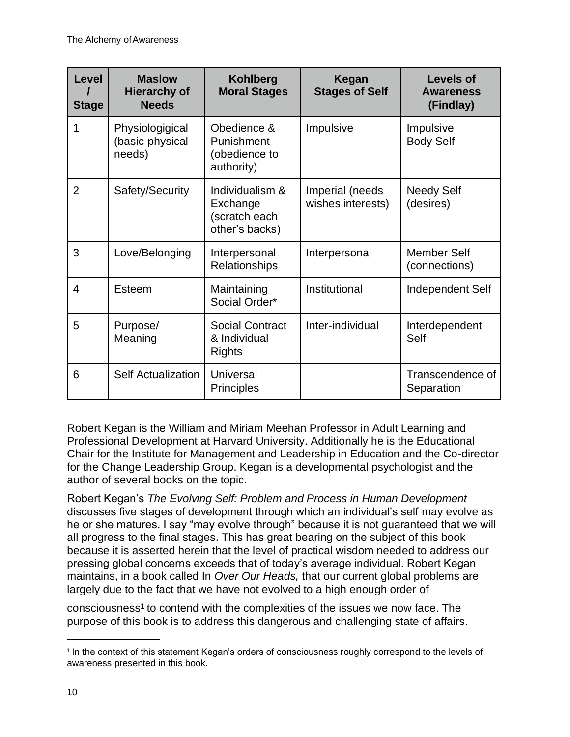| Level<br><b>Stage</b> | <b>Maslow</b><br><b>Hierarchy of</b><br><b>Needs</b> | <b>Kohlberg</b><br><b>Moral Stages</b>                         | Kegan<br><b>Stages of Self</b>       | <b>Levels of</b><br><b>Awareness</b><br>(Findlay) |
|-----------------------|------------------------------------------------------|----------------------------------------------------------------|--------------------------------------|---------------------------------------------------|
| 1                     | Physiologigical<br>(basic physical<br>needs)         | Obedience &<br>Punishment<br>(obedience to<br>authority)       | Impulsive                            | Impulsive<br><b>Body Self</b>                     |
| $\overline{2}$        | Safety/Security                                      | Individualism &<br>Exchange<br>(scratch each<br>other's backs) | Imperial (needs<br>wishes interests) | <b>Needy Self</b><br>(desires)                    |
| 3                     | Love/Belonging                                       | Interpersonal<br>Relationships                                 | Interpersonal                        | <b>Member Self</b><br>(connections)               |
| $\overline{4}$        | Esteem                                               | Maintaining<br>Social Order*                                   | Institutional                        | Independent Self                                  |
| 5                     | Purpose/<br>Meaning                                  | <b>Social Contract</b><br>& Individual<br>Rights               | Inter-individual                     | Interdependent<br>Self                            |
| 6                     | <b>Self Actualization</b>                            | Universal<br><b>Principles</b>                                 |                                      | Transcendence of<br>Separation                    |

Robert Kegan is the William and Miriam Meehan Professor in Adult Learning and Professional Development at Harvard University. Additionally he is the Educational Chair for the Institute for Management and Leadership in Education and the Co-director for the Change Leadership Group. Kegan is a developmental psychologist and the author of several books on the topic.

Robert Kegan's *The Evolving Self: Problem and Process in Human Development*  discusses five stages of development through which an individual's self may evolve as he or she matures. I say "may evolve through" because it is not guaranteed that we will all progress to the final stages. This has great bearing on the subject of this book because it is asserted herein that the level of practical wisdom needed to address our pressing global concerns exceeds that of today's average individual. Robert Kegan maintains, in a book called In *Over Our Heads,* that our current global problems are largely due to the fact that we have not evolved to a high enough order of

consciousness[1](#page-7-0) to contend with the complexities of the issues we now face. The purpose of this book is to address this dangerous and challenging state of affairs.

<span id="page-7-0"></span><sup>1</sup>In the context of this statement Kegan's orders of consciousness roughly correspond to the levels of awareness presented in this book.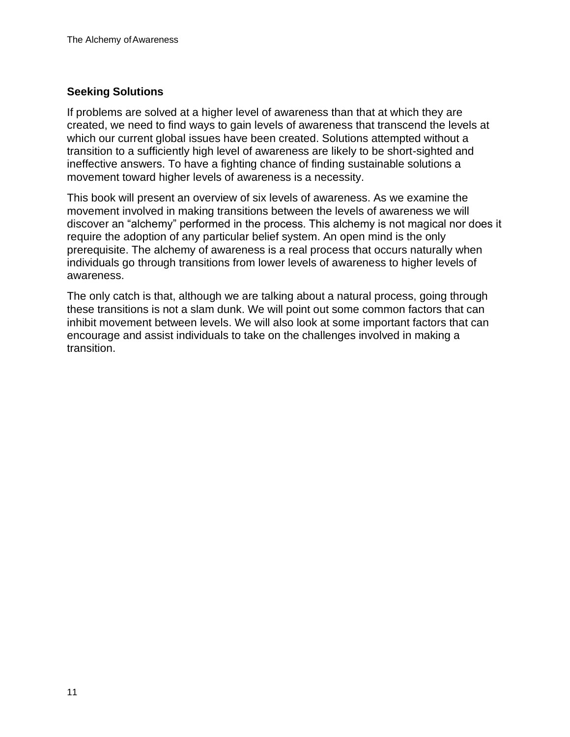# **Seeking Solutions**

If problems are solved at a higher level of awareness than that at which they are created, we need to find ways to gain levels of awareness that transcend the levels at which our current global issues have been created. Solutions attempted without a transition to a sufficiently high level of awareness are likely to be short-sighted and ineffective answers. To have a fighting chance of finding sustainable solutions a movement toward higher levels of awareness is a necessity.

This book will present an overview of six levels of awareness. As we examine the movement involved in making transitions between the levels of awareness we will discover an "alchemy" performed in the process. This alchemy is not magical nor does it require the adoption of any particular belief system. An open mind is the only prerequisite. The alchemy of awareness is a real process that occurs naturally when individuals go through transitions from lower levels of awareness to higher levels of awareness.

The only catch is that, although we are talking about a natural process, going through these transitions is not a slam dunk. We will point out some common factors that can inhibit movement between levels. We will also look at some important factors that can encourage and assist individuals to take on the challenges involved in making a transition.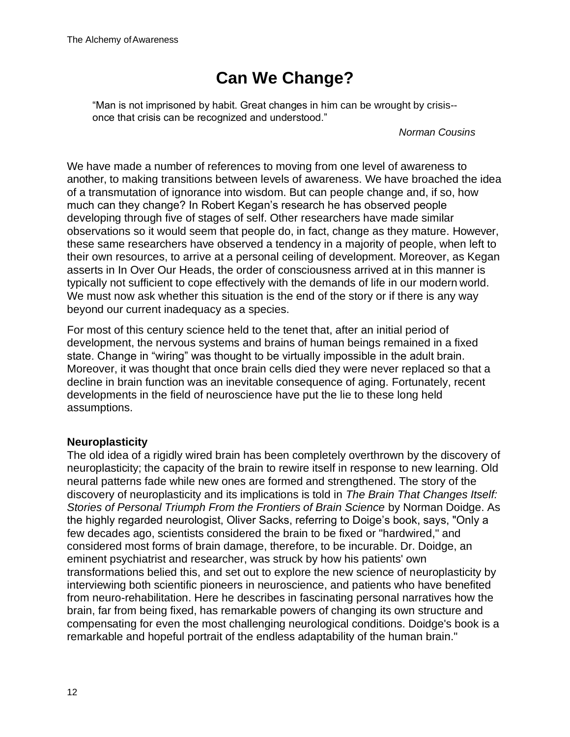# **Can We Change?**

"Man is not imprisoned by habit. Great changes in him can be wrought by crisis- once that crisis can be recognized and understood."

*Norman Cousins*

We have made a number of references to moving from one level of awareness to another, to making transitions between levels of awareness. We have broached the idea of a transmutation of ignorance into wisdom. But can people change and, if so, how much can they change? In Robert Kegan's research he has observed people developing through five of stages of self. Other researchers have made similar observations so it would seem that people do, in fact, change as they mature. However, these same researchers have observed a tendency in a majority of people, when left to their own resources, to arrive at a personal ceiling of development. Moreover, as Kegan asserts in In Over Our Heads, the order of consciousness arrived at in this manner is typically not sufficient to cope effectively with the demands of life in our modern world. We must now ask whether this situation is the end of the story or if there is any way beyond our current inadequacy as a species.

For most of this century science held to the tenet that, after an initial period of development, the nervous systems and brains of human beings remained in a fixed state. Change in "wiring" was thought to be virtually impossible in the adult brain. Moreover, it was thought that once brain cells died they were never replaced so that a decline in brain function was an inevitable consequence of aging. Fortunately, recent developments in the field of neuroscience have put the lie to these long held assumptions.

# **Neuroplasticity**

The old idea of a rigidly wired brain has been completely overthrown by the discovery of neuroplasticity; the capacity of the brain to rewire itself in response to new learning. Old neural patterns fade while new ones are formed and strengthened. The story of the discovery of neuroplasticity and its implications is told in *The Brain That Changes Itself: Stories of Personal Triumph From the Frontiers of Brain Science* by Norman Doidge. As the highly regarded neurologist, Oliver Sacks, referring to Doige's book, says, "Only a few decades ago, scientists considered the brain to be fixed or "hardwired," and considered most forms of brain damage, therefore, to be incurable. Dr. Doidge, an eminent psychiatrist and researcher, was struck by how his patients' own transformations belied this, and set out to explore the new science of neuroplasticity by interviewing both scientific pioneers in neuroscience, and patients who have benefited from neuro-rehabilitation. Here he describes in fascinating personal narratives how the brain, far from being fixed, has remarkable powers of changing its own structure and compensating for even the most challenging neurological conditions. Doidge's book is a remarkable and hopeful portrait of the endless adaptability of the human brain."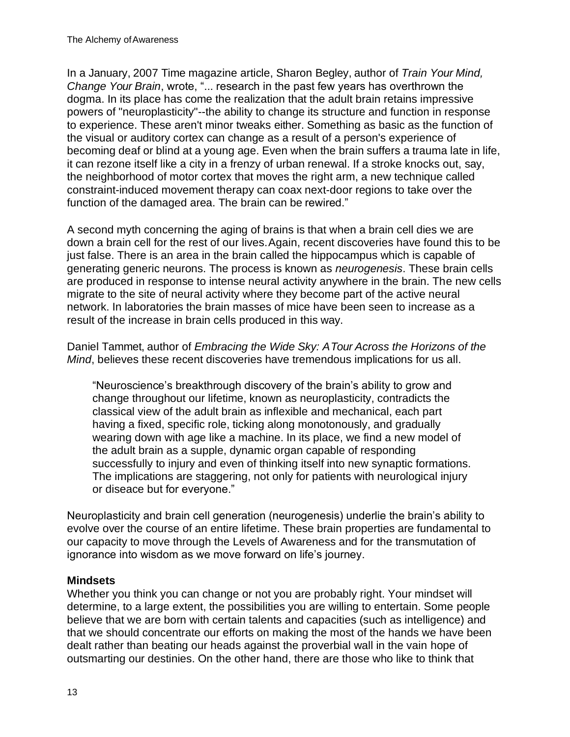In a January, 2007 Time magazine article, Sharon Begley, author of *Train Your Mind, Change Your Brain*, wrote, "... research in the past few years has overthrown the dogma. In its place has come the realization that the adult brain retains impressive powers of "neuroplasticity"--the ability to change its structure and function in response to experience. These aren't minor tweaks either. Something as basic as the function of the visual or auditory cortex can change as a result of a person's experience of becoming deaf or blind at a young age. Even when the brain suffers a trauma late in life, it can rezone itself like a city in a frenzy of urban renewal. If a stroke knocks out, say, the neighborhood of motor cortex that moves the right arm, a new technique called constraint-induced movement therapy can coax next-door regions to take over the function of the damaged area. The brain can be rewired."

A second myth concerning the aging of brains is that when a brain cell dies we are down a brain cell for the rest of our lives.Again, recent discoveries have found this to be just false. There is an area in the brain called the hippocampus which is capable of generating generic neurons. The process is known as *neurogenesis*. These brain cells are produced in response to intense neural activity anywhere in the brain. The new cells migrate to the site of neural activity where they become part of the active neural network. In laboratories the brain masses of mice have been seen to increase as a result of the increase in brain cells produced in this way.

Daniel Tammet, author of *Embracing the Wide Sky: ATour Across the Horizons of the Mind*, believes these recent discoveries have tremendous implications for us all.

"Neuroscience's breakthrough discovery of the brain's ability to grow and change throughout our lifetime, known as neuroplasticity, contradicts the classical view of the adult brain as inflexible and mechanical, each part having a fixed, specific role, ticking along monotonously, and gradually wearing down with age like a machine. In its place, we find a new model of the adult brain as a supple, dynamic organ capable of responding successfully to injury and even of thinking itself into new synaptic formations. The implications are staggering, not only for patients with neurological injury or diseace but for everyone."

Neuroplasticity and brain cell generation (neurogenesis) underlie the brain's ability to evolve over the course of an entire lifetime. These brain properties are fundamental to our capacity to move through the Levels of Awareness and for the transmutation of ignorance into wisdom as we move forward on life's journey.

#### **Mindsets**

Whether you think you can change or not you are probably right. Your mindset will determine, to a large extent, the possibilities you are willing to entertain. Some people believe that we are born with certain talents and capacities (such as intelligence) and that we should concentrate our efforts on making the most of the hands we have been dealt rather than beating our heads against the proverbial wall in the vain hope of outsmarting our destinies. On the other hand, there are those who like to think that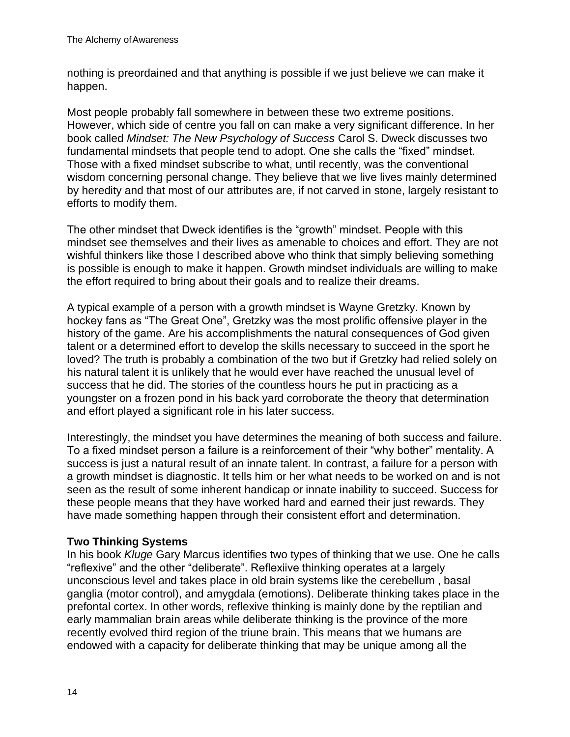nothing is preordained and that anything is possible if we just believe we can make it happen.

Most people probably fall somewhere in between these two extreme positions. However, which side of centre you fall on can make a very significant difference. In her book called *Mindset: The New Psychology of Success* Carol S. Dweck discusses two fundamental mindsets that people tend to adopt. One she calls the "fixed" mindset. Those with a fixed mindset subscribe to what, until recently, was the conventional wisdom concerning personal change. They believe that we live lives mainly determined by heredity and that most of our attributes are, if not carved in stone, largely resistant to efforts to modify them.

The other mindset that Dweck identifies is the "growth" mindset. People with this mindset see themselves and their lives as amenable to choices and effort. They are not wishful thinkers like those I described above who think that simply believing something is possible is enough to make it happen. Growth mindset individuals are willing to make the effort required to bring about their goals and to realize their dreams.

A typical example of a person with a growth mindset is Wayne Gretzky. Known by hockey fans as "The Great One", Gretzky was the most prolific offensive player in the history of the game. Are his accomplishments the natural consequences of God given talent or a determined effort to develop the skills necessary to succeed in the sport he loved? The truth is probably a combination of the two but if Gretzky had relied solely on his natural talent it is unlikely that he would ever have reached the unusual level of success that he did. The stories of the countless hours he put in practicing as a youngster on a frozen pond in his back yard corroborate the theory that determination and effort played a significant role in his later success.

Interestingly, the mindset you have determines the meaning of both success and failure. To a fixed mindset person a failure is a reinforcement of their "why bother" mentality. A success is just a natural result of an innate talent. In contrast, a failure for a person with a growth mindset is diagnostic. It tells him or her what needs to be worked on and is not seen as the result of some inherent handicap or innate inability to succeed. Success for these people means that they have worked hard and earned their just rewards. They have made something happen through their consistent effort and determination.

# **Two Thinking Systems**

In his book *Kluge* Gary Marcus identifies two types of thinking that we use. One he calls "reflexive" and the other "deliberate". Reflexiive thinking operates at a largely unconscious level and takes place in old brain systems like the cerebellum , basal ganglia (motor control), and amygdala (emotions). Deliberate thinking takes place in the prefontal cortex. In other words, reflexive thinking is mainly done by the reptilian and early mammalian brain areas while deliberate thinking is the province of the more recently evolved third region of the triune brain. This means that we humans are endowed with a capacity for deliberate thinking that may be unique among all the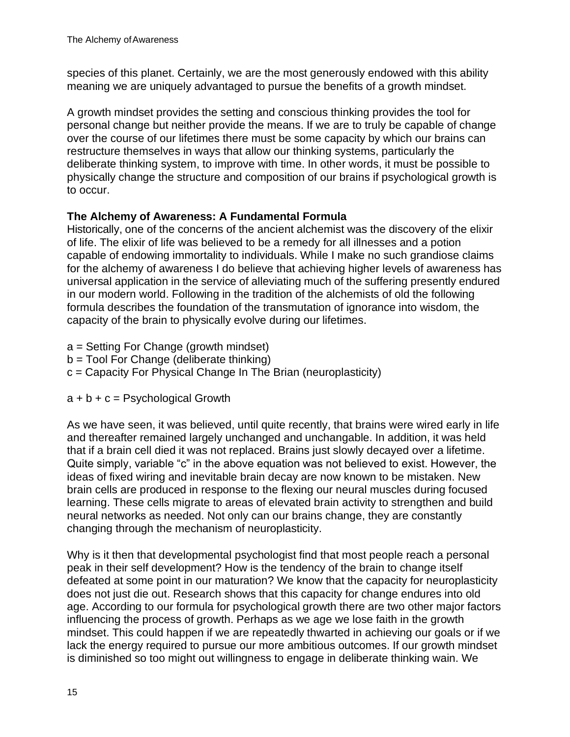species of this planet. Certainly, we are the most generously endowed with this ability meaning we are uniquely advantaged to pursue the benefits of a growth mindset.

A growth mindset provides the setting and conscious thinking provides the tool for personal change but neither provide the means. If we are to truly be capable of change over the course of our lifetimes there must be some capacity by which our brains can restructure themselves in ways that allow our thinking systems, particularly the deliberate thinking system, to improve with time. In other words, it must be possible to physically change the structure and composition of our brains if psychological growth is to occur.

# **The Alchemy of Awareness: A Fundamental Formula**

Historically, one of the concerns of the ancient alchemist was the discovery of the elixir of life. The elixir of life was believed to be a remedy for all illnesses and a potion capable of endowing immortality to individuals. While I make no such grandiose claims for the alchemy of awareness I do believe that achieving higher levels of awareness has universal application in the service of alleviating much of the suffering presently endured in our modern world. Following in the tradition of the alchemists of old the following formula describes the foundation of the transmutation of ignorance into wisdom, the capacity of the brain to physically evolve during our lifetimes.

- a = Setting For Change (growth mindset)
- b = Tool For Change (deliberate thinking)
- c = Capacity For Physical Change In The Brian (neuroplasticity)
- $a + b + c =$  Psychological Growth

As we have seen, it was believed, until quite recently, that brains were wired early in life and thereafter remained largely unchanged and unchangable. In addition, it was held that if a brain cell died it was not replaced. Brains just slowly decayed over a lifetime. Quite simply, variable "c" in the above equation was not believed to exist. However, the ideas of fixed wiring and inevitable brain decay are now known to be mistaken. New brain cells are produced in response to the flexing our neural muscles during focused learning. These cells migrate to areas of elevated brain activity to strengthen and build neural networks as needed. Not only can our brains change, they are constantly changing through the mechanism of neuroplasticity.

Why is it then that developmental psychologist find that most people reach a personal peak in their self development? How is the tendency of the brain to change itself defeated at some point in our maturation? We know that the capacity for neuroplasticity does not just die out. Research shows that this capacity for change endures into old age. According to our formula for psychological growth there are two other major factors influencing the process of growth. Perhaps as we age we lose faith in the growth mindset. This could happen if we are repeatedly thwarted in achieving our goals or if we lack the energy required to pursue our more ambitious outcomes. If our growth mindset is diminished so too might out willingness to engage in deliberate thinking wain. We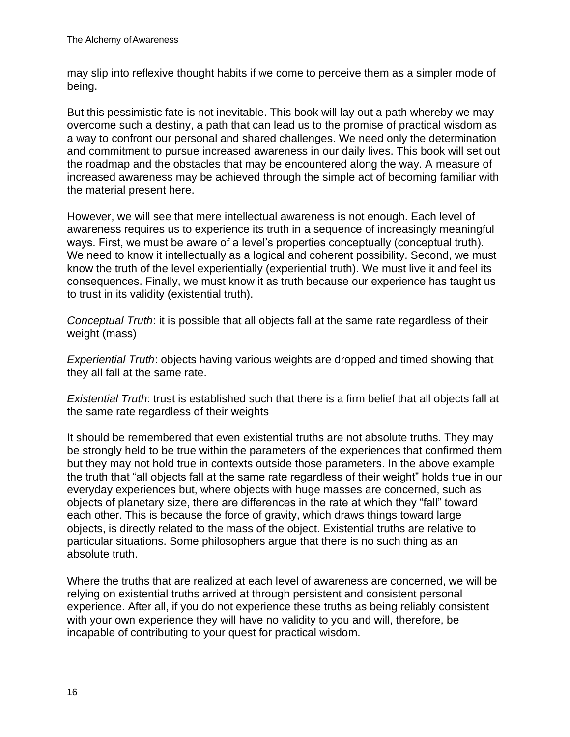may slip into reflexive thought habits if we come to perceive them as a simpler mode of being.

But this pessimistic fate is not inevitable. This book will lay out a path whereby we may overcome such a destiny, a path that can lead us to the promise of practical wisdom as a way to confront our personal and shared challenges. We need only the determination and commitment to pursue increased awareness in our daily lives. This book will set out the roadmap and the obstacles that may be encountered along the way. A measure of increased awareness may be achieved through the simple act of becoming familiar with the material present here.

However, we will see that mere intellectual awareness is not enough. Each level of awareness requires us to experience its truth in a sequence of increasingly meaningful ways. First, we must be aware of a level's properties conceptually (conceptual truth). We need to know it intellectually as a logical and coherent possibility. Second, we must know the truth of the level experientially (experiential truth). We must live it and feel its consequences. Finally, we must know it as truth because our experience has taught us to trust in its validity (existential truth).

*Conceptual Truth*: it is possible that all objects fall at the same rate regardless of their weight (mass)

*Experiential Truth*: objects having various weights are dropped and timed showing that they all fall at the same rate.

*Existential Truth*: trust is established such that there is a firm belief that all objects fall at the same rate regardless of their weights

It should be remembered that even existential truths are not absolute truths. They may be strongly held to be true within the parameters of the experiences that confirmed them but they may not hold true in contexts outside those parameters. In the above example the truth that "all objects fall at the same rate regardless of their weight" holds true in our everyday experiences but, where objects with huge masses are concerned, such as objects of planetary size, there are differences in the rate at which they "fall" toward each other. This is because the force of gravity, which draws things toward large objects, is directly related to the mass of the object. Existential truths are relative to particular situations. Some philosophers argue that there is no such thing as an absolute truth.

Where the truths that are realized at each level of awareness are concerned, we will be relying on existential truths arrived at through persistent and consistent personal experience. After all, if you do not experience these truths as being reliably consistent with your own experience they will have no validity to you and will, therefore, be incapable of contributing to your quest for practical wisdom.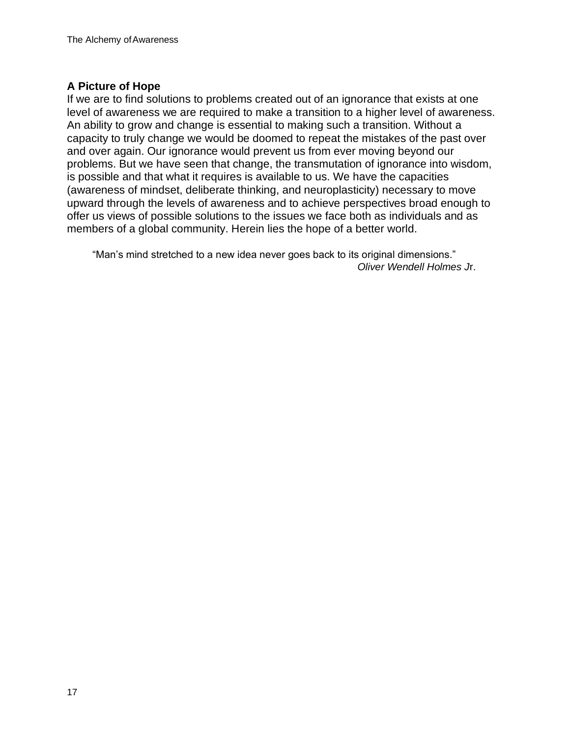# **A Picture of Hope**

If we are to find solutions to problems created out of an ignorance that exists at one level of awareness we are required to make a transition to a higher level of awareness. An ability to grow and change is essential to making such a transition. Without a capacity to truly change we would be doomed to repeat the mistakes of the past over and over again. Our ignorance would prevent us from ever moving beyond our problems. But we have seen that change, the transmutation of ignorance into wisdom, is possible and that what it requires is available to us. We have the capacities (awareness of mindset, deliberate thinking, and neuroplasticity) necessary to move upward through the levels of awareness and to achieve perspectives broad enough to offer us views of possible solutions to the issues we face both as individuals and as members of a global community. Herein lies the hope of a better world.

"Man's mind stretched to a new idea never goes back to its original dimensions." *Oliver Wendell Holmes J*r.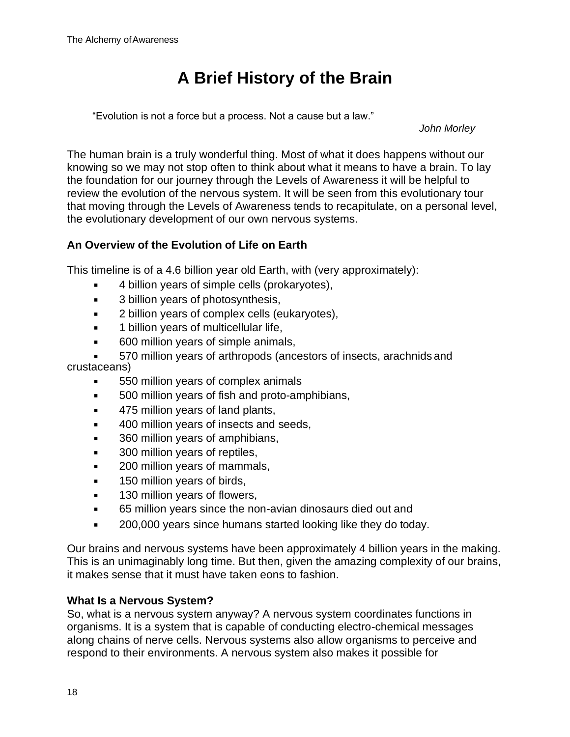# **A Brief History of the Brain**

"Evolution is not a force but a process. Not a cause but a law."

*John Morley*

The human brain is a truly wonderful thing. Most of what it does happens without our knowing so we may not stop often to think about what it means to have a brain. To lay the foundation for our journey through the Levels of Awareness it will be helpful to review the evolution of the nervous system. It will be seen from this evolutionary tour that moving through the Levels of Awareness tends to recapitulate, on a personal level, the evolutionary development of our own nervous systems.

# **An Overview of the Evolution of Life on Earth**

This timeline is of a 4.6 billion year old Earth, with (very approximately):

- 4 billion years of simple cells (prokaryotes),
- 3 billion years of photosynthesis,
- **EXEC** 2 billion years of complex cells (eukaryotes),
- **■** 1 billion years of multicellular life,
- 600 million years of simple animals,

570 million years of arthropods (ancestors of insects, arachnids and crustaceans)

- 550 million years of complex animals
- 500 million years of fish and proto-amphibians,
- **■** 475 million years of land plants,
- 400 million years of insects and seeds,
- 360 million years of amphibians,
- 300 million years of reptiles,
- 200 million years of mammals,
- 150 million years of birds,
- **■** 130 million years of flowers,
- 65 million years since the non-avian dinosaurs died out and
- 200,000 years since humans started looking like they do today.

Our brains and nervous systems have been approximately 4 billion years in the making. This is an unimaginably long time. But then, given the amazing complexity of our brains, it makes sense that it must have taken eons to fashion.

#### **What Is a Nervous System?**

So, what is a nervous system anyway? A nervous system coordinates functions in organisms. It is a system that is capable of conducting electro-chemical messages along chains of nerve cells. Nervous systems also allow organisms to perceive and respond to their environments. A nervous system also makes it possible for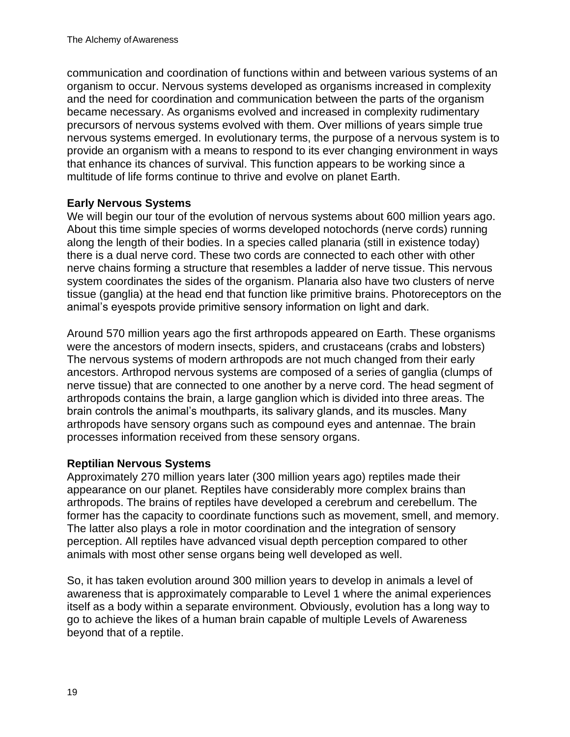communication and coordination of functions within and between various systems of an organism to occur. Nervous systems developed as organisms increased in complexity and the need for coordination and communication between the parts of the organism became necessary. As organisms evolved and increased in complexity rudimentary precursors of nervous systems evolved with them. Over millions of years simple true nervous systems emerged. In evolutionary terms, the purpose of a nervous system is to provide an organism with a means to respond to its ever changing environment in ways that enhance its chances of survival. This function appears to be working since a multitude of life forms continue to thrive and evolve on planet Earth.

#### **Early Nervous Systems**

We will begin our tour of the evolution of nervous systems about 600 million years ago. About this time simple species of worms developed notochords (nerve cords) running along the length of their bodies. In a species called planaria (still in existence today) there is a dual nerve cord. These two cords are connected to each other with other nerve chains forming a structure that resembles a ladder of nerve tissue. This nervous system coordinates the sides of the organism. Planaria also have two clusters of nerve tissue (ganglia) at the head end that function like primitive brains. Photoreceptors on the animal's eyespots provide primitive sensory information on light and dark.

Around 570 million years ago the first arthropods appeared on Earth. These organisms were the ancestors of modern insects, spiders, and crustaceans (crabs and lobsters) The nervous systems of modern arthropods are not much changed from their early ancestors. Arthropod nervous systems are composed of a series of ganglia (clumps of nerve tissue) that are connected to one another by a nerve cord. The head segment of arthropods contains the brain, a large ganglion which is divided into three areas. The brain controls the animal's mouthparts, its salivary glands, and its muscles. Many arthropods have sensory organs such as compound eyes and antennae. The brain processes information received from these sensory organs.

#### **Reptilian Nervous Systems**

Approximately 270 million years later (300 million years ago) reptiles made their appearance on our planet. Reptiles have considerably more complex brains than arthropods. The brains of reptiles have developed a cerebrum and cerebellum. The former has the capacity to coordinate functions such as movement, smell, and memory. The latter also plays a role in motor coordination and the integration of sensory perception. All reptiles have advanced visual depth perception compared to other animals with most other sense organs being well developed as well.

So, it has taken evolution around 300 million years to develop in animals a level of awareness that is approximately comparable to Level 1 where the animal experiences itself as a body within a separate environment. Obviously, evolution has a long way to go to achieve the likes of a human brain capable of multiple Levels of Awareness beyond that of a reptile.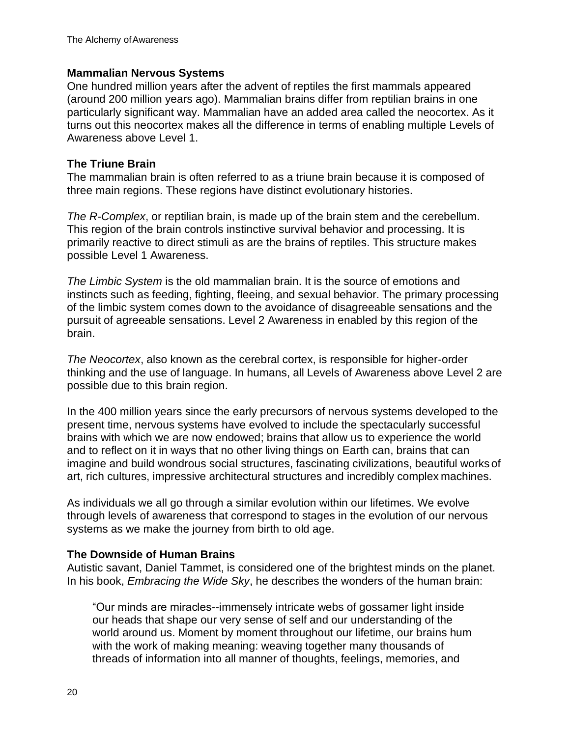#### **Mammalian Nervous Systems**

One hundred million years after the advent of reptiles the first mammals appeared (around 200 million years ago). Mammalian brains differ from reptilian brains in one particularly significant way. Mammalian have an added area called the neocortex. As it turns out this neocortex makes all the difference in terms of enabling multiple Levels of Awareness above Level 1.

#### **The Triune Brain**

The mammalian brain is often referred to as a triune brain because it is composed of three main regions. These regions have distinct evolutionary histories.

*The R-Complex*, or reptilian brain, is made up of the brain stem and the cerebellum. This region of the brain controls instinctive survival behavior and processing. It is primarily reactive to direct stimuli as are the brains of reptiles. This structure makes possible Level 1 Awareness.

*The Limbic System* is the old mammalian brain. It is the source of emotions and instincts such as feeding, fighting, fleeing, and sexual behavior. The primary processing of the limbic system comes down to the avoidance of disagreeable sensations and the pursuit of agreeable sensations. Level 2 Awareness in enabled by this region of the brain.

*The Neocortex*, also known as the cerebral cortex, is responsible for higher-order thinking and the use of language. In humans, all Levels of Awareness above Level 2 are possible due to this brain region.

In the 400 million years since the early precursors of nervous systems developed to the present time, nervous systems have evolved to include the spectacularly successful brains with which we are now endowed; brains that allow us to experience the world and to reflect on it in ways that no other living things on Earth can, brains that can imagine and build wondrous social structures, fascinating civilizations, beautiful works of art, rich cultures, impressive architectural structures and incredibly complex machines.

As individuals we all go through a similar evolution within our lifetimes. We evolve through levels of awareness that correspond to stages in the evolution of our nervous systems as we make the journey from birth to old age.

# **The Downside of Human Brains**

Autistic savant, Daniel Tammet, is considered one of the brightest minds on the planet. In his book, *Embracing the Wide Sky*, he describes the wonders of the human brain:

"Our minds are miracles--immensely intricate webs of gossamer light inside our heads that shape our very sense of self and our understanding of the world around us. Moment by moment throughout our lifetime, our brains hum with the work of making meaning: weaving together many thousands of threads of information into all manner of thoughts, feelings, memories, and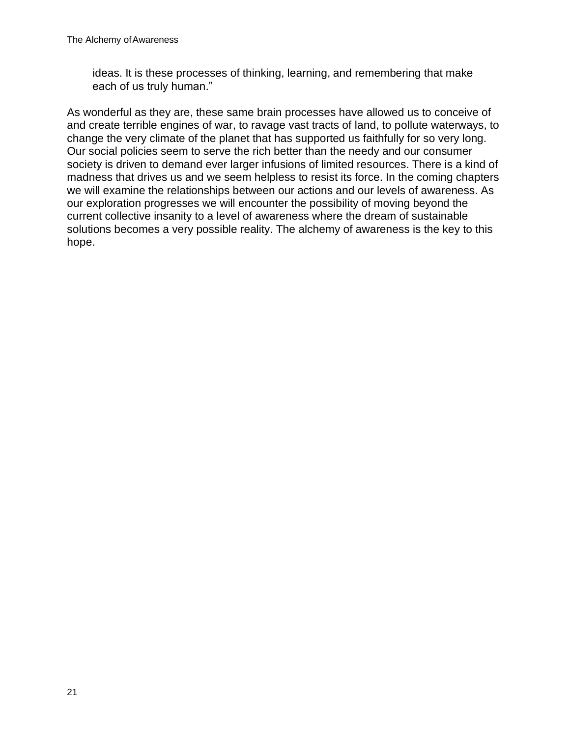ideas. It is these processes of thinking, learning, and remembering that make each of us truly human."

As wonderful as they are, these same brain processes have allowed us to conceive of and create terrible engines of war, to ravage vast tracts of land, to pollute waterways, to change the very climate of the planet that has supported us faithfully for so very long. Our social policies seem to serve the rich better than the needy and our consumer society is driven to demand ever larger infusions of limited resources. There is a kind of madness that drives us and we seem helpless to resist its force. In the coming chapters we will examine the relationships between our actions and our levels of awareness. As our exploration progresses we will encounter the possibility of moving beyond the current collective insanity to a level of awareness where the dream of sustainable solutions becomes a very possible reality. The alchemy of awareness is the key to this hope.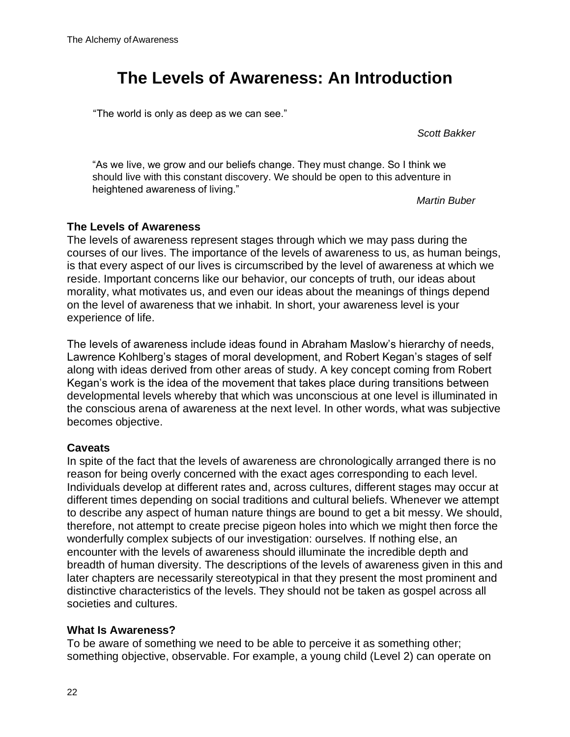# **The Levels of Awareness: An Introduction**

"The world is only as deep as we can see."

*Scott Bakker*

"As we live, we grow and our beliefs change. They must change. So I think we should live with this constant discovery. We should be open to this adventure in heightened awareness of living."

*Martin Buber*

#### **The Levels of Awareness**

The levels of awareness represent stages through which we may pass during the courses of our lives. The importance of the levels of awareness to us, as human beings, is that every aspect of our lives is circumscribed by the level of awareness at which we reside. Important concerns like our behavior, our concepts of truth, our ideas about morality, what motivates us, and even our ideas about the meanings of things depend on the level of awareness that we inhabit. In short, your awareness level is your experience of life.

The levels of awareness include ideas found in Abraham Maslow's hierarchy of needs, Lawrence Kohlberg's stages of moral development, and Robert Kegan's stages of self along with ideas derived from other areas of study. A key concept coming from Robert Kegan's work is the idea of the movement that takes place during transitions between developmental levels whereby that which was unconscious at one level is illuminated in the conscious arena of awareness at the next level. In other words, what was subjective becomes objective.

#### **Caveats**

In spite of the fact that the levels of awareness are chronologically arranged there is no reason for being overly concerned with the exact ages corresponding to each level. Individuals develop at different rates and, across cultures, different stages may occur at different times depending on social traditions and cultural beliefs. Whenever we attempt to describe any aspect of human nature things are bound to get a bit messy. We should, therefore, not attempt to create precise pigeon holes into which we might then force the wonderfully complex subjects of our investigation: ourselves. If nothing else, an encounter with the levels of awareness should illuminate the incredible depth and breadth of human diversity. The descriptions of the levels of awareness given in this and later chapters are necessarily stereotypical in that they present the most prominent and distinctive characteristics of the levels. They should not be taken as gospel across all societies and cultures.

#### **What Is Awareness?**

To be aware of something we need to be able to perceive it as something other; something objective, observable. For example, a young child (Level 2) can operate on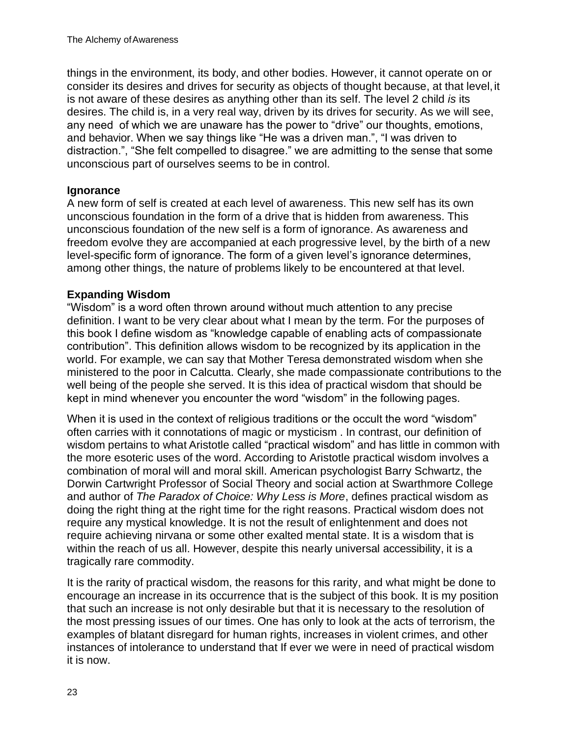things in the environment, its body, and other bodies. However, it cannot operate on or consider its desires and drives for security as objects of thought because, at that level,it is not aware of these desires as anything other than its self. The level 2 child *is* its desires. The child is, in a very real way, driven by its drives for security. As we will see, any need of which we are unaware has the power to "drive" our thoughts, emotions, and behavior. When we say things like "He was a driven man.", "I was driven to distraction.", "She felt compelled to disagree." we are admitting to the sense that some unconscious part of ourselves seems to be in control.

#### **Ignorance**

A new form of self is created at each level of awareness. This new self has its own unconscious foundation in the form of a drive that is hidden from awareness. This unconscious foundation of the new self is a form of ignorance. As awareness and freedom evolve they are accompanied at each progressive level, by the birth of a new level-specific form of ignorance. The form of a given level's ignorance determines, among other things, the nature of problems likely to be encountered at that level.

#### **Expanding Wisdom**

"Wisdom" is a word often thrown around without much attention to any precise definition. I want to be very clear about what I mean by the term. For the purposes of this book I define wisdom as "knowledge capable of enabling acts of compassionate contribution". This definition allows wisdom to be recognized by its application in the world. For example, we can say that Mother Teresa demonstrated wisdom when she ministered to the poor in Calcutta. Clearly, she made compassionate contributions to the well being of the people she served. It is this idea of practical wisdom that should be kept in mind whenever you encounter the word "wisdom" in the following pages.

When it is used in the context of religious traditions or the occult the word "wisdom" often carries with it connotations of magic or mysticism . In contrast, our definition of wisdom pertains to what Aristotle called "practical wisdom" and has little in common with the more esoteric uses of the word. According to Aristotle practical wisdom involves a combination of moral will and moral skill. American psychologist Barry Schwartz, the Dorwin Cartwright Professor of Social Theory and social action at Swarthmore College and author of *The Paradox of Choice: Why Less is More*, defines practical wisdom as doing the right thing at the right time for the right reasons. Practical wisdom does not require any mystical knowledge. It is not the result of enlightenment and does not require achieving nirvana or some other exalted mental state. It is a wisdom that is within the reach of us all. However, despite this nearly universal accessibility, it is a tragically rare commodity.

It is the rarity of practical wisdom, the reasons for this rarity, and what might be done to encourage an increase in its occurrence that is the subject of this book. It is my position that such an increase is not only desirable but that it is necessary to the resolution of the most pressing issues of our times. One has only to look at the acts of terrorism, the examples of blatant disregard for human rights, increases in violent crimes, and other instances of intolerance to understand that If ever we were in need of practical wisdom it is now.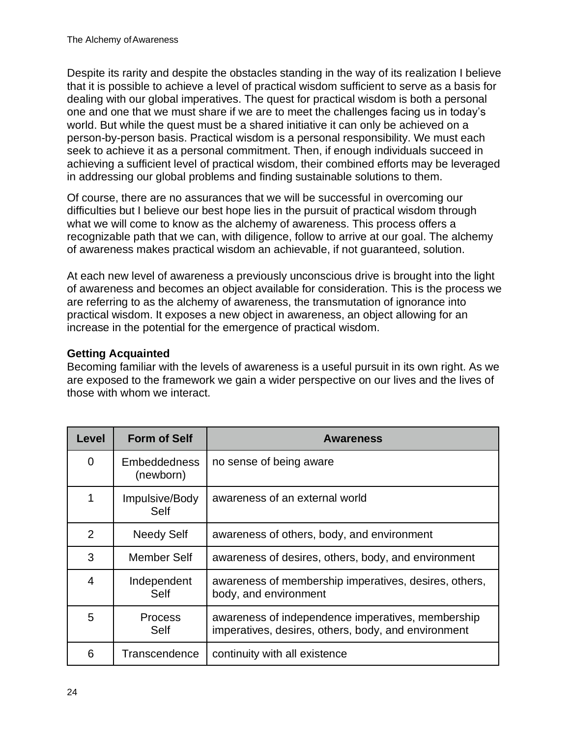Despite its rarity and despite the obstacles standing in the way of its realization I believe that it is possible to achieve a level of practical wisdom sufficient to serve as a basis for dealing with our global imperatives. The quest for practical wisdom is both a personal one and one that we must share if we are to meet the challenges facing us in today's world. But while the quest must be a shared initiative it can only be achieved on a person-by-person basis. Practical wisdom is a personal responsibility. We must each seek to achieve it as a personal commitment. Then, if enough individuals succeed in achieving a sufficient level of practical wisdom, their combined efforts may be leveraged in addressing our global problems and finding sustainable solutions to them.

Of course, there are no assurances that we will be successful in overcoming our difficulties but I believe our best hope lies in the pursuit of practical wisdom through what we will come to know as the alchemy of awareness. This process offers a recognizable path that we can, with diligence, follow to arrive at our goal. The alchemy of awareness makes practical wisdom an achievable, if not guaranteed, solution.

At each new level of awareness a previously unconscious drive is brought into the light of awareness and becomes an object available for consideration. This is the process we are referring to as the alchemy of awareness, the transmutation of ignorance into practical wisdom. It exposes a new object in awareness, an object allowing for an increase in the potential for the emergence of practical wisdom.

# **Getting Acquainted**

Becoming familiar with the levels of awareness is a useful pursuit in its own right. As we are exposed to the framework we gain a wider perspective on our lives and the lives of those with whom we interact.

| Level         | <b>Form of Self</b>              | <b>Awareness</b>                                                                                         |
|---------------|----------------------------------|----------------------------------------------------------------------------------------------------------|
| 0             | <b>Embeddedness</b><br>(newborn) | no sense of being aware                                                                                  |
| 1             | Impulsive/Body<br>Self           | awareness of an external world                                                                           |
| $\mathcal{P}$ | Needy Self                       | awareness of others, body, and environment                                                               |
| 3             | Member Self                      | awareness of desires, others, body, and environment                                                      |
| 4             | Independent<br>Self              | awareness of membership imperatives, desires, others,<br>body, and environment                           |
| 5             | <b>Process</b><br>Self           | awareness of independence imperatives, membership<br>imperatives, desires, others, body, and environment |
| 6             | Transcendence                    | continuity with all existence                                                                            |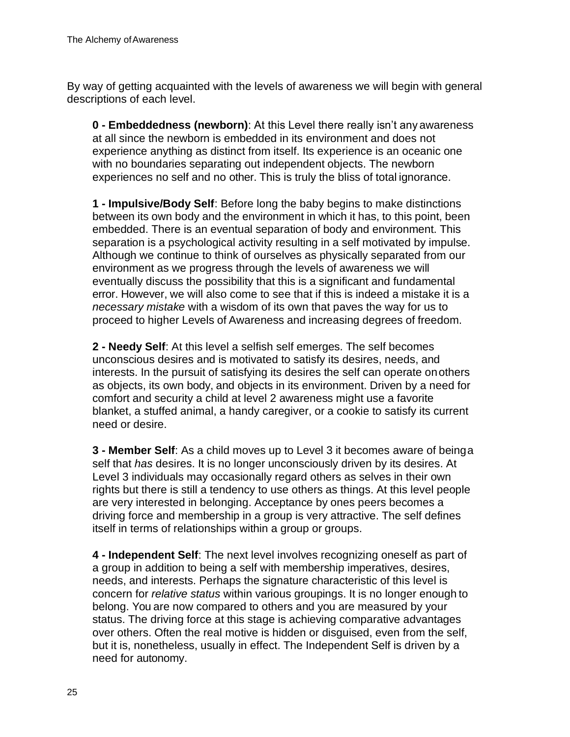By way of getting acquainted with the levels of awareness we will begin with general descriptions of each level.

**0 - Embeddedness (newborn)**: At this Level there really isn't any awareness at all since the newborn is embedded in its environment and does not experience anything as distinct from itself. Its experience is an oceanic one with no boundaries separating out independent objects. The newborn experiences no self and no other. This is truly the bliss of total ignorance.

**1 - Impulsive/Body Self**: Before long the baby begins to make distinctions between its own body and the environment in which it has, to this point, been embedded. There is an eventual separation of body and environment. This separation is a psychological activity resulting in a self motivated by impulse. Although we continue to think of ourselves as physically separated from our environment as we progress through the levels of awareness we will eventually discuss the possibility that this is a significant and fundamental error. However, we will also come to see that if this is indeed a mistake it is a *necessary mistake* with a wisdom of its own that paves the way for us to proceed to higher Levels of Awareness and increasing degrees of freedom.

**2 - Needy Self**: At this level a selfish self emerges. The self becomes unconscious desires and is motivated to satisfy its desires, needs, and interests. In the pursuit of satisfying its desires the self can operate onothers as objects, its own body, and objects in its environment. Driven by a need for comfort and security a child at level 2 awareness might use a favorite blanket, a stuffed animal, a handy caregiver, or a cookie to satisfy its current need or desire.

**3 - Member Self**: As a child moves up to Level 3 it becomes aware of beinga self that *has* desires. It is no longer unconsciously driven by its desires. At Level 3 individuals may occasionally regard others as selves in their own rights but there is still a tendency to use others as things. At this level people are very interested in belonging. Acceptance by ones peers becomes a driving force and membership in a group is very attractive. The self defines itself in terms of relationships within a group or groups.

**4 - Independent Self**: The next level involves recognizing oneself as part of a group in addition to being a self with membership imperatives, desires, needs, and interests. Perhaps the signature characteristic of this level is concern for *relative status* within various groupings. It is no longer enough to belong. You are now compared to others and you are measured by your status. The driving force at this stage is achieving comparative advantages over others. Often the real motive is hidden or disguised, even from the self, but it is, nonetheless, usually in effect. The Independent Self is driven by a need for autonomy.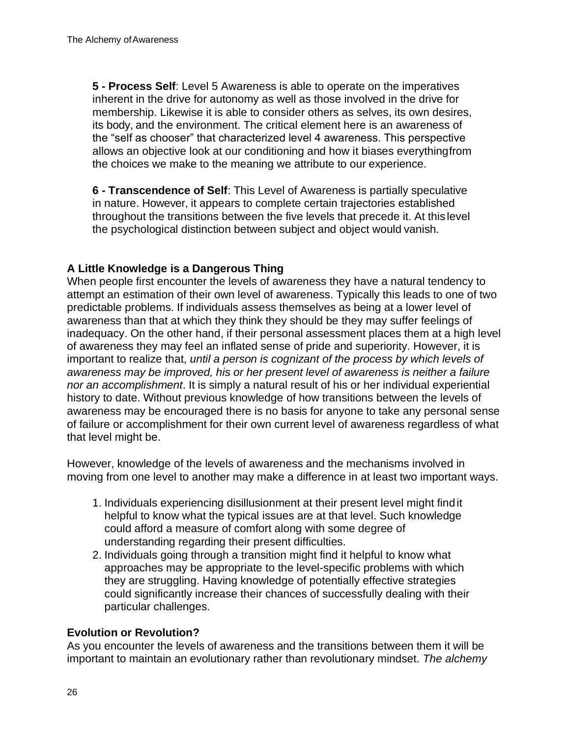**5 - Process Self**: Level 5 Awareness is able to operate on the imperatives inherent in the drive for autonomy as well as those involved in the drive for membership. Likewise it is able to consider others as selves, its own desires, its body, and the environment. The critical element here is an awareness of the "self as chooser" that characterized level 4 awareness. This perspective allows an objective look at our conditioning and how it biases everythingfrom the choices we make to the meaning we attribute to our experience.

**6 - Transcendence of Self**: This Level of Awareness is partially speculative in nature. However, it appears to complete certain trajectories established throughout the transitions between the five levels that precede it. At this level the psychological distinction between subject and object would vanish.

# **A Little Knowledge is a Dangerous Thing**

When people first encounter the levels of awareness they have a natural tendency to attempt an estimation of their own level of awareness. Typically this leads to one of two predictable problems. If individuals assess themselves as being at a lower level of awareness than that at which they think they should be they may suffer feelings of inadequacy. On the other hand, if their personal assessment places them at a high level of awareness they may feel an inflated sense of pride and superiority. However, it is important to realize that, *until a person is cognizant of the process by which levels of awareness may be improved, his or her present level of awareness is neither a failure nor an accomplishment*. It is simply a natural result of his or her individual experiential history to date. Without previous knowledge of how transitions between the levels of awareness may be encouraged there is no basis for anyone to take any personal sense of failure or accomplishment for their own current level of awareness regardless of what that level might be.

However, knowledge of the levels of awareness and the mechanisms involved in moving from one level to another may make a difference in at least two important ways.

- 1. Individuals experiencing disillusionment at their present level might findit helpful to know what the typical issues are at that level. Such knowledge could afford a measure of comfort along with some degree of understanding regarding their present difficulties.
- 2. Individuals going through a transition might find it helpful to know what approaches may be appropriate to the level-specific problems with which they are struggling. Having knowledge of potentially effective strategies could significantly increase their chances of successfully dealing with their particular challenges.

#### **Evolution or Revolution?**

As you encounter the levels of awareness and the transitions between them it will be important to maintain an evolutionary rather than revolutionary mindset. *The alchemy*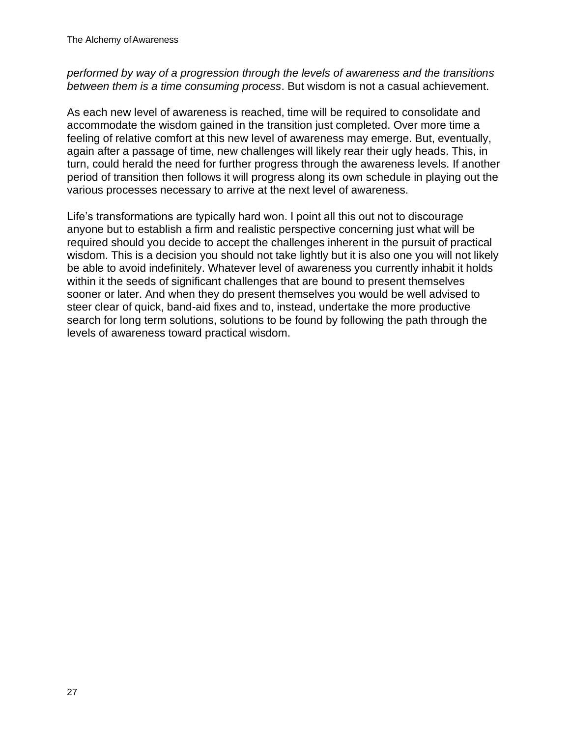### *performed by way of a progression through the levels of awareness and the transitions between them is a time consuming process*. But wisdom is not a casual achievement.

As each new level of awareness is reached, time will be required to consolidate and accommodate the wisdom gained in the transition just completed. Over more time a feeling of relative comfort at this new level of awareness may emerge. But, eventually, again after a passage of time, new challenges will likely rear their ugly heads. This, in turn, could herald the need for further progress through the awareness levels. If another period of transition then follows it will progress along its own schedule in playing out the various processes necessary to arrive at the next level of awareness.

Life's transformations are typically hard won. I point all this out not to discourage anyone but to establish a firm and realistic perspective concerning just what will be required should you decide to accept the challenges inherent in the pursuit of practical wisdom. This is a decision you should not take lightly but it is also one you will not likely be able to avoid indefinitely. Whatever level of awareness you currently inhabit it holds within it the seeds of significant challenges that are bound to present themselves sooner or later. And when they do present themselves you would be well advised to steer clear of quick, band-aid fixes and to, instead, undertake the more productive search for long term solutions, solutions to be found by following the path through the levels of awareness toward practical wisdom.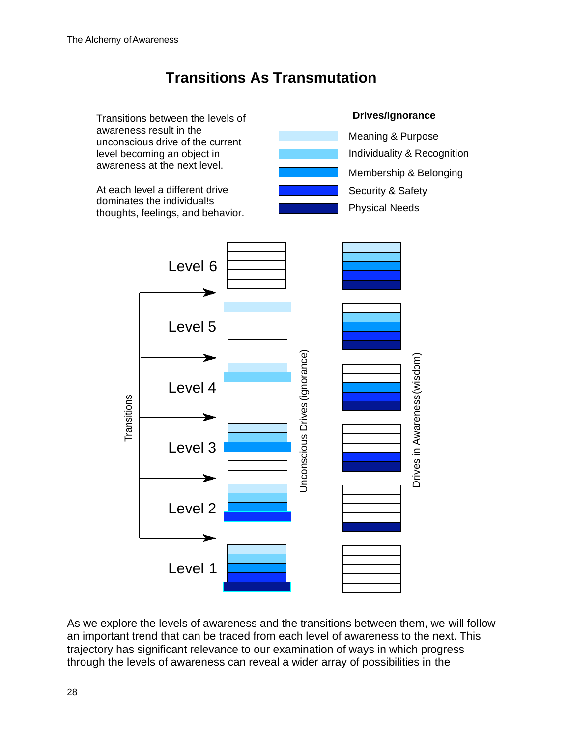# **Transitions As Transmutation**



As we explore the levels of awareness and the transitions between them, we will follow an important trend that can be traced from each level of awareness to the next. This trajectory has significant relevance to our examination of ways in which progress through the levels of awareness can reveal a wider array of possibilities in the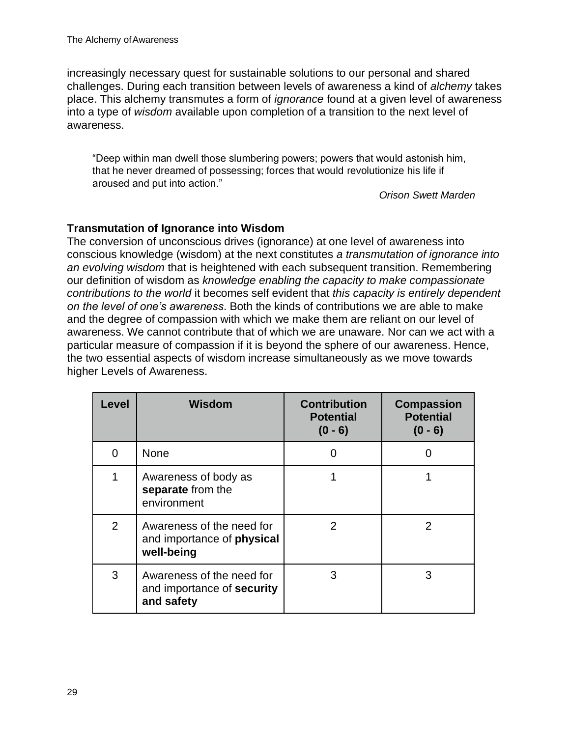increasingly necessary quest for sustainable solutions to our personal and shared challenges. During each transition between levels of awareness a kind of *alchemy* takes place. This alchemy transmutes a form of *ignorance* found at a given level of awareness into a type of *wisdom* available upon completion of a transition to the next level of awareness.

"Deep within man dwell those slumbering powers; powers that would astonish him, that he never dreamed of possessing; forces that would revolutionize his life if aroused and put into action."

*Orison Swett Marden*

#### **Transmutation of Ignorance into Wisdom**

The conversion of unconscious drives (ignorance) at one level of awareness into conscious knowledge (wisdom) at the next constitutes *a transmutation of ignorance into an evolving wisdom* that is heightened with each subsequent transition. Remembering our definition of wisdom as *knowledge enabling the capacity to make compassionate contributions to the world* it becomes self evident that *this capacity is entirely dependent on the level of one's awareness*. Both the kinds of contributions we are able to make and the degree of compassion with which we make them are reliant on our level of awareness. We cannot contribute that of which we are unaware. Nor can we act with a particular measure of compassion if it is beyond the sphere of our awareness. Hence, the two essential aspects of wisdom increase simultaneously as we move towards higher Levels of Awareness.

| Level          | <b>Wisdom</b>                                                                | <b>Contribution</b><br><b>Potential</b><br>$(0 - 6)$ | <b>Compassion</b><br><b>Potential</b><br>$(0 - 6)$ |
|----------------|------------------------------------------------------------------------------|------------------------------------------------------|----------------------------------------------------|
| $\Omega$       | <b>None</b>                                                                  | 0                                                    | O                                                  |
| 1              | Awareness of body as<br>separate from the<br>environment                     |                                                      |                                                    |
| $\overline{2}$ | Awareness of the need for<br>and importance of <b>physical</b><br>well-being | 2                                                    | 2                                                  |
| 3              | Awareness of the need for<br>and importance of security<br>and safety        | 3                                                    | 3                                                  |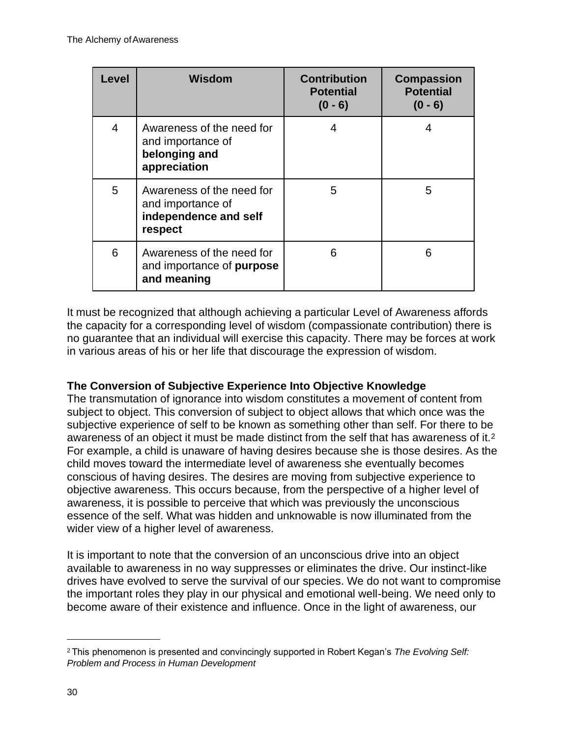| Level          | <b>Wisdom</b>                                                                      | <b>Contribution</b><br><b>Potential</b><br>$(0 - 6)$ | <b>Compassion</b><br><b>Potential</b><br>$(0 - 6)$ |
|----------------|------------------------------------------------------------------------------------|------------------------------------------------------|----------------------------------------------------|
| $\overline{4}$ | Awareness of the need for<br>and importance of<br>belonging and<br>appreciation    | 4                                                    | 4                                                  |
| 5              | Awareness of the need for<br>and importance of<br>independence and self<br>respect | 5                                                    | 5                                                  |
| 6              | Awareness of the need for<br>and importance of purpose<br>and meaning              | 6                                                    | 6                                                  |

It must be recognized that although achieving a particular Level of Awareness affords the capacity for a corresponding level of wisdom (compassionate contribution) there is no guarantee that an individual will exercise this capacity. There may be forces at work in various areas of his or her life that discourage the expression of wisdom.

# **The Conversion of Subjective Experience Into Objective Knowledge**

The transmutation of ignorance into wisdom constitutes a movement of content from subject to object. This conversion of subject to object allows that which once was the subjective experience of self to be known as something other than self. For there to be awareness of an object it must be made distinct from the self that has awareness of it.[2](#page-27-0) For example, a child is unaware of having desires because she is those desires. As the child moves toward the intermediate level of awareness she eventually becomes conscious of having desires. The desires are moving from subjective experience to objective awareness. This occurs because, from the perspective of a higher level of awareness, it is possible to perceive that which was previously the unconscious essence of the self. What was hidden and unknowable is now illuminated from the wider view of a higher level of awareness.

It is important to note that the conversion of an unconscious drive into an object available to awareness in no way suppresses or eliminates the drive. Our instinct-like drives have evolved to serve the survival of our species. We do not want to compromise the important roles they play in our physical and emotional well-being. We need only to become aware of their existence and influence. Once in the light of awareness, our

<span id="page-27-0"></span><sup>2</sup>This phenomenon is presented and convincingly supported in Robert Kegan's *The Evolving Self: Problem and Process in Human Development*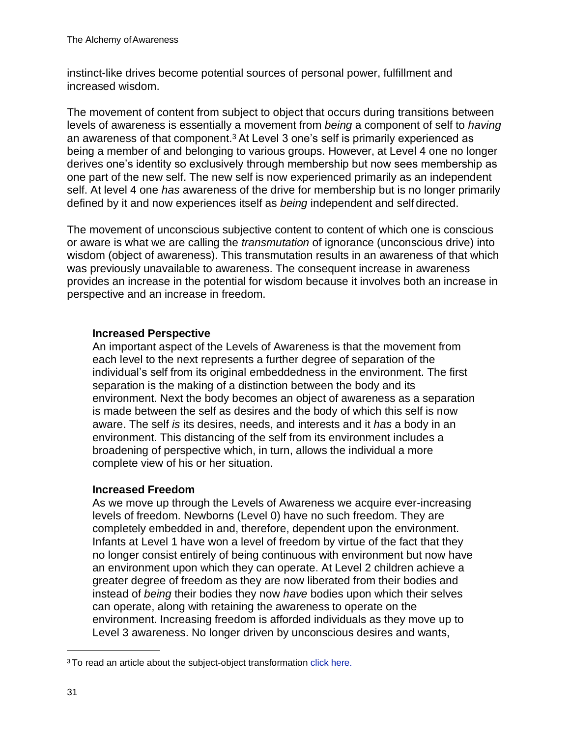instinct-like drives become potential sources of personal power, fulfillment and increased wisdom.

The movement of content from subject to object that occurs during transitions between levels of awareness is essentially a movement from *being* a component of self to *having*  an awareness of that component.[3](#page-28-0) At Level 3 one's self is primarily experienced as being a member of and belonging to various groups. However, at Level 4 one no longer derives one's identity so exclusively through membership but now sees membership as one part of the new self. The new self is now experienced primarily as an independent self. At level 4 one *has* awareness of the drive for membership but is no longer primarily defined by it and now experiences itself as *being* independent and self directed.

The movement of unconscious subjective content to content of which one is conscious or aware is what we are calling the *transmutation* of ignorance (unconscious drive) into wisdom (object of awareness). This transmutation results in an awareness of that which was previously unavailable to awareness. The consequent increase in awareness provides an increase in the potential for wisdom because it involves both an increase in perspective and an increase in freedom.

#### **Increased Perspective**

An important aspect of the Levels of Awareness is that the movement from each level to the next represents a further degree of separation of the individual's self from its original embeddedness in the environment. The first separation is the making of a distinction between the body and its environment. Next the body becomes an object of awareness as a separation is made between the self as desires and the body of which this self is now aware. The self *is* its desires, needs, and interests and it *has* a body in an environment. This distancing of the self from its environment includes a broadening of perspective which, in turn, allows the individual a more complete view of his or her situation.

#### **Increased Freedom**

As we move up through the Levels of Awareness we acquire ever-increasing levels of freedom. Newborns (Level 0) have no such freedom. They are completely embedded in and, therefore, dependent upon the environment. Infants at Level 1 have won a level of freedom by virtue of the fact that they no longer consist entirely of being continuous with environment but now have an environment upon which they can operate. At Level 2 children achieve a greater degree of freedom as they are now liberated from their bodies and instead of *being* their bodies they now *have* bodies upon which their selves can operate, along with retaining the awareness to operate on the environment. Increasing freedom is afforded individuals as they move up to Level 3 awareness. No longer driven by unconscious desires and wants,

<span id="page-28-0"></span><sup>&</sup>lt;sup>3</sup> To read an article about the subject-object transformation click here.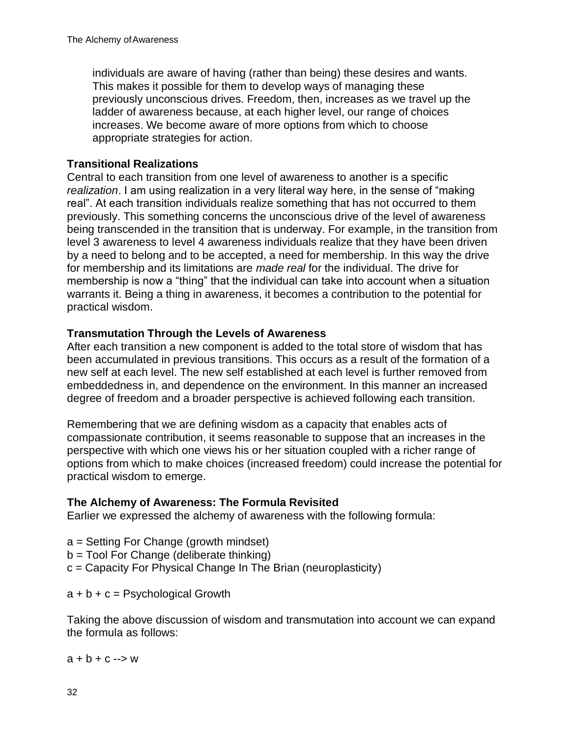individuals are aware of having (rather than being) these desires and wants. This makes it possible for them to develop ways of managing these previously unconscious drives. Freedom, then, increases as we travel up the ladder of awareness because, at each higher level, our range of choices increases. We become aware of more options from which to choose appropriate strategies for action.

# **Transitional Realizations**

Central to each transition from one level of awareness to another is a specific *realization*. I am using realization in a very literal way here, in the sense of "making real". At each transition individuals realize something that has not occurred to them previously. This something concerns the unconscious drive of the level of awareness being transcended in the transition that is underway. For example, in the transition from level 3 awareness to level 4 awareness individuals realize that they have been driven by a need to belong and to be accepted, a need for membership. In this way the drive for membership and its limitations are *made real* for the individual. The drive for membership is now a "thing" that the individual can take into account when a situation warrants it. Being a thing in awareness, it becomes a contribution to the potential for practical wisdom.

# **Transmutation Through the Levels of Awareness**

After each transition a new component is added to the total store of wisdom that has been accumulated in previous transitions. This occurs as a result of the formation of a new self at each level. The new self established at each level is further removed from embeddedness in, and dependence on the environment. In this manner an increased degree of freedom and a broader perspective is achieved following each transition.

Remembering that we are defining wisdom as a capacity that enables acts of compassionate contribution, it seems reasonable to suppose that an increases in the perspective with which one views his or her situation coupled with a richer range of options from which to make choices (increased freedom) could increase the potential for practical wisdom to emerge.

# **The Alchemy of Awareness: The Formula Revisited**

Earlier we expressed the alchemy of awareness with the following formula:

- a = Setting For Change (growth mindset)
- b = Tool For Change (deliberate thinking)
- c = Capacity For Physical Change In The Brian (neuroplasticity)

 $a + b + c =$  Psychological Growth

Taking the above discussion of wisdom and transmutation into account we can expand the formula as follows:

 $a + b + c \rightarrow w$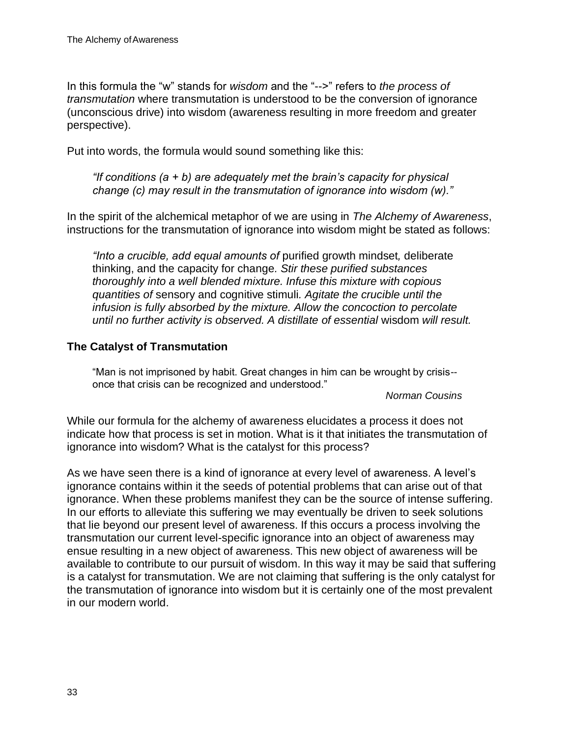In this formula the "w" stands for *wisdom* and the "-->" refers to *the process of transmutation* where transmutation is understood to be the conversion of ignorance (unconscious drive) into wisdom (awareness resulting in more freedom and greater perspective).

Put into words, the formula would sound something like this:

*"If conditions (a + b) are adequately met the brain's capacity for physical change (c) may result in the transmutation of ignorance into wisdom (w)."*

In the spirit of the alchemical metaphor of we are using in *The Alchemy of Awareness*, instructions for the transmutation of ignorance into wisdom might be stated as follows:

*"Into a crucible, add equal amounts of* purified growth mindset*,* deliberate thinking, and the capacity for change*. Stir these purified substances thoroughly into a well blended mixture. Infuse this mixture with copious quantities of* sensory and cognitive stimuli*. Agitate the crucible until the infusion is fully absorbed by the mixture. Allow the concoction to percolate until no further activity is observed. A distillate of essential* wisdom *will result.*

#### **The Catalyst of Transmutation**

"Man is not imprisoned by habit. Great changes in him can be wrought by crisis- once that crisis can be recognized and understood."

#### *Norman Cousins*

While our formula for the alchemy of awareness elucidates a process it does not indicate how that process is set in motion. What is it that initiates the transmutation of ignorance into wisdom? What is the catalyst for this process?

As we have seen there is a kind of ignorance at every level of awareness. A level's ignorance contains within it the seeds of potential problems that can arise out of that ignorance. When these problems manifest they can be the source of intense suffering. In our efforts to alleviate this suffering we may eventually be driven to seek solutions that lie beyond our present level of awareness. If this occurs a process involving the transmutation our current level-specific ignorance into an object of awareness may ensue resulting in a new object of awareness. This new object of awareness will be available to contribute to our pursuit of wisdom. In this way it may be said that suffering is a catalyst for transmutation. We are not claiming that suffering is the only catalyst for the transmutation of ignorance into wisdom but it is certainly one of the most prevalent in our modern world.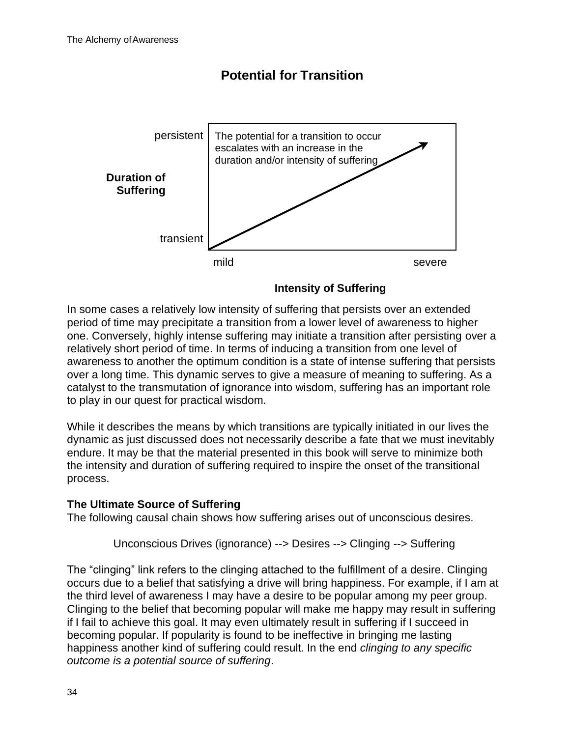

**Potential for Transition**

In some cases a relatively low intensity of suffering that persists over an extended period of time may precipitate a transition from a lower level of awareness to higher one. Conversely, highly intense suffering may initiate a transition after persisting over a relatively short period of time. In terms of inducing a transition from one level of awareness to another the optimum condition is a state of intense suffering that persists over a long time. This dynamic serves to give a measure of meaning to suffering. As a catalyst to the transmutation of ignorance into wisdom, suffering has an important role to play in our quest for practical wisdom.

While it describes the means by which transitions are typically initiated in our lives the dynamic as just discussed does not necessarily describe a fate that we must inevitably endure. It may be that the material presented in this book will serve to minimize both the intensity and duration of suffering required to inspire the onset of the transitional process.

# **The Ultimate Source of Suffering**

The following causal chain shows how suffering arises out of unconscious desires.

Unconscious Drives (ignorance) --> Desires --> Clinging --> Suffering

The "clinging" link refers to the clinging attached to the fulfillment of a desire. Clinging occurs due to a belief that satisfying a drive will bring happiness. For example, if I am at the third level of awareness I may have a desire to be popular among my peer group. Clinging to the belief that becoming popular will make me happy may result in suffering if I fail to achieve this goal. It may even ultimately result in suffering if I succeed in becoming popular. If popularity is found to be ineffective in bringing me lasting happiness another kind of suffering could result. In the end *clinging to any specific outcome is a potential source of suffering*.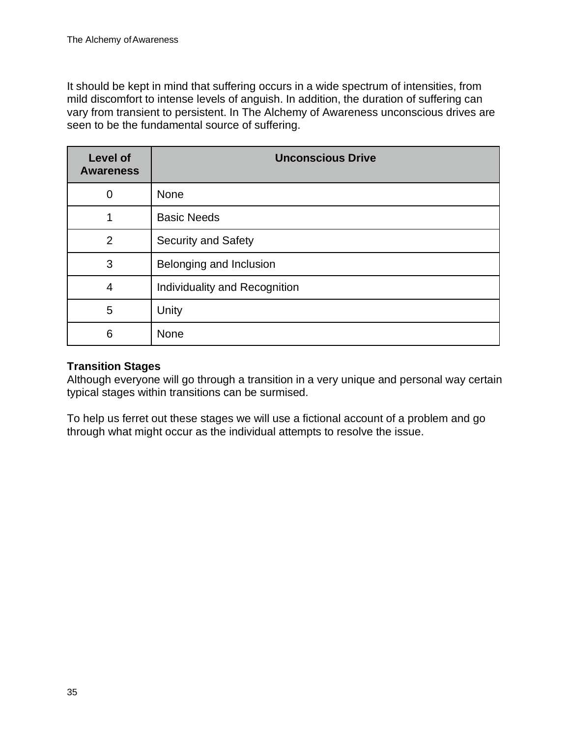It should be kept in mind that suffering occurs in a wide spectrum of intensities, from mild discomfort to intense levels of anguish. In addition, the duration of suffering can vary from transient to persistent. In The Alchemy of Awareness unconscious drives are seen to be the fundamental source of suffering.

| <b>Level of</b><br><b>Awareness</b> | <b>Unconscious Drive</b>      |
|-------------------------------------|-------------------------------|
| $\overline{0}$                      | <b>None</b>                   |
| 1                                   | <b>Basic Needs</b>            |
| $\overline{2}$                      | <b>Security and Safety</b>    |
| 3                                   | Belonging and Inclusion       |
| 4                                   | Individuality and Recognition |
| 5                                   | Unity                         |
| 6                                   | None                          |

### **Transition Stages**

Although everyone will go through a transition in a very unique and personal way certain typical stages within transitions can be surmised.

To help us ferret out these stages we will use a fictional account of a problem and go through what might occur as the individual attempts to resolve the issue.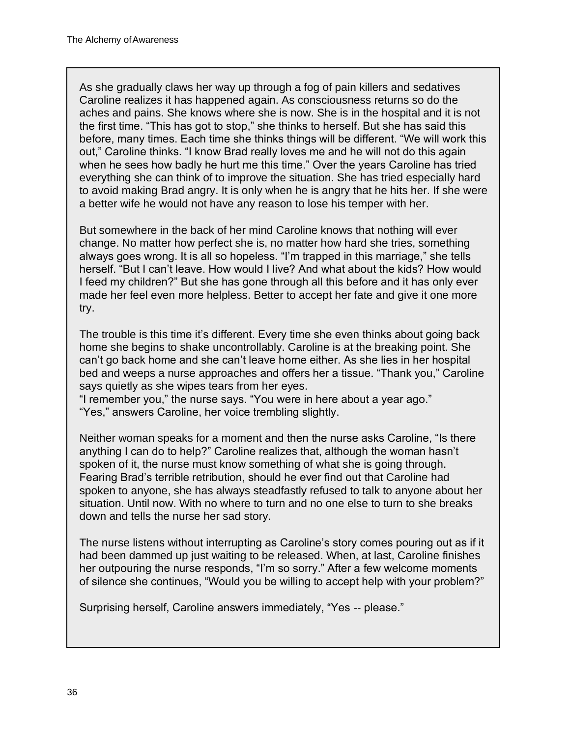As she gradually claws her way up through a fog of pain killers and sedatives Caroline realizes it has happened again. As consciousness returns so do the aches and pains. She knows where she is now. She is in the hospital and it is not the first time. "This has got to stop," she thinks to herself. But she has said this before, many times. Each time she thinks things will be different. "We will work this out," Caroline thinks. "I know Brad really loves me and he will not do this again when he sees how badly he hurt me this time." Over the years Caroline has tried everything she can think of to improve the situation. She has tried especially hard to avoid making Brad angry. It is only when he is angry that he hits her. If she were a better wife he would not have any reason to lose his temper with her.

But somewhere in the back of her mind Caroline knows that nothing will ever change. No matter how perfect she is, no matter how hard she tries, something always goes wrong. It is all so hopeless. "I'm trapped in this marriage," she tells herself. "But I can't leave. How would I live? And what about the kids? How would I feed my children?" But she has gone through all this before and it has only ever made her feel even more helpless. Better to accept her fate and give it one more try.

The trouble is this time it's different. Every time she even thinks about going back home she begins to shake uncontrollably. Caroline is at the breaking point. She can't go back home and she can't leave home either. As she lies in her hospital bed and weeps a nurse approaches and offers her a tissue. "Thank you," Caroline says quietly as she wipes tears from her eyes.

"I remember you," the nurse says. "You were in here about a year ago." "Yes," answers Caroline, her voice trembling slightly.

Neither woman speaks for a moment and then the nurse asks Caroline, "Is there anything I can do to help?" Caroline realizes that, although the woman hasn't spoken of it, the nurse must know something of what she is going through. Fearing Brad's terrible retribution, should he ever find out that Caroline had spoken to anyone, she has always steadfastly refused to talk to anyone about her situation. Until now. With no where to turn and no one else to turn to she breaks down and tells the nurse her sad story.

The nurse listens without interrupting as Caroline's story comes pouring out as if it had been dammed up just waiting to be released. When, at last, Caroline finishes her outpouring the nurse responds, "I'm so sorry." After a few welcome moments of silence she continues, "Would you be willing to accept help with your problem?"

Surprising herself, Caroline answers immediately, "Yes -- please."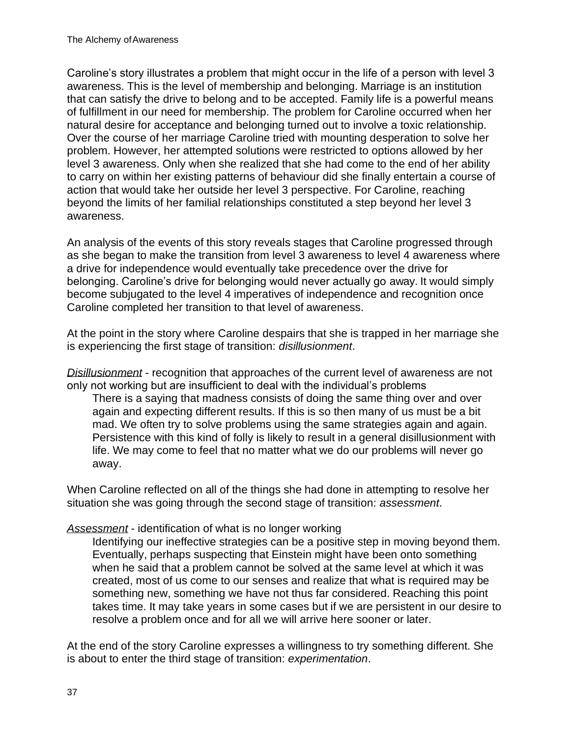Caroline's story illustrates a problem that might occur in the life of a person with level 3 awareness. This is the level of membership and belonging. Marriage is an institution that can satisfy the drive to belong and to be accepted. Family life is a powerful means of fulfillment in our need for membership. The problem for Caroline occurred when her natural desire for acceptance and belonging turned out to involve a toxic relationship. Over the course of her marriage Caroline tried with mounting desperation to solve her problem. However, her attempted solutions were restricted to options allowed by her level 3 awareness. Only when she realized that she had come to the end of her ability to carry on within her existing patterns of behaviour did she finally entertain a course of action that would take her outside her level 3 perspective. For Caroline, reaching beyond the limits of her familial relationships constituted a step beyond her level 3 awareness.

An analysis of the events of this story reveals stages that Caroline progressed through as she began to make the transition from level 3 awareness to level 4 awareness where a drive for independence would eventually take precedence over the drive for belonging. Caroline's drive for belonging would never actually go away. It would simply become subjugated to the level 4 imperatives of independence and recognition once Caroline completed her transition to that level of awareness.

At the point in the story where Caroline despairs that she is trapped in her marriage she is experiencing the first stage of transition: *disillusionment*.

*Disillusionment* - recognition that approaches of the current level of awareness are not only not working but are insufficient to deal with the individual's problems

There is a saying that madness consists of doing the same thing over and over again and expecting different results. If this is so then many of us must be a bit mad. We often try to solve problems using the same strategies again and again. Persistence with this kind of folly is likely to result in a general disillusionment with life. We may come to feel that no matter what we do our problems will never go away.

When Caroline reflected on all of the things she had done in attempting to resolve her situation she was going through the second stage of transition: *assessment*.

#### *Assessment* - identification of what is no longer working

Identifying our ineffective strategies can be a positive step in moving beyond them. Eventually, perhaps suspecting that Einstein might have been onto something when he said that a problem cannot be solved at the same level at which it was created, most of us come to our senses and realize that what is required may be something new, something we have not thus far considered. Reaching this point takes time. It may take years in some cases but if we are persistent in our desire to resolve a problem once and for all we will arrive here sooner or later.

At the end of the story Caroline expresses a willingness to try something different. She is about to enter the third stage of transition: *experimentation*.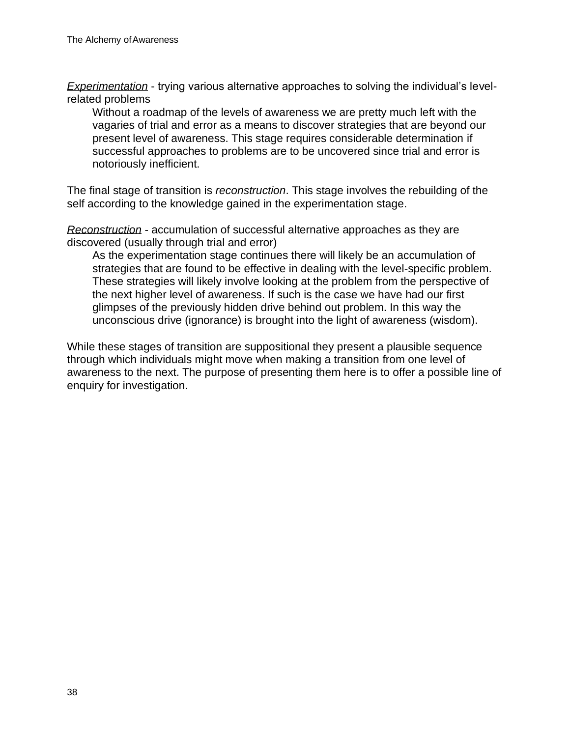*Experimentation* - trying various alternative approaches to solving the individual's levelrelated problems

Without a roadmap of the levels of awareness we are pretty much left with the vagaries of trial and error as a means to discover strategies that are beyond our present level of awareness. This stage requires considerable determination if successful approaches to problems are to be uncovered since trial and error is notoriously inefficient.

The final stage of transition is *reconstruction*. This stage involves the rebuilding of the self according to the knowledge gained in the experimentation stage.

*Reconstruction* - accumulation of successful alternative approaches as they are discovered (usually through trial and error)

As the experimentation stage continues there will likely be an accumulation of strategies that are found to be effective in dealing with the level-specific problem. These strategies will likely involve looking at the problem from the perspective of the next higher level of awareness. If such is the case we have had our first glimpses of the previously hidden drive behind out problem. In this way the unconscious drive (ignorance) is brought into the light of awareness (wisdom).

While these stages of transition are suppositional they present a plausible sequence through which individuals might move when making a transition from one level of awareness to the next. The purpose of presenting them here is to offer a possible line of enquiry for investigation.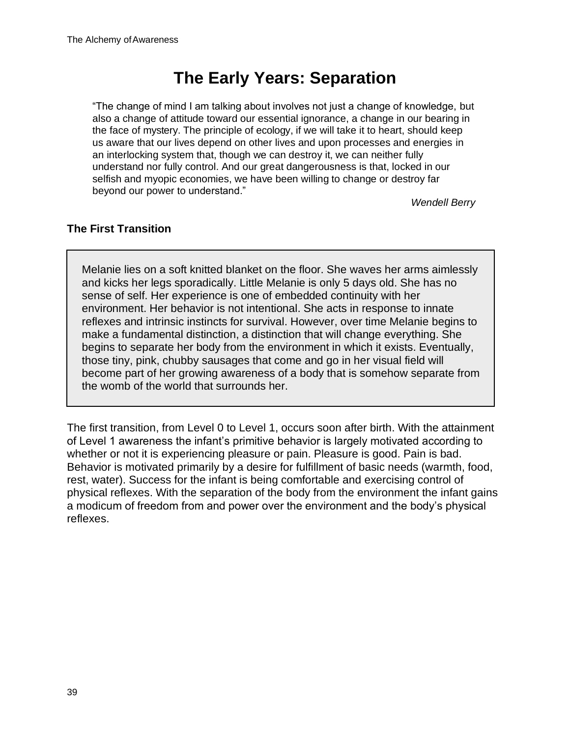# **The Early Years: Separation**

"The change of mind I am talking about involves not just a change of knowledge, but also a change of attitude toward our essential ignorance, a change in our bearing in the face of mystery. The principle of ecology, if we will take it to heart, should keep us aware that our lives depend on other lives and upon processes and energies in an interlocking system that, though we can destroy it, we can neither fully understand nor fully control. And our great dangerousness is that, locked in our selfish and myopic economies, we have been willing to change or destroy far beyond our power to understand."

*Wendell Berry*

#### **The First Transition**

Melanie lies on a soft knitted blanket on the floor. She waves her arms aimlessly and kicks her legs sporadically. Little Melanie is only 5 days old. She has no sense of self. Her experience is one of embedded continuity with her environment. Her behavior is not intentional. She acts in response to innate reflexes and intrinsic instincts for survival. However, over time Melanie begins to make a fundamental distinction, a distinction that will change everything. She begins to separate her body from the environment in which it exists. Eventually, those tiny, pink, chubby sausages that come and go in her visual field will become part of her growing awareness of a body that is somehow separate from the womb of the world that surrounds her.

The first transition, from Level 0 to Level 1, occurs soon after birth. With the attainment of Level 1 awareness the infant's primitive behavior is largely motivated according to whether or not it is experiencing pleasure or pain. Pleasure is good. Pain is bad. Behavior is motivated primarily by a desire for fulfillment of basic needs (warmth, food, rest, water). Success for the infant is being comfortable and exercising control of physical reflexes. With the separation of the body from the environment the infant gains a modicum of freedom from and power over the environment and the body's physical reflexes.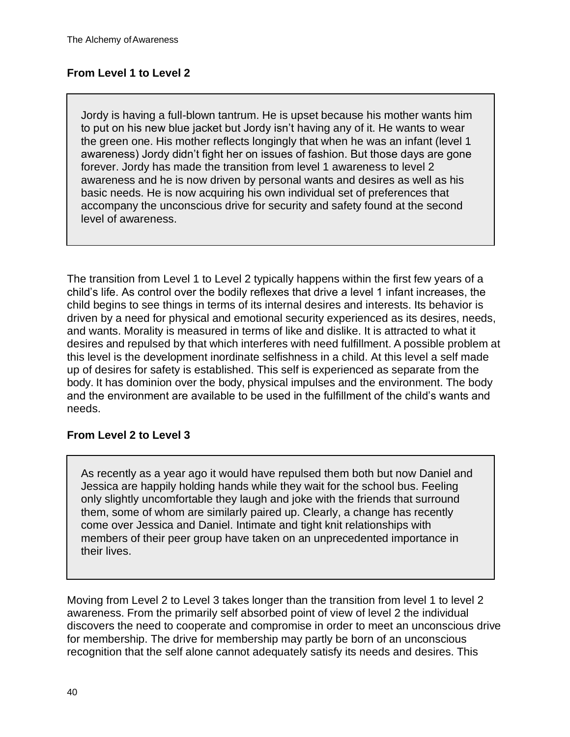## **From Level 1 to Level 2**

Jordy is having a full-blown tantrum. He is upset because his mother wants him to put on his new blue jacket but Jordy isn't having any of it. He wants to wear the green one. His mother reflects longingly that when he was an infant (level 1 awareness) Jordy didn't fight her on issues of fashion. But those days are gone forever. Jordy has made the transition from level 1 awareness to level 2 awareness and he is now driven by personal wants and desires as well as his basic needs. He is now acquiring his own individual set of preferences that accompany the unconscious drive for security and safety found at the second level of awareness.

The transition from Level 1 to Level 2 typically happens within the first few years of a child's life. As control over the bodily reflexes that drive a level 1 infant increases, the child begins to see things in terms of its internal desires and interests. Its behavior is driven by a need for physical and emotional security experienced as its desires, needs, and wants. Morality is measured in terms of like and dislike. It is attracted to what it desires and repulsed by that which interferes with need fulfillment. A possible problem at this level is the development inordinate selfishness in a child. At this level a self made up of desires for safety is established. This self is experienced as separate from the body. It has dominion over the body, physical impulses and the environment. The body and the environment are available to be used in the fulfillment of the child's wants and needs.

## **From Level 2 to Level 3**

As recently as a year ago it would have repulsed them both but now Daniel and Jessica are happily holding hands while they wait for the school bus. Feeling only slightly uncomfortable they laugh and joke with the friends that surround them, some of whom are similarly paired up. Clearly, a change has recently come over Jessica and Daniel. Intimate and tight knit relationships with members of their peer group have taken on an unprecedented importance in their lives.

Moving from Level 2 to Level 3 takes longer than the transition from level 1 to level 2 awareness. From the primarily self absorbed point of view of level 2 the individual discovers the need to cooperate and compromise in order to meet an unconscious drive for membership. The drive for membership may partly be born of an unconscious recognition that the self alone cannot adequately satisfy its needs and desires. This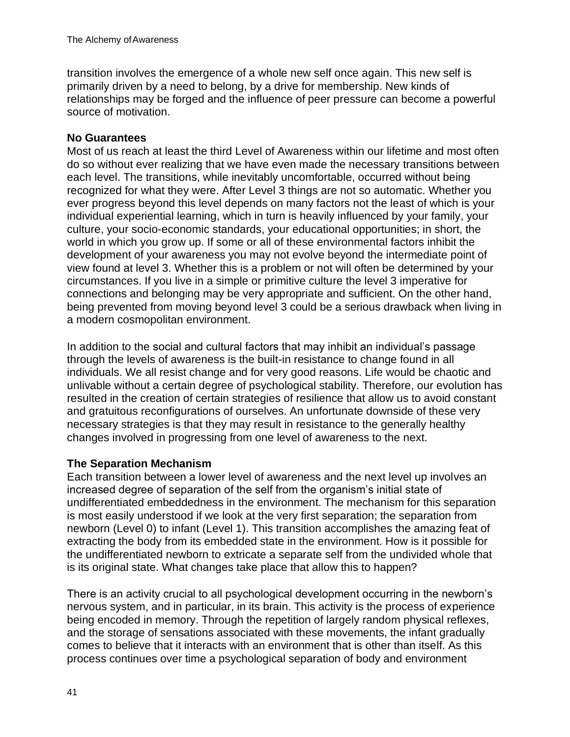transition involves the emergence of a whole new self once again. This new self is primarily driven by a need to belong, by a drive for membership. New kinds of relationships may be forged and the influence of peer pressure can become a powerful source of motivation.

#### **No Guarantees**

Most of us reach at least the third Level of Awareness within our lifetime and most often do so without ever realizing that we have even made the necessary transitions between each level. The transitions, while inevitably uncomfortable, occurred without being recognized for what they were. After Level 3 things are not so automatic. Whether you ever progress beyond this level depends on many factors not the least of which is your individual experiential learning, which in turn is heavily influenced by your family, your culture, your socio-economic standards, your educational opportunities; in short, the world in which you grow up. If some or all of these environmental factors inhibit the development of your awareness you may not evolve beyond the intermediate point of view found at level 3. Whether this is a problem or not will often be determined by your circumstances. If you live in a simple or primitive culture the level 3 imperative for connections and belonging may be very appropriate and sufficient. On the other hand, being prevented from moving beyond level 3 could be a serious drawback when living in a modern cosmopolitan environment.

In addition to the social and cultural factors that may inhibit an individual's passage through the levels of awareness is the built-in resistance to change found in all individuals. We all resist change and for very good reasons. Life would be chaotic and unlivable without a certain degree of psychological stability. Therefore, our evolution has resulted in the creation of certain strategies of resilience that allow us to avoid constant and gratuitous reconfigurations of ourselves. An unfortunate downside of these very necessary strategies is that they may result in resistance to the generally healthy changes involved in progressing from one level of awareness to the next.

## **The Separation Mechanism**

Each transition between a lower level of awareness and the next level up involves an increased degree of separation of the self from the organism's initial state of undifferentiated embeddedness in the environment. The mechanism for this separation is most easily understood if we look at the very first separation; the separation from newborn (Level 0) to infant (Level 1). This transition accomplishes the amazing feat of extracting the body from its embedded state in the environment. How is it possible for the undifferentiated newborn to extricate a separate self from the undivided whole that is its original state. What changes take place that allow this to happen?

There is an activity crucial to all psychological development occurring in the newborn's nervous system, and in particular, in its brain. This activity is the process of experience being encoded in memory. Through the repetition of largely random physical reflexes, and the storage of sensations associated with these movements, the infant gradually comes to believe that it interacts with an environment that is other than itself. As this process continues over time a psychological separation of body and environment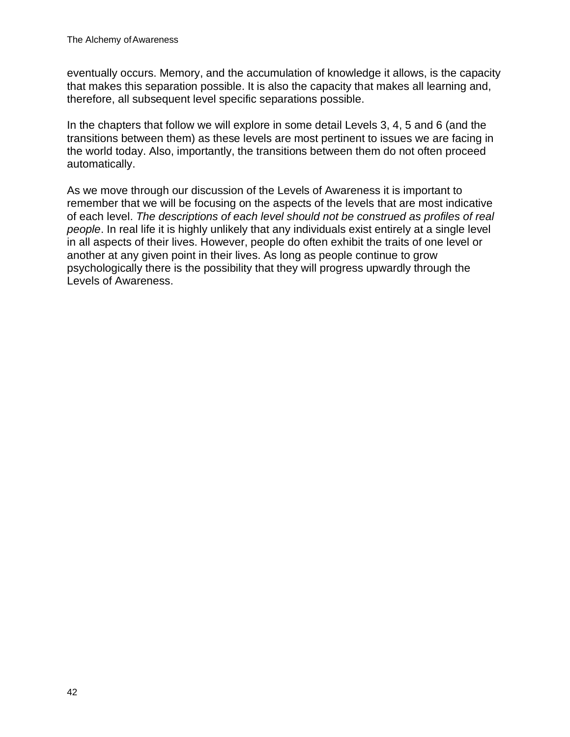eventually occurs. Memory, and the accumulation of knowledge it allows, is the capacity that makes this separation possible. It is also the capacity that makes all learning and, therefore, all subsequent level specific separations possible.

In the chapters that follow we will explore in some detail Levels 3, 4, 5 and 6 (and the transitions between them) as these levels are most pertinent to issues we are facing in the world today. Also, importantly, the transitions between them do not often proceed automatically.

As we move through our discussion of the Levels of Awareness it is important to remember that we will be focusing on the aspects of the levels that are most indicative of each level. *The descriptions of each level should not be construed as profiles of real people*. In real life it is highly unlikely that any individuals exist entirely at a single level in all aspects of their lives. However, people do often exhibit the traits of one level or another at any given point in their lives. As long as people continue to grow psychologically there is the possibility that they will progress upwardly through the Levels of Awareness.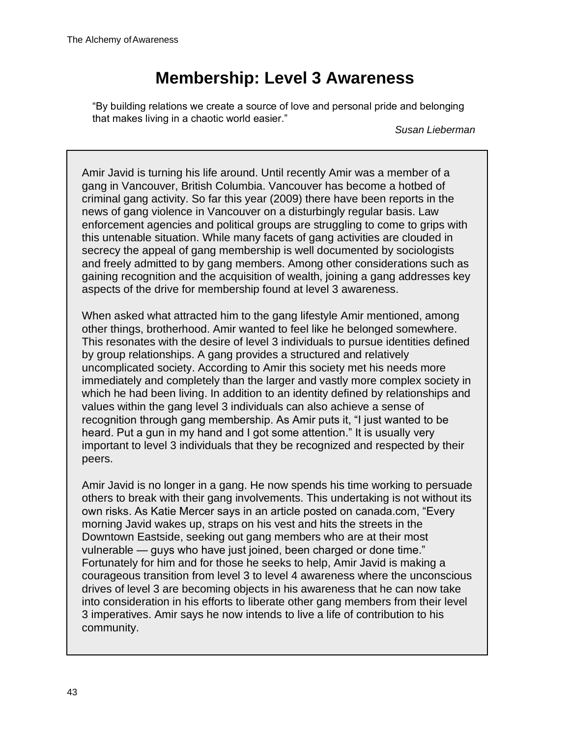# **Membership: Level 3 Awareness**

"By building relations we create a source of love and personal pride and belonging that makes living in a chaotic world easier."

*Susan Lieberman*

Amir Javid is turning his life around. Until recently Amir was a member of a gang in Vancouver, British Columbia. Vancouver has become a hotbed of criminal gang activity. So far this year (2009) there have been reports in the news of gang violence in Vancouver on a disturbingly regular basis. Law enforcement agencies and political groups are struggling to come to grips with this untenable situation. While many facets of gang activities are clouded in secrecy the appeal of gang membership is well documented by sociologists and freely admitted to by gang members. Among other considerations such as gaining recognition and the acquisition of wealth, joining a gang addresses key aspects of the drive for membership found at level 3 awareness.

When asked what attracted him to the gang lifestyle Amir mentioned, among other things, brotherhood. Amir wanted to feel like he belonged somewhere. This resonates with the desire of level 3 individuals to pursue identities defined by group relationships. A gang provides a structured and relatively uncomplicated society. According to Amir this society met his needs more immediately and completely than the larger and vastly more complex society in which he had been living. In addition to an identity defined by relationships and values within the gang level 3 individuals can also achieve a sense of recognition through gang membership. As Amir puts it, "I just wanted to be heard. Put a gun in my hand and I got some attention." It is usually very important to level 3 individuals that they be recognized and respected by their peers.

Amir Javid is no longer in a gang. He now spends his time working to persuade others to break with their gang involvements. This undertaking is not without its own risks. As Katie Mercer says in an article posted on canada.com, "Every morning Javid wakes up, straps on his vest and hits the streets in the Downtown Eastside, seeking out gang members who are at their most vulnerable — guys who have just joined, been charged or done time." Fortunately for him and for those he seeks to help, Amir Javid is making a courageous transition from level 3 to level 4 awareness where the unconscious drives of level 3 are becoming objects in his awareness that he can now take into consideration in his efforts to liberate other gang members from their level 3 imperatives. Amir says he now intends to live a life of contribution to his community.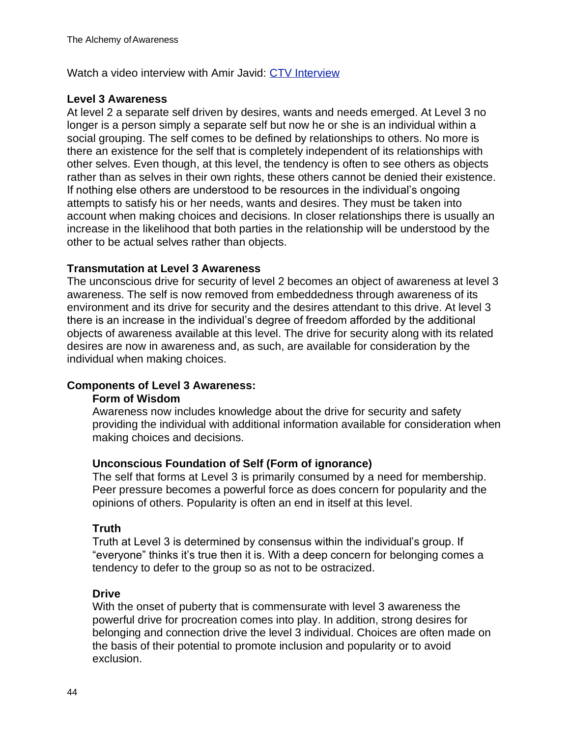Watch a video interview with Amir Javid: CTV Interview

#### **Level 3 Awareness**

At level 2 a separate self driven by desires, wants and needs emerged. At Level 3 no longer is a person simply a separate self but now he or she is an individual within a social grouping. The self comes to be defined by relationships to others. No more is there an existence for the self that is completely independent of its relationships with other selves. Even though, at this level, the tendency is often to see others as objects rather than as selves in their own rights, these others cannot be denied their existence. If nothing else others are understood to be resources in the individual's ongoing attempts to satisfy his or her needs, wants and desires. They must be taken into account when making choices and decisions. In closer relationships there is usually an increase in the likelihood that both parties in the relationship will be understood by the other to be actual selves rather than objects.

#### **Transmutation at Level 3 Awareness**

The unconscious drive for security of level 2 becomes an object of awareness at level 3 awareness. The self is now removed from embeddedness through awareness of its environment and its drive for security and the desires attendant to this drive. At level 3 there is an increase in the individual's degree of freedom afforded by the additional objects of awareness available at this level. The drive for security along with its related desires are now in awareness and, as such, are available for consideration by the individual when making choices.

#### **Components of Level 3 Awareness:**

#### **Form of Wisdom**

Awareness now includes knowledge about the drive for security and safety providing the individual with additional information available for consideration when making choices and decisions.

#### **Unconscious Foundation of Self (Form of ignorance)**

The self that forms at Level 3 is primarily consumed by a need for membership. Peer pressure becomes a powerful force as does concern for popularity and the opinions of others. Popularity is often an end in itself at this level.

## **Truth**

Truth at Level 3 is determined by consensus within the individual's group. If "everyone" thinks it's true then it is. With a deep concern for belonging comes a tendency to defer to the group so as not to be ostracized.

#### **Drive**

With the onset of puberty that is commensurate with level 3 awareness the powerful drive for procreation comes into play. In addition, strong desires for belonging and connection drive the level 3 individual. Choices are often made on the basis of their potential to promote inclusion and popularity or to avoid exclusion.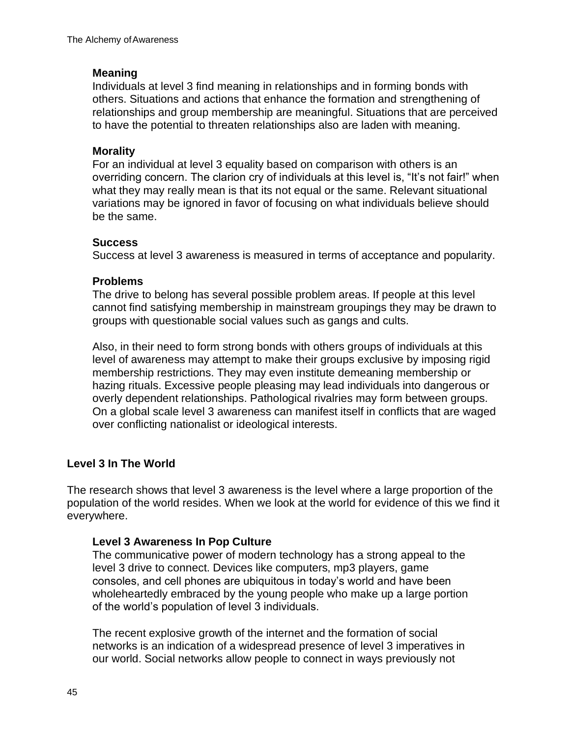#### **Meaning**

Individuals at level 3 find meaning in relationships and in forming bonds with others. Situations and actions that enhance the formation and strengthening of relationships and group membership are meaningful. Situations that are perceived to have the potential to threaten relationships also are laden with meaning.

### **Morality**

For an individual at level 3 equality based on comparison with others is an overriding concern. The clarion cry of individuals at this level is, "It's not fair!" when what they may really mean is that its not equal or the same. Relevant situational variations may be ignored in favor of focusing on what individuals believe should be the same.

#### **Success**

Success at level 3 awareness is measured in terms of acceptance and popularity.

#### **Problems**

The drive to belong has several possible problem areas. If people at this level cannot find satisfying membership in mainstream groupings they may be drawn to groups with questionable social values such as gangs and cults.

Also, in their need to form strong bonds with others groups of individuals at this level of awareness may attempt to make their groups exclusive by imposing rigid membership restrictions. They may even institute demeaning membership or hazing rituals. Excessive people pleasing may lead individuals into dangerous or overly dependent relationships. Pathological rivalries may form between groups. On a global scale level 3 awareness can manifest itself in conflicts that are waged over conflicting nationalist or ideological interests.

## **Level 3 In The World**

The research shows that level 3 awareness is the level where a large proportion of the population of the world resides. When we look at the world for evidence of this we find it everywhere.

## **Level 3 Awareness In Pop Culture**

The communicative power of modern technology has a strong appeal to the level 3 drive to connect. Devices like computers, mp3 players, game consoles, and cell phones are ubiquitous in today's world and have been wholeheartedly embraced by the young people who make up a large portion of the world's population of level 3 individuals.

The recent explosive growth of the internet and the formation of social networks is an indication of a widespread presence of level 3 imperatives in our world. Social networks allow people to connect in ways previously not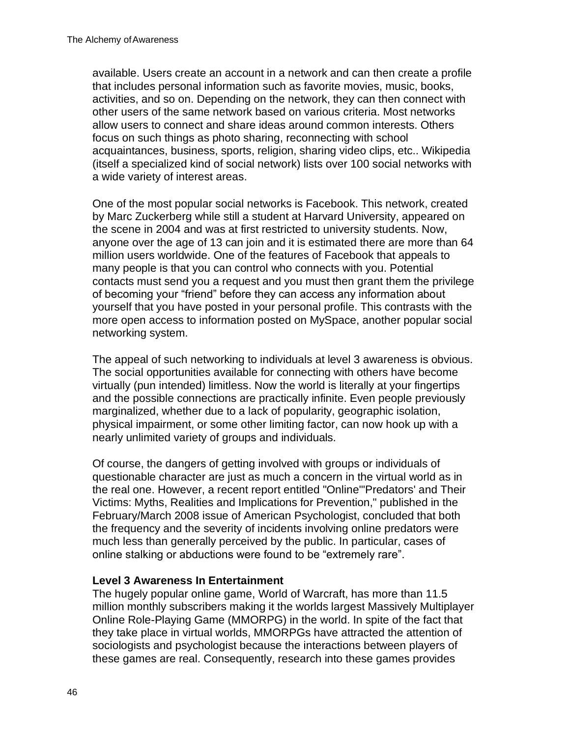available. Users create an account in a network and can then create a profile that includes personal information such as favorite movies, music, books, activities, and so on. Depending on the network, they can then connect with other users of the same network based on various criteria. Most networks allow users to connect and share ideas around common interests. Others focus on such things as photo sharing, reconnecting with school acquaintances, business, sports, religion, sharing video clips, etc.. Wikipedia (itself a specialized kind of social network) lists over 100 social networks with a wide variety of interest areas.

One of the most popular social networks is Facebook. This network, created by Marc Zuckerberg while still a student at Harvard University, appeared on the scene in 2004 and was at first restricted to university students. Now, anyone over the age of 13 can join and it is estimated there are more than 64 million users worldwide. One of the features of Facebook that appeals to many people is that you can control who connects with you. Potential contacts must send you a request and you must then grant them the privilege of becoming your "friend" before they can access any information about yourself that you have posted in your personal profile. This contrasts with the more open access to information posted on MySpace, another popular social networking system.

The appeal of such networking to individuals at level 3 awareness is obvious. The social opportunities available for connecting with others have become virtually (pun intended) limitless. Now the world is literally at your fingertips and the possible connections are practically infinite. Even people previously marginalized, whether due to a lack of popularity, geographic isolation, physical impairment, or some other limiting factor, can now hook up with a nearly unlimited variety of groups and individuals.

Of course, the dangers of getting involved with groups or individuals of questionable character are just as much a concern in the virtual world as in the real one. However, a recent report entitled "Online"'Predators' and Their Victims: Myths, Realities and Implications for Prevention," published in the February/March 2008 issue of American Psychologist, concluded that both the frequency and the severity of incidents involving online predators were much less than generally perceived by the public. In particular, cases of online stalking or abductions were found to be "extremely rare".

#### **Level 3 Awareness In Entertainment**

The hugely popular online game, World of Warcraft, has more than 11.5 million monthly subscribers making it the worlds largest Massively Multiplayer Online Role-Playing Game (MMORPG) in the world. In spite of the fact that they take place in virtual worlds, MMORPGs have attracted the attention of sociologists and psychologist because the interactions between players of these games are real. Consequently, research into these games provides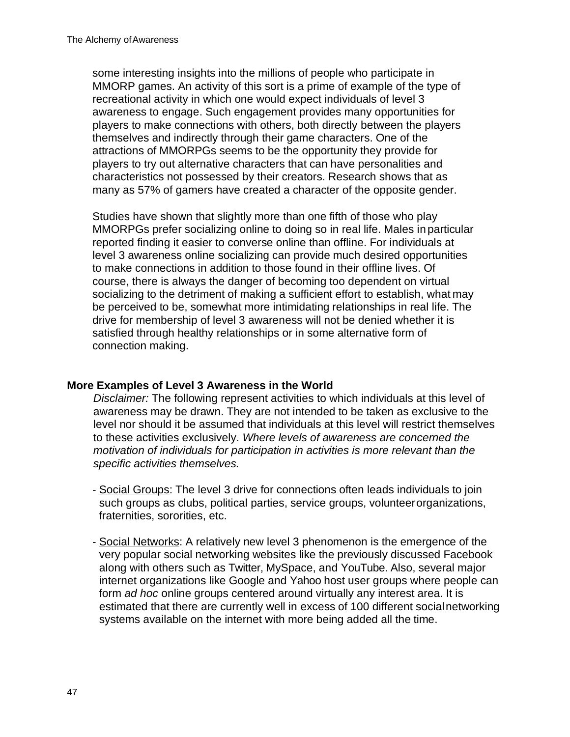some interesting insights into the millions of people who participate in MMORP games. An activity of this sort is a prime of example of the type of recreational activity in which one would expect individuals of level 3 awareness to engage. Such engagement provides many opportunities for players to make connections with others, both directly between the players themselves and indirectly through their game characters. One of the attractions of MMORPGs seems to be the opportunity they provide for players to try out alternative characters that can have personalities and characteristics not possessed by their creators. Research shows that as many as 57% of gamers have created a character of the opposite gender.

Studies have shown that slightly more than one fifth of those who play MMORPGs prefer socializing online to doing so in real life. Males inparticular reported finding it easier to converse online than offline. For individuals at level 3 awareness online socializing can provide much desired opportunities to make connections in addition to those found in their offline lives. Of course, there is always the danger of becoming too dependent on virtual socializing to the detriment of making a sufficient effort to establish, what may be perceived to be, somewhat more intimidating relationships in real life. The drive for membership of level 3 awareness will not be denied whether it is satisfied through healthy relationships or in some alternative form of connection making.

## **More Examples of Level 3 Awareness in the World**

*Disclaimer:* The following represent activities to which individuals at this level of awareness may be drawn. They are not intended to be taken as exclusive to the level nor should it be assumed that individuals at this level will restrict themselves to these activities exclusively. *Where levels of awareness are concerned the motivation of individuals for participation in activities is more relevant than the specific activities themselves.*

- Social Groups: The level 3 drive for connections often leads individuals to join such groups as clubs, political parties, service groups, volunteerorganizations, fraternities, sororities, etc.
- Social Networks: A relatively new level 3 phenomenon is the emergence of the very popular social networking websites like the previously discussed Facebook along with others such as Twitter, MySpace, and YouTube. Also, several major internet organizations like Google and Yahoo host user groups where people can form *ad hoc* online groups centered around virtually any interest area. It is estimated that there are currently well in excess of 100 different socialnetworking systems available on the internet with more being added all the time.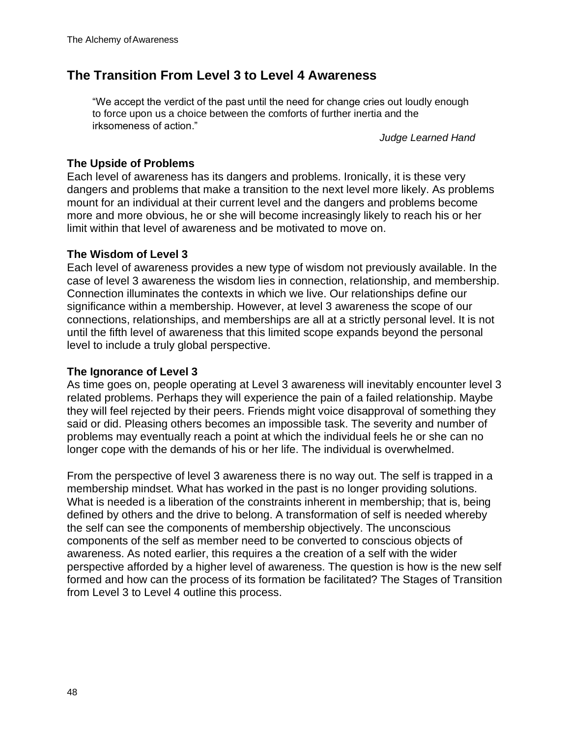## **The Transition From Level 3 to Level 4 Awareness**

"We accept the verdict of the past until the need for change cries out loudly enough to force upon us a choice between the comforts of further inertia and the irksomeness of action."

*Judge Learned Hand*

### **The Upside of Problems**

Each level of awareness has its dangers and problems. Ironically, it is these very dangers and problems that make a transition to the next level more likely. As problems mount for an individual at their current level and the dangers and problems become more and more obvious, he or she will become increasingly likely to reach his or her limit within that level of awareness and be motivated to move on.

#### **The Wisdom of Level 3**

Each level of awareness provides a new type of wisdom not previously available. In the case of level 3 awareness the wisdom lies in connection, relationship, and membership. Connection illuminates the contexts in which we live. Our relationships define our significance within a membership. However, at level 3 awareness the scope of our connections, relationships, and memberships are all at a strictly personal level. It is not until the fifth level of awareness that this limited scope expands beyond the personal level to include a truly global perspective.

#### **The Ignorance of Level 3**

As time goes on, people operating at Level 3 awareness will inevitably encounter level 3 related problems. Perhaps they will experience the pain of a failed relationship. Maybe they will feel rejected by their peers. Friends might voice disapproval of something they said or did. Pleasing others becomes an impossible task. The severity and number of problems may eventually reach a point at which the individual feels he or she can no longer cope with the demands of his or her life. The individual is overwhelmed.

From the perspective of level 3 awareness there is no way out. The self is trapped in a membership mindset. What has worked in the past is no longer providing solutions. What is needed is a liberation of the constraints inherent in membership; that is, being defined by others and the drive to belong. A transformation of self is needed whereby the self can see the components of membership objectively. The unconscious components of the self as member need to be converted to conscious objects of awareness. As noted earlier, this requires a the creation of a self with the wider perspective afforded by a higher level of awareness. The question is how is the new self formed and how can the process of its formation be facilitated? The Stages of Transition from Level 3 to Level 4 outline this process.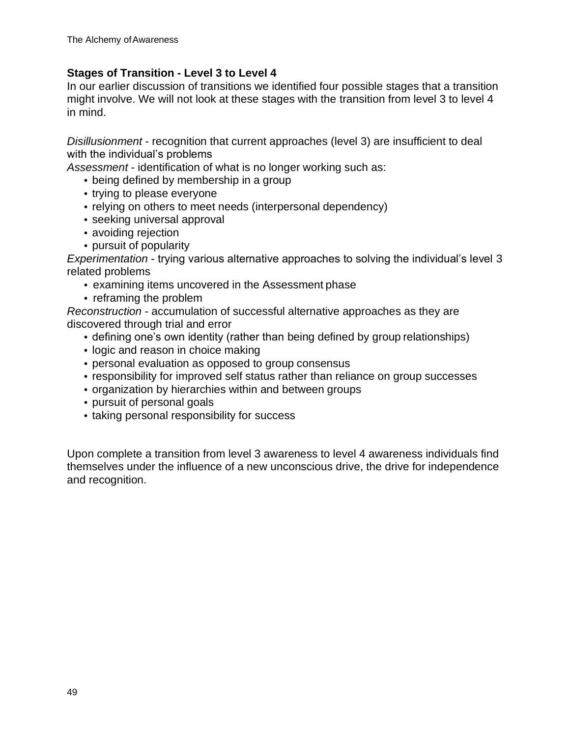#### **Stages of Transition - Level 3 to Level 4**

In our earlier discussion of transitions we identified four possible stages that a transition might involve. We will not look at these stages with the transition from level 3 to level 4 in mind.

*Disillusionment* - recognition that current approaches (level 3) are insufficient to deal with the individual's problems

*Assessment* - identification of what is no longer working such as:

- being defined by membership in a group
- trying to please everyone
- relying on others to meet needs (interpersonal dependency)
- seeking universal approval
- avoiding rejection
- pursuit of popularity

*Experimentation* - trying various alternative approaches to solving the individual's level 3 related problems

- examining items uncovered in the Assessment phase
- reframing the problem

*Reconstruction* - accumulation of successful alternative approaches as they are discovered through trial and error

- defining one's own identity (rather than being defined by group relationships)
- logic and reason in choice making
- personal evaluation as opposed to group consensus
- responsibility for improved self status rather than reliance on group successes
- organization by hierarchies within and between groups
- pursuit of personal goals
- taking personal responsibility for success

Upon complete a transition from level 3 awareness to level 4 awareness individuals find themselves under the influence of a new unconscious drive, the drive for independence and recognition.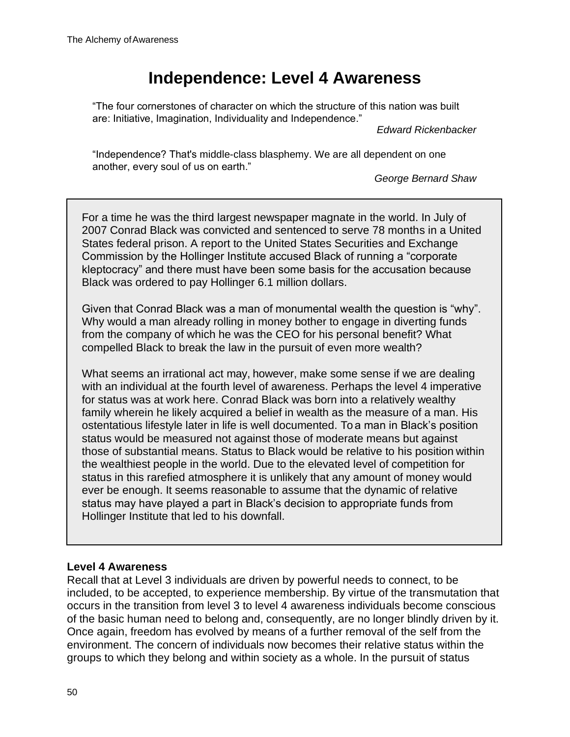# **Independence: Level 4 Awareness**

"The four cornerstones of character on which the structure of this nation was built are: Initiative, Imagination, Individuality and Independence."

*Edward Rickenbacker*

"Independence? That's middle-class blasphemy. We are all dependent on one another, every soul of us on earth."

*George Bernard Shaw*

For a time he was the third largest newspaper magnate in the world. In July of 2007 Conrad Black was convicted and sentenced to serve 78 months in a United States federal prison. A report to the United States Securities and Exchange Commission by the Hollinger Institute accused Black of running a "corporate kleptocracy" and there must have been some basis for the accusation because Black was ordered to pay Hollinger 6.1 million dollars.

Given that Conrad Black was a man of monumental wealth the question is "why". Why would a man already rolling in money bother to engage in diverting funds from the company of which he was the CEO for his personal benefit? What compelled Black to break the law in the pursuit of even more wealth?

What seems an irrational act may, however, make some sense if we are dealing with an individual at the fourth level of awareness. Perhaps the level 4 imperative for status was at work here. Conrad Black was born into a relatively wealthy family wherein he likely acquired a belief in wealth as the measure of a man. His ostentatious lifestyle later in life is well documented. To a man in Black's position status would be measured not against those of moderate means but against those of substantial means. Status to Black would be relative to his position within the wealthiest people in the world. Due to the elevated level of competition for status in this rarefied atmosphere it is unlikely that any amount of money would ever be enough. It seems reasonable to assume that the dynamic of relative status may have played a part in Black's decision to appropriate funds from Hollinger Institute that led to his downfall.

## **Level 4 Awareness**

Recall that at Level 3 individuals are driven by powerful needs to connect, to be included, to be accepted, to experience membership. By virtue of the transmutation that occurs in the transition from level 3 to level 4 awareness individuals become conscious of the basic human need to belong and, consequently, are no longer blindly driven by it. Once again, freedom has evolved by means of a further removal of the self from the environment. The concern of individuals now becomes their relative status within the groups to which they belong and within society as a whole. In the pursuit of status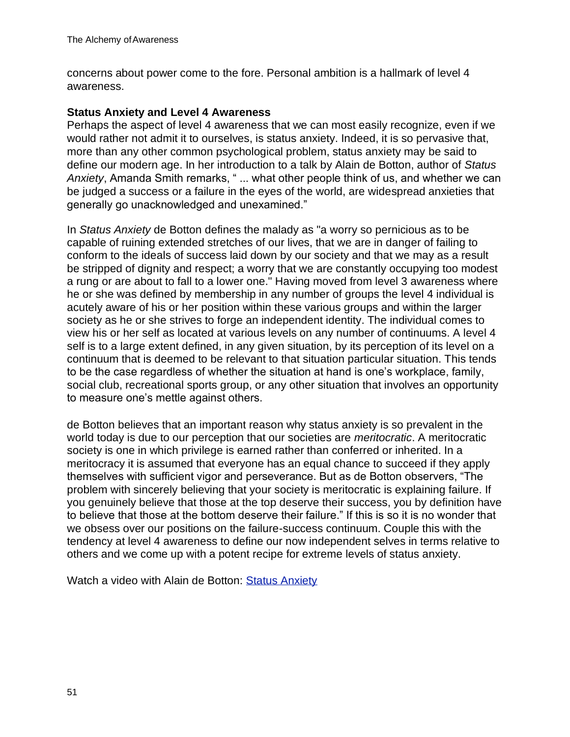concerns about power come to the fore. Personal ambition is a hallmark of level 4 awareness.

#### **Status Anxiety and Level 4 Awareness**

Perhaps the aspect of level 4 awareness that we can most easily recognize, even if we would rather not admit it to ourselves, is status anxiety. Indeed, it is so pervasive that, more than any other common psychological problem, status anxiety may be said to define our modern age. In her introduction to a talk by Alain de Botton, author of *Status Anxiety*, Amanda Smith remarks, " ... what other people think of us, and whether we can be judged a success or a failure in the eyes of the world, are widespread anxieties that generally go unacknowledged and unexamined."

In *Status Anxiety* de Botton defines the malady as "a worry so pernicious as to be capable of ruining extended stretches of our lives, that we are in danger of failing to conform to the ideals of success laid down by our society and that we may as a result be stripped of dignity and respect; a worry that we are constantly occupying too modest a rung or are about to fall to a lower one." Having moved from level 3 awareness where he or she was defined by membership in any number of groups the level 4 individual is acutely aware of his or her position within these various groups and within the larger society as he or she strives to forge an independent identity. The individual comes to view his or her self as located at various levels on any number of continuums. A level 4 self is to a large extent defined, in any given situation, by its perception of its level on a continuum that is deemed to be relevant to that situation particular situation. This tends to be the case regardless of whether the situation at hand is one's workplace, family, social club, recreational sports group, or any other situation that involves an opportunity to measure one's mettle against others.

de Botton believes that an important reason why status anxiety is so prevalent in the world today is due to our perception that our societies are *meritocratic*. A meritocratic society is one in which privilege is earned rather than conferred or inherited. In a meritocracy it is assumed that everyone has an equal chance to succeed if they apply themselves with sufficient vigor and perseverance. But as de Botton observers, "The problem with sincerely believing that your society is meritocratic is explaining failure. If you genuinely believe that those at the top deserve their success, you by definition have to believe that those at the bottom deserve their failure." If this is so it is no wonder that we obsess over our positions on the failure-success continuum. Couple this with the tendency at level 4 awareness to define our now independent selves in terms relative to others and we come up with a potent recipe for extreme levels of status anxiety.

Watch a video with Alain de Botton: Status Anxiety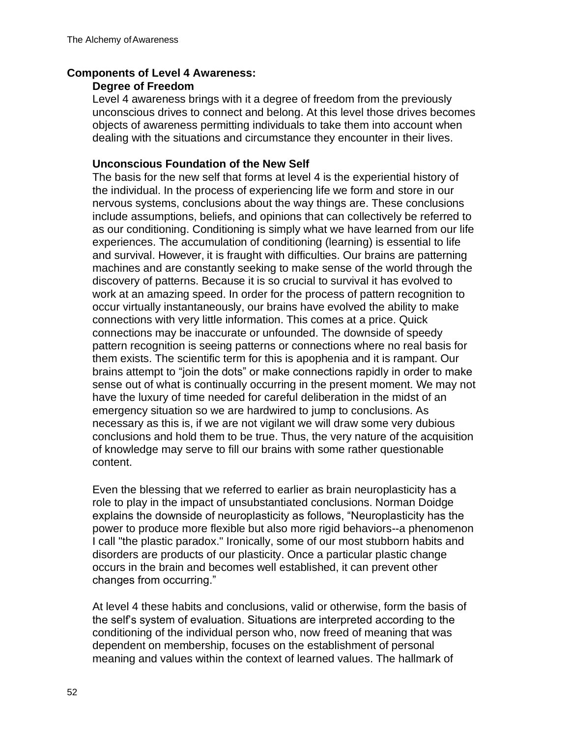#### **Components of Level 4 Awareness:**

#### **Degree of Freedom**

Level 4 awareness brings with it a degree of freedom from the previously unconscious drives to connect and belong. At this level those drives becomes objects of awareness permitting individuals to take them into account when dealing with the situations and circumstance they encounter in their lives.

#### **Unconscious Foundation of the New Self**

The basis for the new self that forms at level 4 is the experiential history of the individual. In the process of experiencing life we form and store in our nervous systems, conclusions about the way things are. These conclusions include assumptions, beliefs, and opinions that can collectively be referred to as our conditioning. Conditioning is simply what we have learned from our life experiences. The accumulation of conditioning (learning) is essential to life and survival. However, it is fraught with difficulties. Our brains are patterning machines and are constantly seeking to make sense of the world through the discovery of patterns. Because it is so crucial to survival it has evolved to work at an amazing speed. In order for the process of pattern recognition to occur virtually instantaneously, our brains have evolved the ability to make connections with very little information. This comes at a price. Quick connections may be inaccurate or unfounded. The downside of speedy pattern recognition is seeing patterns or connections where no real basis for them exists. The scientific term for this is apophenia and it is rampant. Our brains attempt to "join the dots" or make connections rapidly in order to make sense out of what is continually occurring in the present moment. We may not have the luxury of time needed for careful deliberation in the midst of an emergency situation so we are hardwired to jump to conclusions. As necessary as this is, if we are not vigilant we will draw some very dubious conclusions and hold them to be true. Thus, the very nature of the acquisition of knowledge may serve to fill our brains with some rather questionable content.

Even the blessing that we referred to earlier as brain neuroplasticity has a role to play in the impact of unsubstantiated conclusions. Norman Doidge explains the downside of neuroplasticity as follows, "Neuroplasticity has the power to produce more flexible but also more rigid behaviors--a phenomenon I call "the plastic paradox." Ironically, some of our most stubborn habits and disorders are products of our plasticity. Once a particular plastic change occurs in the brain and becomes well established, it can prevent other changes from occurring."

At level 4 these habits and conclusions, valid or otherwise, form the basis of the self's system of evaluation. Situations are interpreted according to the conditioning of the individual person who, now freed of meaning that was dependent on membership, focuses on the establishment of personal meaning and values within the context of learned values. The hallmark of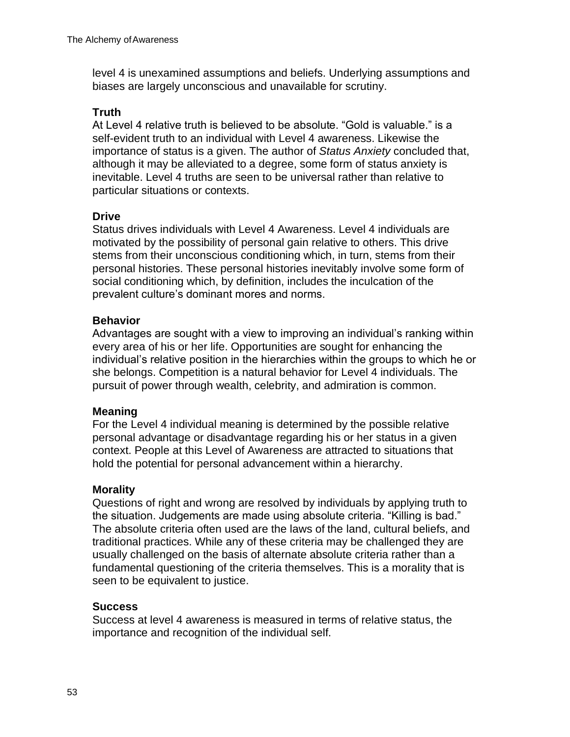level 4 is unexamined assumptions and beliefs. Underlying assumptions and biases are largely unconscious and unavailable for scrutiny.

#### **Truth**

At Level 4 relative truth is believed to be absolute. "Gold is valuable." is a self-evident truth to an individual with Level 4 awareness. Likewise the importance of status is a given. The author of *Status Anxiety* concluded that, although it may be alleviated to a degree, some form of status anxiety is inevitable. Level 4 truths are seen to be universal rather than relative to particular situations or contexts.

#### **Drive**

Status drives individuals with Level 4 Awareness. Level 4 individuals are motivated by the possibility of personal gain relative to others. This drive stems from their unconscious conditioning which, in turn, stems from their personal histories. These personal histories inevitably involve some form of social conditioning which, by definition, includes the inculcation of the prevalent culture's dominant mores and norms.

#### **Behavior**

Advantages are sought with a view to improving an individual's ranking within every area of his or her life. Opportunities are sought for enhancing the individual's relative position in the hierarchies within the groups to which he or she belongs. Competition is a natural behavior for Level 4 individuals. The pursuit of power through wealth, celebrity, and admiration is common.

#### **Meaning**

For the Level 4 individual meaning is determined by the possible relative personal advantage or disadvantage regarding his or her status in a given context. People at this Level of Awareness are attracted to situations that hold the potential for personal advancement within a hierarchy.

## **Morality**

Questions of right and wrong are resolved by individuals by applying truth to the situation. Judgements are made using absolute criteria. "Killing is bad." The absolute criteria often used are the laws of the land, cultural beliefs, and traditional practices. While any of these criteria may be challenged they are usually challenged on the basis of alternate absolute criteria rather than a fundamental questioning of the criteria themselves. This is a morality that is seen to be equivalent to justice.

#### **Success**

Success at level 4 awareness is measured in terms of relative status, the importance and recognition of the individual self.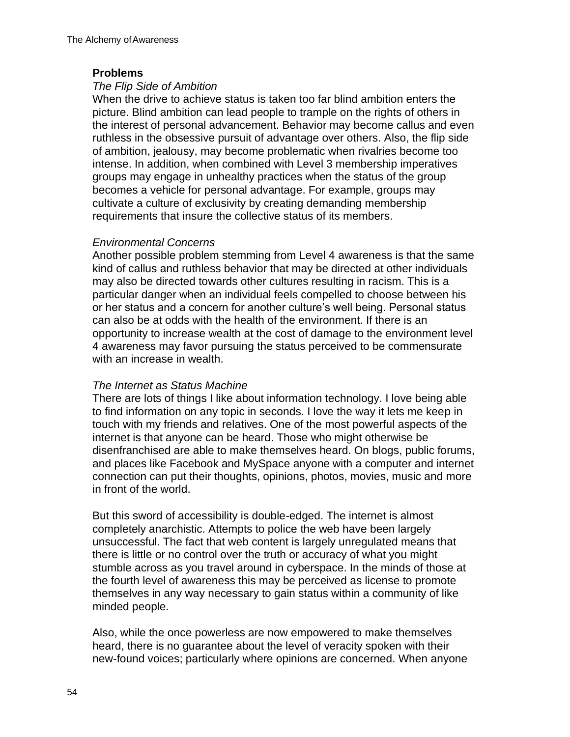#### **Problems**

#### *The Flip Side of Ambition*

When the drive to achieve status is taken too far blind ambition enters the picture. Blind ambition can lead people to trample on the rights of others in the interest of personal advancement. Behavior may become callus and even ruthless in the obsessive pursuit of advantage over others. Also, the flip side of ambition, jealousy, may become problematic when rivalries become too intense. In addition, when combined with Level 3 membership imperatives groups may engage in unhealthy practices when the status of the group becomes a vehicle for personal advantage. For example, groups may cultivate a culture of exclusivity by creating demanding membership requirements that insure the collective status of its members.

#### *Environmental Concerns*

Another possible problem stemming from Level 4 awareness is that the same kind of callus and ruthless behavior that may be directed at other individuals may also be directed towards other cultures resulting in racism. This is a particular danger when an individual feels compelled to choose between his or her status and a concern for another culture's well being. Personal status can also be at odds with the health of the environment. If there is an opportunity to increase wealth at the cost of damage to the environment level 4 awareness may favor pursuing the status perceived to be commensurate with an increase in wealth.

#### *The Internet as Status Machine*

There are lots of things I like about information technology. I love being able to find information on any topic in seconds. I love the way it lets me keep in touch with my friends and relatives. One of the most powerful aspects of the internet is that anyone can be heard. Those who might otherwise be disenfranchised are able to make themselves heard. On blogs, public forums, and places like Facebook and MySpace anyone with a computer and internet connection can put their thoughts, opinions, photos, movies, music and more in front of the world.

But this sword of accessibility is double-edged. The internet is almost completely anarchistic. Attempts to police the web have been largely unsuccessful. The fact that web content is largely unregulated means that there is little or no control over the truth or accuracy of what you might stumble across as you travel around in cyberspace. In the minds of those at the fourth level of awareness this may be perceived as license to promote themselves in any way necessary to gain status within a community of like minded people.

Also, while the once powerless are now empowered to make themselves heard, there is no guarantee about the level of veracity spoken with their new-found voices; particularly where opinions are concerned. When anyone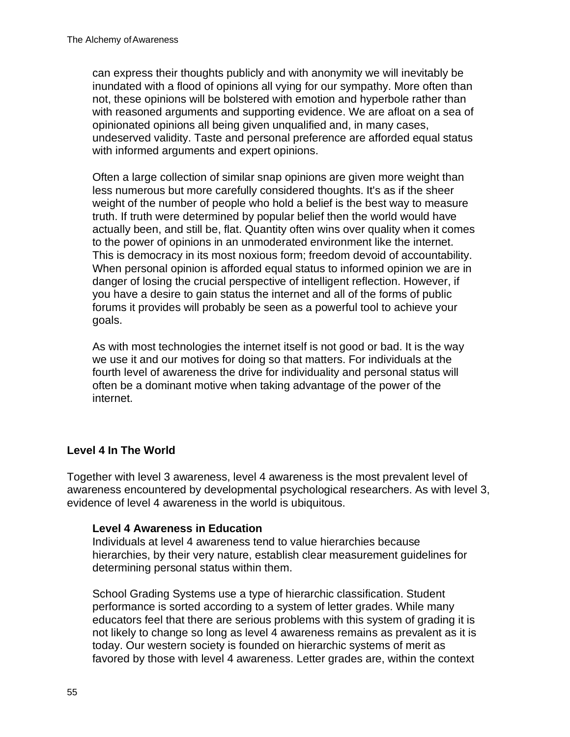can express their thoughts publicly and with anonymity we will inevitably be inundated with a flood of opinions all vying for our sympathy. More often than not, these opinions will be bolstered with emotion and hyperbole rather than with reasoned arguments and supporting evidence. We are afloat on a sea of opinionated opinions all being given unqualified and, in many cases, undeserved validity. Taste and personal preference are afforded equal status with informed arguments and expert opinions.

Often a large collection of similar snap opinions are given more weight than less numerous but more carefully considered thoughts. It's as if the sheer weight of the number of people who hold a belief is the best way to measure truth. If truth were determined by popular belief then the world would have actually been, and still be, flat. Quantity often wins over quality when it comes to the power of opinions in an unmoderated environment like the internet. This is democracy in its most noxious form; freedom devoid of accountability. When personal opinion is afforded equal status to informed opinion we are in danger of losing the crucial perspective of intelligent reflection. However, if you have a desire to gain status the internet and all of the forms of public forums it provides will probably be seen as a powerful tool to achieve your goals.

As with most technologies the internet itself is not good or bad. It is the way we use it and our motives for doing so that matters. For individuals at the fourth level of awareness the drive for individuality and personal status will often be a dominant motive when taking advantage of the power of the internet.

## **Level 4 In The World**

Together with level 3 awareness, level 4 awareness is the most prevalent level of awareness encountered by developmental psychological researchers. As with level 3, evidence of level 4 awareness in the world is ubiquitous.

#### **Level 4 Awareness in Education**

Individuals at level 4 awareness tend to value hierarchies because hierarchies, by their very nature, establish clear measurement guidelines for determining personal status within them.

School Grading Systems use a type of hierarchic classification. Student performance is sorted according to a system of letter grades. While many educators feel that there are serious problems with this system of grading it is not likely to change so long as level 4 awareness remains as prevalent as it is today. Our western society is founded on hierarchic systems of merit as favored by those with level 4 awareness. Letter grades are, within the context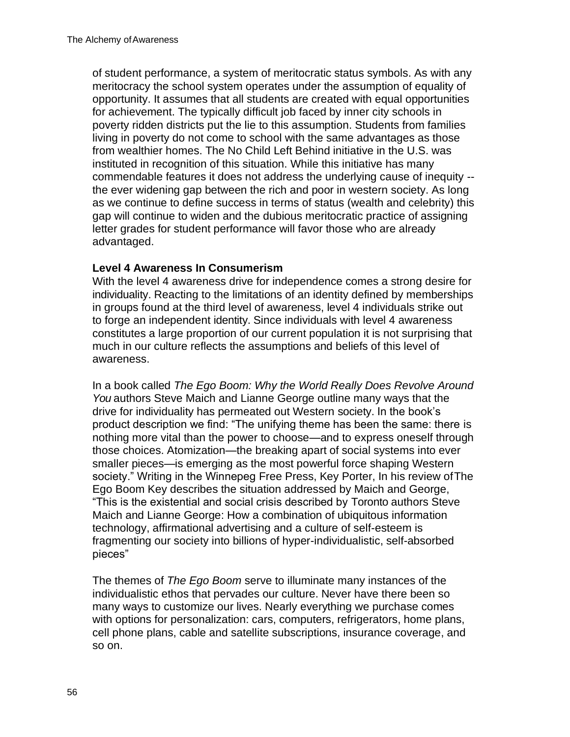of student performance, a system of meritocratic status symbols. As with any meritocracy the school system operates under the assumption of equality of opportunity. It assumes that all students are created with equal opportunities for achievement. The typically difficult job faced by inner city schools in poverty ridden districts put the lie to this assumption. Students from families living in poverty do not come to school with the same advantages as those from wealthier homes. The No Child Left Behind initiative in the U.S. was instituted in recognition of this situation. While this initiative has many commendable features it does not address the underlying cause of inequity - the ever widening gap between the rich and poor in western society. As long as we continue to define success in terms of status (wealth and celebrity) this gap will continue to widen and the dubious meritocratic practice of assigning letter grades for student performance will favor those who are already advantaged.

#### **Level 4 Awareness In Consumerism**

With the level 4 awareness drive for independence comes a strong desire for individuality. Reacting to the limitations of an identity defined by memberships in groups found at the third level of awareness, level 4 individuals strike out to forge an independent identity. Since individuals with level 4 awareness constitutes a large proportion of our current population it is not surprising that much in our culture reflects the assumptions and beliefs of this level of awareness.

In a book called *The Ego Boom: Why the World Really Does Revolve Around You* authors Steve Maich and Lianne George outline many ways that the drive for individuality has permeated out Western society. In the book's product description we find: "The unifying theme has been the same: there is nothing more vital than the power to choose—and to express oneself through those choices. Atomization—the breaking apart of social systems into ever smaller pieces—is emerging as the most powerful force shaping Western society." Writing in the Winnepeg Free Press, Key Porter, In his review ofThe Ego Boom Key describes the situation addressed by Maich and George, "This is the existential and social crisis described by Toronto authors Steve Maich and Lianne George: How a combination of ubiquitous information technology, affirmational advertising and a culture of self-esteem is fragmenting our society into billions of hyper-individualistic, self-absorbed pieces"

The themes of *The Ego Boom* serve to illuminate many instances of the individualistic ethos that pervades our culture. Never have there been so many ways to customize our lives. Nearly everything we purchase comes with options for personalization: cars, computers, refrigerators, home plans, cell phone plans, cable and satellite subscriptions, insurance coverage, and so on.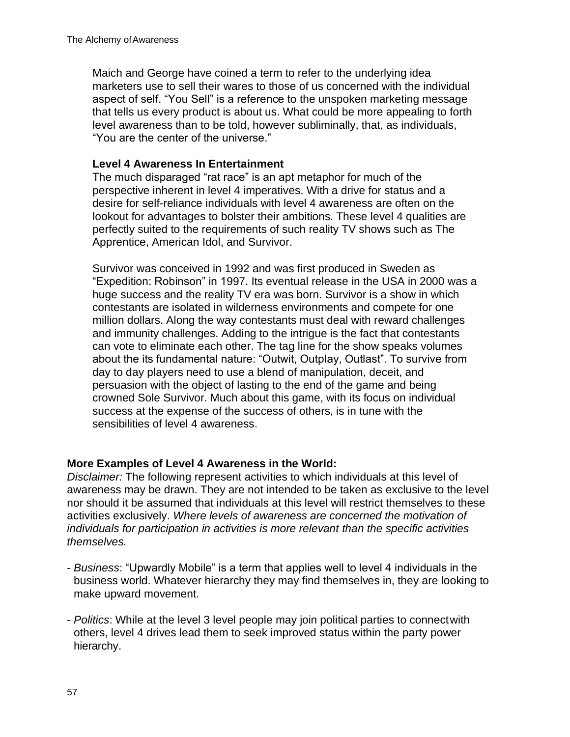Maich and George have coined a term to refer to the underlying idea marketers use to sell their wares to those of us concerned with the individual aspect of self. "You Sell" is a reference to the unspoken marketing message that tells us every product is about us. What could be more appealing to forth level awareness than to be told, however subliminally, that, as individuals, "You are the center of the universe."

#### **Level 4 Awareness In Entertainment**

The much disparaged "rat race" is an apt metaphor for much of the perspective inherent in level 4 imperatives. With a drive for status and a desire for self-reliance individuals with level 4 awareness are often on the lookout for advantages to bolster their ambitions. These level 4 qualities are perfectly suited to the requirements of such reality TV shows such as The Apprentice, American Idol, and Survivor.

Survivor was conceived in 1992 and was first produced in Sweden as "Expedition: Robinson" in 1997. Its eventual release in the USA in 2000 was a huge success and the reality TV era was born. Survivor is a show in which contestants are isolated in wilderness environments and compete for one million dollars. Along the way contestants must deal with reward challenges and immunity challenges. Adding to the intrigue is the fact that contestants can vote to eliminate each other. The tag line for the show speaks volumes about the its fundamental nature: "Outwit, Outplay, Outlast". To survive from day to day players need to use a blend of manipulation, deceit, and persuasion with the object of lasting to the end of the game and being crowned Sole Survivor. Much about this game, with its focus on individual success at the expense of the success of others, is in tune with the sensibilities of level 4 awareness.

## **More Examples of Level 4 Awareness in the World:**

*Disclaimer:* The following represent activities to which individuals at this level of awareness may be drawn. They are not intended to be taken as exclusive to the level nor should it be assumed that individuals at this level will restrict themselves to these activities exclusively. *Where levels of awareness are concerned the motivation of individuals for participation in activities is more relevant than the specific activities themselves.*

- *Business*: "Upwardly Mobile" is a term that applies well to level 4 individuals in the business world. Whatever hierarchy they may find themselves in, they are looking to make upward movement.
- *Politics*: While at the level 3 level people may join political parties to connectwith others, level 4 drives lead them to seek improved status within the party power hierarchy.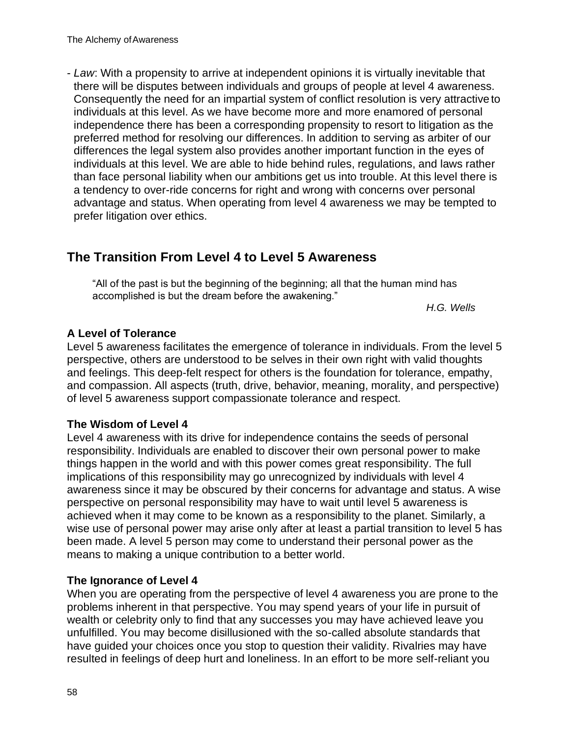- *Law*: With a propensity to arrive at independent opinions it is virtually inevitable that there will be disputes between individuals and groups of people at level 4 awareness. Consequently the need for an impartial system of conflict resolution is very attractive to individuals at this level. As we have become more and more enamored of personal independence there has been a corresponding propensity to resort to litigation as the preferred method for resolving our differences. In addition to serving as arbiter of our differences the legal system also provides another important function in the eyes of individuals at this level. We are able to hide behind rules, regulations, and laws rather than face personal liability when our ambitions get us into trouble. At this level there is a tendency to over-ride concerns for right and wrong with concerns over personal advantage and status. When operating from level 4 awareness we may be tempted to prefer litigation over ethics.

## **The Transition From Level 4 to Level 5 Awareness**

"All of the past is but the beginning of the beginning; all that the human mind has accomplished is but the dream before the awakening."

*H.G. Wells*

## **A Level of Tolerance**

Level 5 awareness facilitates the emergence of tolerance in individuals. From the level 5 perspective, others are understood to be selves in their own right with valid thoughts and feelings. This deep-felt respect for others is the foundation for tolerance, empathy, and compassion. All aspects (truth, drive, behavior, meaning, morality, and perspective) of level 5 awareness support compassionate tolerance and respect.

## **The Wisdom of Level 4**

Level 4 awareness with its drive for independence contains the seeds of personal responsibility. Individuals are enabled to discover their own personal power to make things happen in the world and with this power comes great responsibility. The full implications of this responsibility may go unrecognized by individuals with level 4 awareness since it may be obscured by their concerns for advantage and status. A wise perspective on personal responsibility may have to wait until level 5 awareness is achieved when it may come to be known as a responsibility to the planet. Similarly, a wise use of personal power may arise only after at least a partial transition to level 5 has been made. A level 5 person may come to understand their personal power as the means to making a unique contribution to a better world.

#### **The Ignorance of Level 4**

When you are operating from the perspective of level 4 awareness you are prone to the problems inherent in that perspective. You may spend years of your life in pursuit of wealth or celebrity only to find that any successes you may have achieved leave you unfulfilled. You may become disillusioned with the so-called absolute standards that have guided your choices once you stop to question their validity. Rivalries may have resulted in feelings of deep hurt and loneliness. In an effort to be more self-reliant you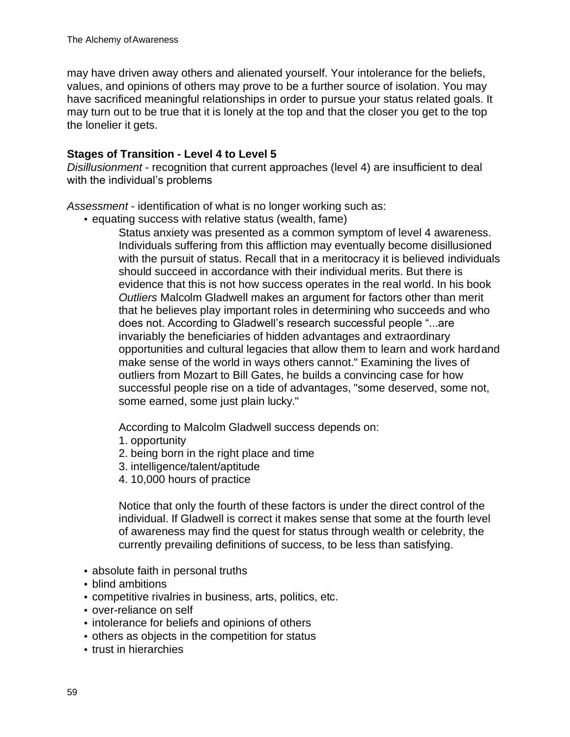may have driven away others and alienated yourself. Your intolerance for the beliefs, values, and opinions of others may prove to be a further source of isolation. You may have sacrificed meaningful relationships in order to pursue your status related goals. It may turn out to be true that it is lonely at the top and that the closer you get to the top the lonelier it gets.

#### **Stages of Transition - Level 4 to Level 5**

*Disillusionment* - recognition that current approaches (level 4) are insufficient to deal with the individual's problems

*Assessment* - identification of what is no longer working such as:

• equating success with relative status (wealth, fame)

Status anxiety was presented as a common symptom of level 4 awareness. Individuals suffering from this affliction may eventually become disillusioned with the pursuit of status. Recall that in a meritocracy it is believed individuals should succeed in accordance with their individual merits. But there is evidence that this is not how success operates in the real world. In his book *Outliers* Malcolm Gladwell makes an argument for factors other than merit that he believes play important roles in determining who succeeds and who does not. According to Gladwell's research successful people "...are invariably the beneficiaries of hidden advantages and extraordinary opportunities and cultural legacies that allow them to learn and work hardand make sense of the world in ways others cannot." Examining the lives of outliers from Mozart to Bill Gates, he builds a convincing case for how successful people rise on a tide of advantages, "some deserved, some not, some earned, some just plain lucky."

According to Malcolm Gladwell success depends on:

- 1. opportunity
- 2. being born in the right place and time
- 3. intelligence/talent/aptitude
- 4. 10,000 hours of practice

Notice that only the fourth of these factors is under the direct control of the individual. If Gladwell is correct it makes sense that some at the fourth level of awareness may find the quest for status through wealth or celebrity, the currently prevailing definitions of success, to be less than satisfying.

- absolute faith in personal truths
- blind ambitions
- competitive rivalries in business, arts, politics, etc.
- over-reliance on self
- intolerance for beliefs and opinions of others
- others as objects in the competition for status
- trust in hierarchies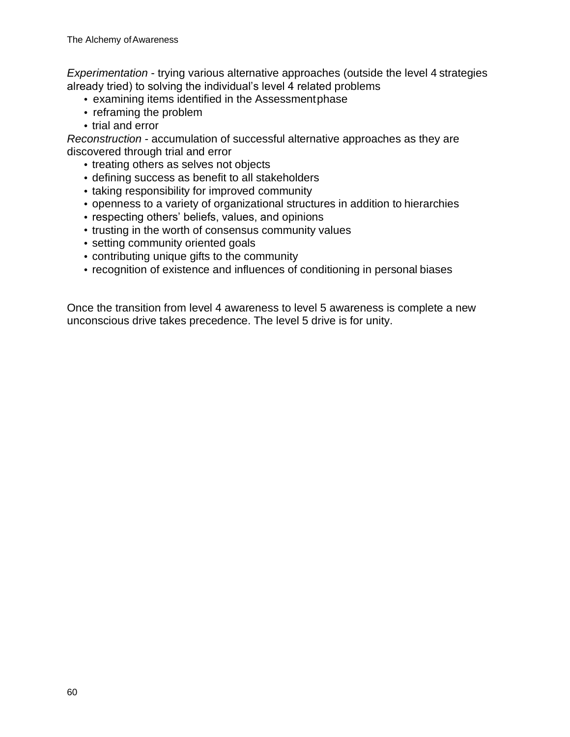*Experimentation* - trying various alternative approaches (outside the level 4 strategies already tried) to solving the individual's level 4 related problems

- examining items identified in the Assessmentphase
- reframing the problem
- trial and error

*Reconstruction* - accumulation of successful alternative approaches as they are discovered through trial and error

- treating others as selves not objects
- defining success as benefit to all stakeholders
- taking responsibility for improved community
- openness to a variety of organizational structures in addition to hierarchies
- respecting others' beliefs, values, and opinions
- trusting in the worth of consensus community values
- setting community oriented goals
- contributing unique gifts to the community
- recognition of existence and influences of conditioning in personal biases

Once the transition from level 4 awareness to level 5 awareness is complete a new unconscious drive takes precedence. The level 5 drive is for unity.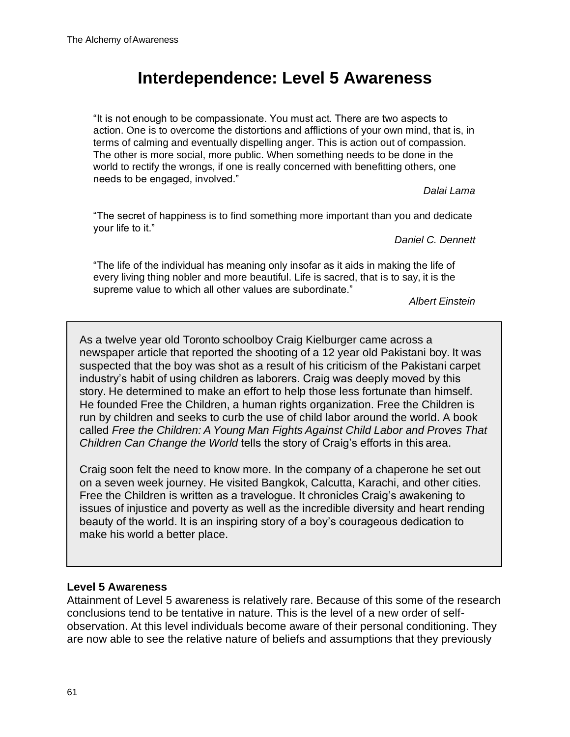# **Interdependence: Level 5 Awareness**

"It is not enough to be compassionate. You must act. There are two aspects to action. One is to overcome the distortions and afflictions of your own mind, that is, in terms of calming and eventually dispelling anger. This is action out of compassion. The other is more social, more public. When something needs to be done in the world to rectify the wrongs, if one is really concerned with benefitting others, one needs to be engaged, involved."

*Dalai Lama*

"The secret of happiness is to find something more important than you and dedicate your life to it."

*Daniel C. Dennett*

"The life of the individual has meaning only insofar as it aids in making the life of every living thing nobler and more beautiful. Life is sacred, that is to say, it is the supreme value to which all other values are subordinate."

*Albert Einstein*

As a twelve year old Toronto schoolboy Craig Kielburger came across a newspaper article that reported the shooting of a 12 year old Pakistani boy. It was suspected that the boy was shot as a result of his criticism of the Pakistani carpet industry's habit of using children as laborers. Craig was deeply moved by this story. He determined to make an effort to help those less fortunate than himself. He founded Free the Children, a human rights organization. Free the Children is run by children and seeks to curb the use of child labor around the world. A book called *Free the Children: A Young Man Fights Against Child Labor and Proves That Children Can Change the World* tells the story of Craig's efforts in this area.

Craig soon felt the need to know more. In the company of a chaperone he set out on a seven week journey. He visited Bangkok, Calcutta, Karachi, and other cities. Free the Children is written as a travelogue. It chronicles Craig's awakening to issues of injustice and poverty as well as the incredible diversity and heart rending beauty of the world. It is an inspiring story of a boy's courageous dedication to make his world a better place.

## **Level 5 Awareness**

Attainment of Level 5 awareness is relatively rare. Because of this some of the research conclusions tend to be tentative in nature. This is the level of a new order of selfobservation. At this level individuals become aware of their personal conditioning. They are now able to see the relative nature of beliefs and assumptions that they previously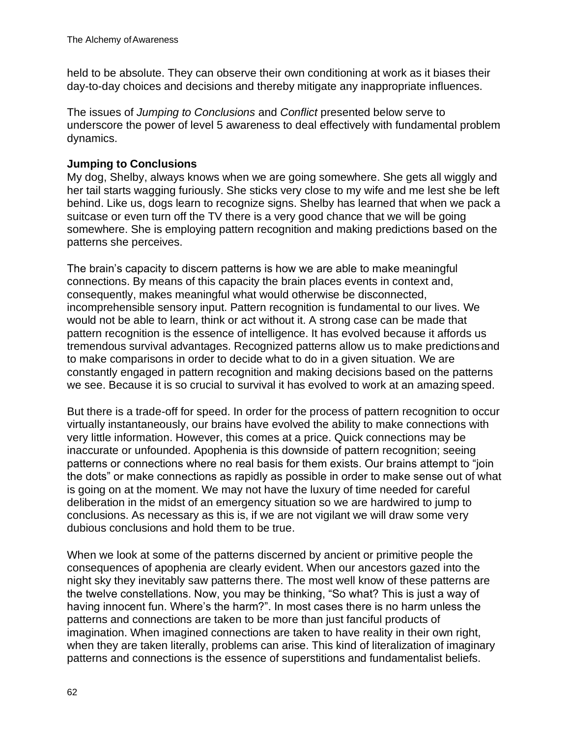held to be absolute. They can observe their own conditioning at work as it biases their day-to-day choices and decisions and thereby mitigate any inappropriate influences.

The issues of *Jumping to Conclusions* and *Conflict* presented below serve to underscore the power of level 5 awareness to deal effectively with fundamental problem dynamics.

#### **Jumping to Conclusions**

My dog, Shelby, always knows when we are going somewhere. She gets all wiggly and her tail starts wagging furiously. She sticks very close to my wife and me lest she be left behind. Like us, dogs learn to recognize signs. Shelby has learned that when we pack a suitcase or even turn off the TV there is a very good chance that we will be going somewhere. She is employing pattern recognition and making predictions based on the patterns she perceives.

The brain's capacity to discern patterns is how we are able to make meaningful connections. By means of this capacity the brain places events in context and, consequently, makes meaningful what would otherwise be disconnected, incomprehensible sensory input. Pattern recognition is fundamental to our lives. We would not be able to learn, think or act without it. A strong case can be made that pattern recognition is the essence of intelligence. It has evolved because it affords us tremendous survival advantages. Recognized patterns allow us to make predictionsand to make comparisons in order to decide what to do in a given situation. We are constantly engaged in pattern recognition and making decisions based on the patterns we see. Because it is so crucial to survival it has evolved to work at an amazing speed.

But there is a trade-off for speed. In order for the process of pattern recognition to occur virtually instantaneously, our brains have evolved the ability to make connections with very little information. However, this comes at a price. Quick connections may be inaccurate or unfounded. Apophenia is this downside of pattern recognition; seeing patterns or connections where no real basis for them exists. Our brains attempt to "join the dots" or make connections as rapidly as possible in order to make sense out of what is going on at the moment. We may not have the luxury of time needed for careful deliberation in the midst of an emergency situation so we are hardwired to jump to conclusions. As necessary as this is, if we are not vigilant we will draw some very dubious conclusions and hold them to be true.

When we look at some of the patterns discerned by ancient or primitive people the consequences of apophenia are clearly evident. When our ancestors gazed into the night sky they inevitably saw patterns there. The most well know of these patterns are the twelve constellations. Now, you may be thinking, "So what? This is just a way of having innocent fun. Where's the harm?". In most cases there is no harm unless the patterns and connections are taken to be more than just fanciful products of imagination. When imagined connections are taken to have reality in their own right, when they are taken literally, problems can arise. This kind of literalization of imaginary patterns and connections is the essence of superstitions and fundamentalist beliefs.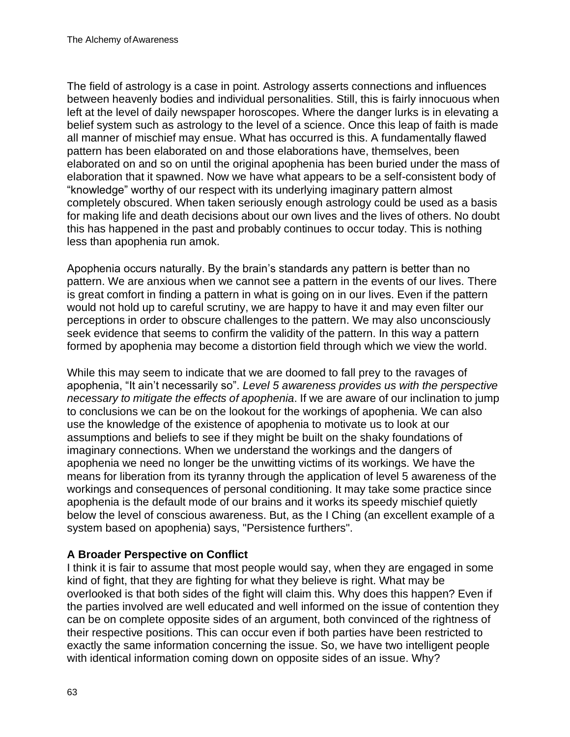The field of astrology is a case in point. Astrology asserts connections and influences between heavenly bodies and individual personalities. Still, this is fairly innocuous when left at the level of daily newspaper horoscopes. Where the danger lurks is in elevating a belief system such as astrology to the level of a science. Once this leap of faith is made all manner of mischief may ensue. What has occurred is this. A fundamentally flawed pattern has been elaborated on and those elaborations have, themselves, been elaborated on and so on until the original apophenia has been buried under the mass of elaboration that it spawned. Now we have what appears to be a self-consistent body of "knowledge" worthy of our respect with its underlying imaginary pattern almost completely obscured. When taken seriously enough astrology could be used as a basis for making life and death decisions about our own lives and the lives of others. No doubt this has happened in the past and probably continues to occur today. This is nothing less than apophenia run amok.

Apophenia occurs naturally. By the brain's standards any pattern is better than no pattern. We are anxious when we cannot see a pattern in the events of our lives. There is great comfort in finding a pattern in what is going on in our lives. Even if the pattern would not hold up to careful scrutiny, we are happy to have it and may even filter our perceptions in order to obscure challenges to the pattern. We may also unconsciously seek evidence that seems to confirm the validity of the pattern. In this way a pattern formed by apophenia may become a distortion field through which we view the world.

While this may seem to indicate that we are doomed to fall prey to the ravages of apophenia, "It ain't necessarily so". *Level 5 awareness provides us with the perspective necessary to mitigate the effects of apophenia*. If we are aware of our inclination to jump to conclusions we can be on the lookout for the workings of apophenia. We can also use the knowledge of the existence of apophenia to motivate us to look at our assumptions and beliefs to see if they might be built on the shaky foundations of imaginary connections. When we understand the workings and the dangers of apophenia we need no longer be the unwitting victims of its workings. We have the means for liberation from its tyranny through the application of level 5 awareness of the workings and consequences of personal conditioning. It may take some practice since apophenia is the default mode of our brains and it works its speedy mischief quietly below the level of conscious awareness. But, as the I Ching (an excellent example of a system based on apophenia) says, "Persistence furthers".

## **A Broader Perspective on Conflict**

I think it is fair to assume that most people would say, when they are engaged in some kind of fight, that they are fighting for what they believe is right. What may be overlooked is that both sides of the fight will claim this. Why does this happen? Even if the parties involved are well educated and well informed on the issue of contention they can be on complete opposite sides of an argument, both convinced of the rightness of their respective positions. This can occur even if both parties have been restricted to exactly the same information concerning the issue. So, we have two intelligent people with identical information coming down on opposite sides of an issue. Why?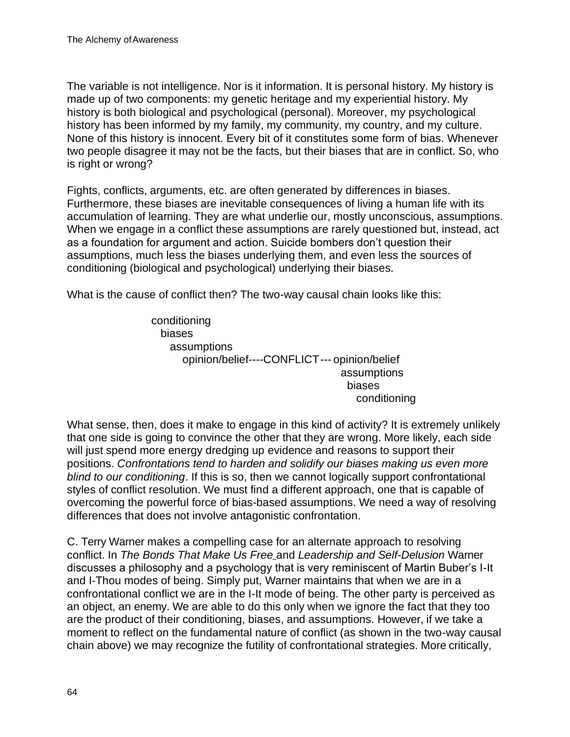The variable is not intelligence. Nor is it information. It is personal history. My history is made up of two components: my genetic heritage and my experiential history. My history is both biological and psychological (personal). Moreover, my psychological history has been informed by my family, my community, my country, and my culture. None of this history is innocent. Every bit of it constitutes some form of bias. Whenever two people disagree it may not be the facts, but their biases that are in conflict. So, who is right or wrong?

Fights, conflicts, arguments, etc. are often generated by differences in biases. Furthermore, these biases are inevitable consequences of living a human life with its accumulation of learning. They are what underlie our, mostly unconscious, assumptions. When we engage in a conflict these assumptions are rarely questioned but, instead, act as a foundation for argument and action. Suicide bombers don't question their assumptions, much less the biases underlying them, and even less the sources of conditioning (biological and psychological) underlying their biases.

What is the cause of conflict then? The two-way causal chain looks like this:

conditioning biases assumptions opinion/belief----CONFLICT--- opinion/belief assumptions biases conditioning

What sense, then, does it make to engage in this kind of activity? It is extremely unlikely that one side is going to convince the other that they are wrong. More likely, each side will just spend more energy dredging up evidence and reasons to support their positions. *Confrontations tend to harden and solidify our biases making us even more blind to our conditioning*. If this is so, then we cannot logically support confrontational styles of conflict resolution. We must find a different approach, one that is capable of overcoming the powerful force of bias-based assumptions. We need a way of resolving differences that does not involve antagonistic confrontation.

C. Terry Warner makes a compelling case for an alternate approach to resolving conflict. In *The Bonds That Make Us Free* and *Leadership and Self-Delusion* Warner discusses a philosophy and a psychology that is very reminiscent of Martin Buber's I-It and I-Thou modes of being. Simply put, Warner maintains that when we are in a confrontational conflict we are in the I-It mode of being. The other party is perceived as an object, an enemy. We are able to do this only when we ignore the fact that they too are the product of their conditioning, biases, and assumptions. However, if we take a moment to reflect on the fundamental nature of conflict (as shown in the two-way causal chain above) we may recognize the futility of confrontational strategies. More critically,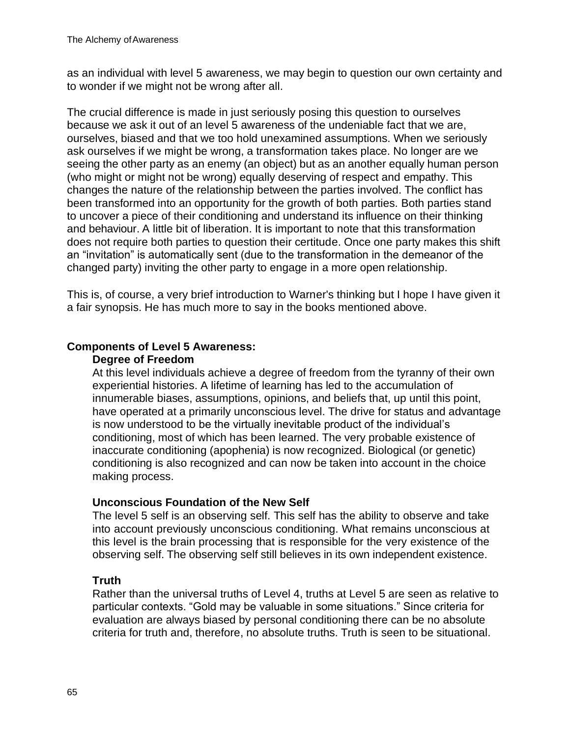as an individual with level 5 awareness, we may begin to question our own certainty and to wonder if we might not be wrong after all.

The crucial difference is made in just seriously posing this question to ourselves because we ask it out of an level 5 awareness of the undeniable fact that we are, ourselves, biased and that we too hold unexamined assumptions. When we seriously ask ourselves if we might be wrong, a transformation takes place. No longer are we seeing the other party as an enemy (an object) but as an another equally human person (who might or might not be wrong) equally deserving of respect and empathy. This changes the nature of the relationship between the parties involved. The conflict has been transformed into an opportunity for the growth of both parties. Both parties stand to uncover a piece of their conditioning and understand its influence on their thinking and behaviour. A little bit of liberation. It is important to note that this transformation does not require both parties to question their certitude. Once one party makes this shift an "invitation" is automatically sent (due to the transformation in the demeanor of the changed party) inviting the other party to engage in a more open relationship.

This is, of course, a very brief introduction to Warner's thinking but I hope I have given it a fair synopsis. He has much more to say in the books mentioned above.

#### **Components of Level 5 Awareness:**

#### **Degree of Freedom**

At this level individuals achieve a degree of freedom from the tyranny of their own experiential histories. A lifetime of learning has led to the accumulation of innumerable biases, assumptions, opinions, and beliefs that, up until this point, have operated at a primarily unconscious level. The drive for status and advantage is now understood to be the virtually inevitable product of the individual's conditioning, most of which has been learned. The very probable existence of inaccurate conditioning (apophenia) is now recognized. Biological (or genetic) conditioning is also recognized and can now be taken into account in the choice making process.

#### **Unconscious Foundation of the New Self**

The level 5 self is an observing self. This self has the ability to observe and take into account previously unconscious conditioning. What remains unconscious at this level is the brain processing that is responsible for the very existence of the observing self. The observing self still believes in its own independent existence.

## **Truth**

Rather than the universal truths of Level 4, truths at Level 5 are seen as relative to particular contexts. "Gold may be valuable in some situations." Since criteria for evaluation are always biased by personal conditioning there can be no absolute criteria for truth and, therefore, no absolute truths. Truth is seen to be situational.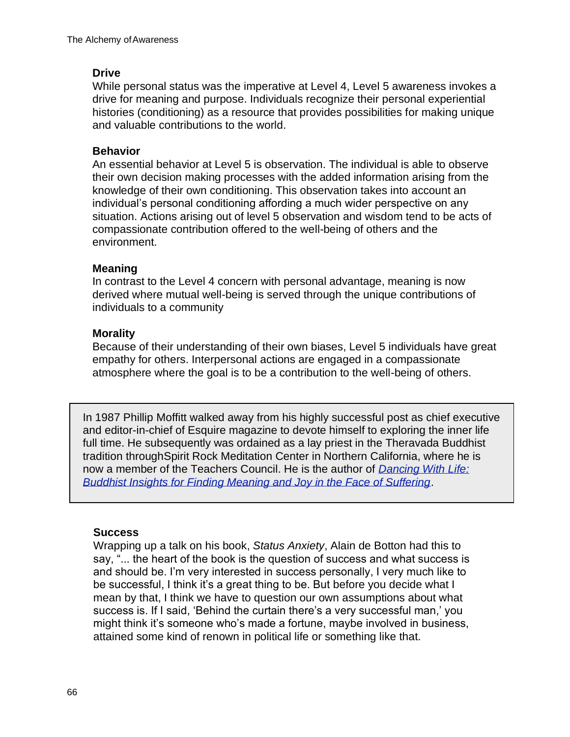## **Drive**

While personal status was the imperative at Level 4, Level 5 awareness invokes a drive for meaning and purpose. Individuals recognize their personal experiential histories (conditioning) as a resource that provides possibilities for making unique and valuable contributions to the world.

#### **Behavior**

An essential behavior at Level 5 is observation. The individual is able to observe their own decision making processes with the added information arising from the knowledge of their own conditioning. This observation takes into account an individual's personal conditioning affording a much wider perspective on any situation. Actions arising out of level 5 observation and wisdom tend to be acts of compassionate contribution offered to the well-being of others and the environment.

#### **Meaning**

In contrast to the Level 4 concern with personal advantage, meaning is now derived where mutual well-being is served through the unique contributions of individuals to a community

#### **Morality**

Because of their understanding of their own biases, Level 5 individuals have great empathy for others. Interpersonal actions are engaged in a compassionate atmosphere where the goal is to be a contribution to the well-being of others.

In 1987 Phillip Moffitt walked away from his highly successful post as chief executive and editor-in-chief of Esquire magazine to devote himself to exploring the inner life full time. He subsequently was ordained as a lay priest in the Theravada Buddhist tradition throughSpirit Rock Meditation Center in Northern California, where he is now a member of the Teachers Council. He is the author of *Dancing With Life: Buddhist Insights for Finding Meaning and Joy in the Face of Suffering*.

#### **Success**

Wrapping up a talk on his book, *Status Anxiety*, Alain de Botton had this to say, "... the heart of the book is the question of success and what success is and should be. I'm very interested in success personally, I very much like to be successful, I think it's a great thing to be. But before you decide what I mean by that, I think we have to question our own assumptions about what success is. If I said, ʻBehind the curtain there's a very successful man,' you might think it's someone who's made a fortune, maybe involved in business, attained some kind of renown in political life or something like that.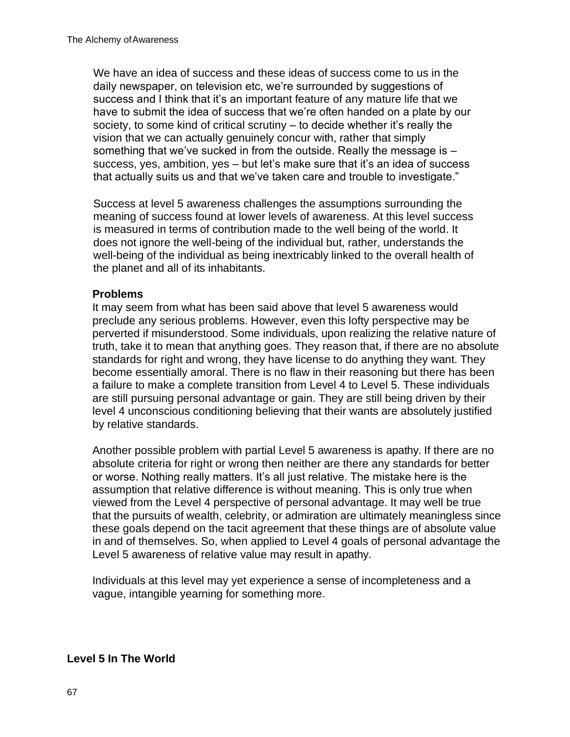We have an idea of success and these ideas of success come to us in the daily newspaper, on television etc, we're surrounded by suggestions of success and I think that it's an important feature of any mature life that we have to submit the idea of success that we're often handed on a plate by our society, to some kind of critical scrutiny – to decide whether it's really the vision that we can actually genuinely concur with, rather that simply something that we've sucked in from the outside. Really the message is – success, yes, ambition, yes – but let's make sure that it's an idea of success that actually suits us and that we've taken care and trouble to investigate."

Success at level 5 awareness challenges the assumptions surrounding the meaning of success found at lower levels of awareness. At this level success is measured in terms of contribution made to the well being of the world. It does not ignore the well-being of the individual but, rather, understands the well-being of the individual as being inextricably linked to the overall health of the planet and all of its inhabitants.

#### **Problems**

It may seem from what has been said above that level 5 awareness would preclude any serious problems. However, even this lofty perspective may be perverted if misunderstood. Some individuals, upon realizing the relative nature of truth, take it to mean that anything goes. They reason that, if there are no absolute standards for right and wrong, they have license to do anything they want. They become essentially amoral. There is no flaw in their reasoning but there has been a failure to make a complete transition from Level 4 to Level 5. These individuals are still pursuing personal advantage or gain. They are still being driven by their level 4 unconscious conditioning believing that their wants are absolutely justified by relative standards.

Another possible problem with partial Level 5 awareness is apathy. If there are no absolute criteria for right or wrong then neither are there any standards for better or worse. Nothing really matters. It's all just relative. The mistake here is the assumption that relative difference is without meaning. This is only true when viewed from the Level 4 perspective of personal advantage. It may well be true that the pursuits of wealth, celebrity, or admiration are ultimately meaningless since these goals depend on the tacit agreement that these things are of absolute value in and of themselves. So, when applied to Level 4 goals of personal advantage the Level 5 awareness of relative value may result in apathy.

Individuals at this level may yet experience a sense of incompleteness and a vague, intangible yearning for something more.

#### **Level 5 In The World**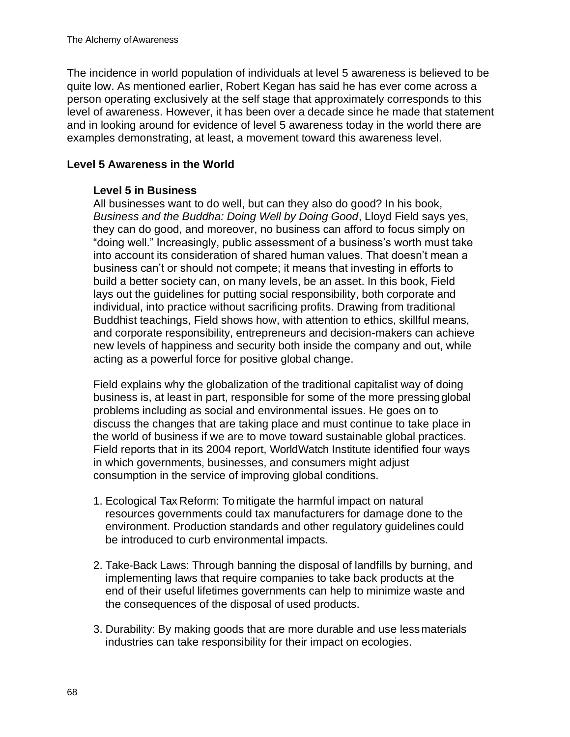The incidence in world population of individuals at level 5 awareness is believed to be quite low. As mentioned earlier, Robert Kegan has said he has ever come across a person operating exclusively at the self stage that approximately corresponds to this level of awareness. However, it has been over a decade since he made that statement and in looking around for evidence of level 5 awareness today in the world there are examples demonstrating, at least, a movement toward this awareness level.

### **Level 5 Awareness in the World**

#### **Level 5 in Business**

All businesses want to do well, but can they also do good? In his book, *Business and the Buddha: Doing Well by Doing Good*, Lloyd Field says yes, they can do good, and moreover, no business can afford to focus simply on "doing well." Increasingly, public assessment of a business's worth must take into account its consideration of shared human values. That doesn't mean a business can't or should not compete; it means that investing in efforts to build a better society can, on many levels, be an asset. In this book, Field lays out the guidelines for putting social responsibility, both corporate and individual, into practice without sacrificing profits. Drawing from traditional Buddhist teachings, Field shows how, with attention to ethics, skillful means, and corporate responsibility, entrepreneurs and decision-makers can achieve new levels of happiness and security both inside the company and out, while acting as a powerful force for positive global change.

Field explains why the globalization of the traditional capitalist way of doing business is, at least in part, responsible for some of the more pressingglobal problems including as social and environmental issues. He goes on to discuss the changes that are taking place and must continue to take place in the world of business if we are to move toward sustainable global practices. Field reports that in its 2004 report, WorldWatch Institute identified four ways in which governments, businesses, and consumers might adjust consumption in the service of improving global conditions.

- 1. Ecological Tax Reform: To mitigate the harmful impact on natural resources governments could tax manufacturers for damage done to the environment. Production standards and other regulatory guidelines could be introduced to curb environmental impacts.
- 2. Take-Back Laws: Through banning the disposal of landfills by burning, and implementing laws that require companies to take back products at the end of their useful lifetimes governments can help to minimize waste and the consequences of the disposal of used products.
- 3. Durability: By making goods that are more durable and use lessmaterials industries can take responsibility for their impact on ecologies.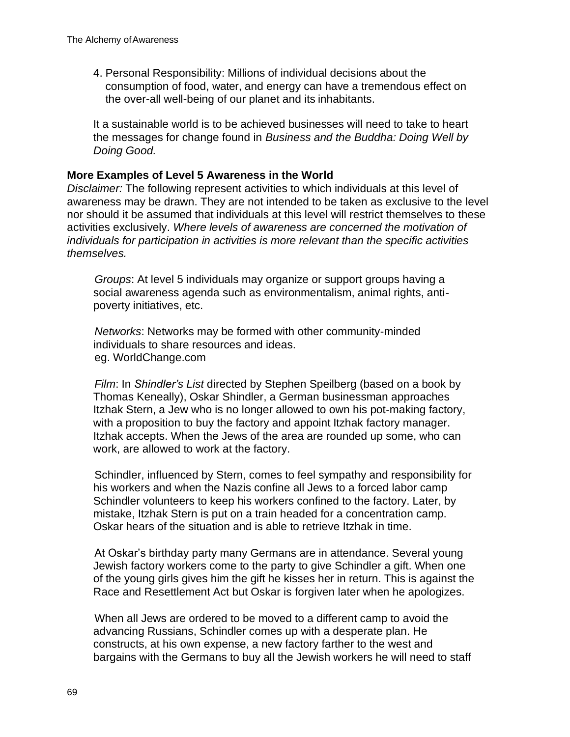4. Personal Responsibility: Millions of individual decisions about the consumption of food, water, and energy can have a tremendous effect on the over-all well-being of our planet and its inhabitants.

It a sustainable world is to be achieved businesses will need to take to heart the messages for change found in *Business and the Buddha: Doing Well by Doing Good.*

#### **More Examples of Level 5 Awareness in the World**

*Disclaimer:* The following represent activities to which individuals at this level of awareness may be drawn. They are not intended to be taken as exclusive to the level nor should it be assumed that individuals at this level will restrict themselves to these activities exclusively. *Where levels of awareness are concerned the motivation of individuals for participation in activities is more relevant than the specific activities themselves.*

*Groups*: At level 5 individuals may organize or support groups having a social awareness agenda such as environmentalism, animal rights, antipoverty initiatives, etc.

*Networks*: Networks may be formed with other community-minded individuals to share resources and ideas. eg. WorldChange.com

*Film*: In *Shindler's List* directed by Stephen Speilberg (based on a book by Thomas Keneally), Oskar Shindler, a German businessman approaches Itzhak Stern, a Jew who is no longer allowed to own his pot-making factory, with a proposition to buy the factory and appoint Itzhak factory manager. Itzhak accepts. When the Jews of the area are rounded up some, who can work, are allowed to work at the factory.

Schindler, influenced by Stern, comes to feel sympathy and responsibility for his workers and when the Nazis confine all Jews to a forced labor camp Schindler volunteers to keep his workers confined to the factory. Later, by mistake, Itzhak Stern is put on a train headed for a concentration camp. Oskar hears of the situation and is able to retrieve Itzhak in time.

At Oskar's birthday party many Germans are in attendance. Several young Jewish factory workers come to the party to give Schindler a gift. When one of the young girls gives him the gift he kisses her in return. This is against the Race and Resettlement Act but Oskar is forgiven later when he apologizes.

When all Jews are ordered to be moved to a different camp to avoid the advancing Russians, Schindler comes up with a desperate plan. He constructs, at his own expense, a new factory farther to the west and bargains with the Germans to buy all the Jewish workers he will need to staff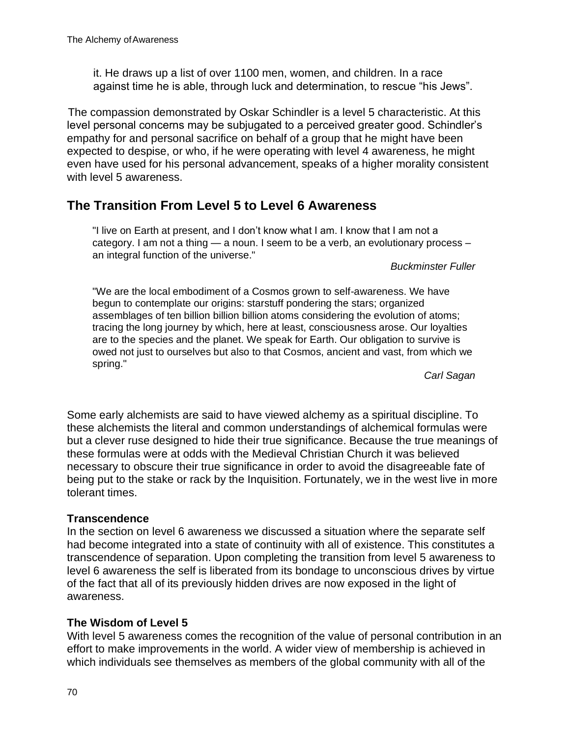it. He draws up a list of over 1100 men, women, and children. In a race against time he is able, through luck and determination, to rescue "his Jews".

The compassion demonstrated by Oskar Schindler is a level 5 characteristic. At this level personal concerns may be subjugated to a perceived greater good. Schindler's empathy for and personal sacrifice on behalf of a group that he might have been expected to despise, or who, if he were operating with level 4 awareness, he might even have used for his personal advancement, speaks of a higher morality consistent with level 5 awareness.

## **The Transition From Level 5 to Level 6 Awareness**

"I live on Earth at present, and I don't know what I am. I know that I am not a category. I am not a thing — a noun. I seem to be a verb, an evolutionary process – an integral function of the universe."

*Buckminster Fuller*

"We are the local embodiment of a Cosmos grown to self-awareness. We have begun to contemplate our origins: starstuff pondering the stars; organized assemblages of ten billion billion billion atoms considering the evolution of atoms; tracing the long journey by which, here at least, consciousness arose. Our loyalties are to the species and the planet. We speak for Earth. Our obligation to survive is owed not just to ourselves but also to that Cosmos, ancient and vast, from which we spring."

*Carl Sagan*

Some early alchemists are said to have viewed alchemy as a spiritual discipline. To these alchemists the literal and common understandings of alchemical formulas were but a clever ruse designed to hide their true significance. Because the true meanings of these formulas were at odds with the Medieval Christian Church it was believed necessary to obscure their true significance in order to avoid the disagreeable fate of being put to the stake or rack by the Inquisition. Fortunately, we in the west live in more tolerant times.

#### **Transcendence**

In the section on level 6 awareness we discussed a situation where the separate self had become integrated into a state of continuity with all of existence. This constitutes a transcendence of separation. Upon completing the transition from level 5 awareness to level 6 awareness the self is liberated from its bondage to unconscious drives by virtue of the fact that all of its previously hidden drives are now exposed in the light of awareness.

#### **The Wisdom of Level 5**

With level 5 awareness comes the recognition of the value of personal contribution in an effort to make improvements in the world. A wider view of membership is achieved in which individuals see themselves as members of the global community with all of the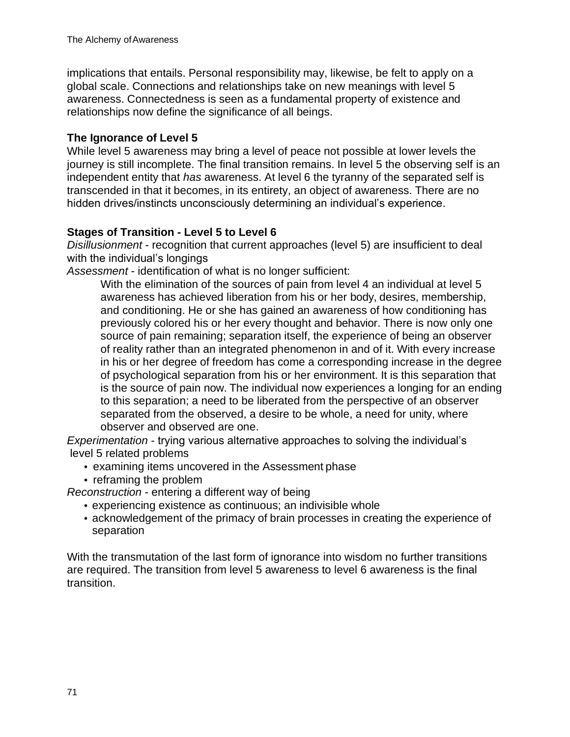implications that entails. Personal responsibility may, likewise, be felt to apply on a global scale. Connections and relationships take on new meanings with level 5 awareness. Connectedness is seen as a fundamental property of existence and relationships now define the significance of all beings.

## **The Ignorance of Level 5**

While level 5 awareness may bring a level of peace not possible at lower levels the journey is still incomplete. The final transition remains. In level 5 the observing self is an independent entity that *has* awareness. At level 6 the tyranny of the separated self is transcended in that it becomes, in its entirety, an object of awareness. There are no hidden drives/instincts unconsciously determining an individual's experience.

## **Stages of Transition - Level 5 to Level 6**

*Disillusionment* - recognition that current approaches (level 5) are insufficient to deal with the individual's longings

*Assessment* - identification of what is no longer sufficient:

With the elimination of the sources of pain from level 4 an individual at level 5 awareness has achieved liberation from his or her body, desires, membership, and conditioning. He or she has gained an awareness of how conditioning has previously colored his or her every thought and behavior. There is now only one source of pain remaining; separation itself, the experience of being an observer of reality rather than an integrated phenomenon in and of it. With every increase in his or her degree of freedom has come a corresponding increase in the degree of psychological separation from his or her environment. It is this separation that is the source of pain now. The individual now experiences a longing for an ending to this separation; a need to be liberated from the perspective of an observer separated from the observed, a desire to be whole, a need for unity, where observer and observed are one.

*Experimentation* - trying various alternative approaches to solving the individual's level 5 related problems

- examining items uncovered in the Assessment phase
- reframing the problem

*Reconstruction* - entering a different way of being

- experiencing existence as continuous; an indivisible whole
- acknowledgement of the primacy of brain processes in creating the experience of separation

With the transmutation of the last form of ignorance into wisdom no further transitions are required. The transition from level 5 awareness to level 6 awareness is the final transition.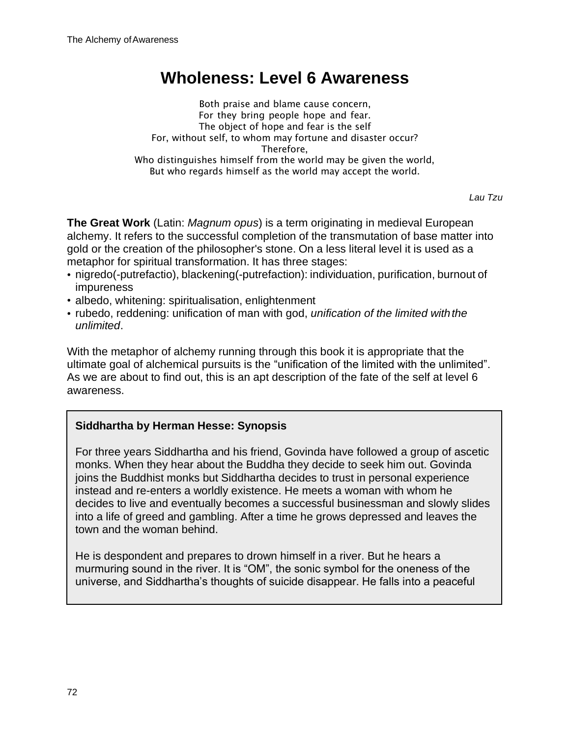# **Wholeness: Level 6 Awareness**

Both praise and blame cause concern, For they bring people hope and fear. The object of hope and fear is the self For, without self, to whom may fortune and disaster occur? Therefore, Who distinguishes himself from the world may be given the world, But who regards himself as the world may accept the world.

*Lau Tzu*

**The Great Work** (Latin: *Magnum opus*) is a term originating in medieval European alchemy. It refers to the successful completion of the transmutation of base matter into gold or the creation of the philosopher's stone. On a less literal level it is used as a metaphor for spiritual transformation. It has three stages:

- nigredo(-putrefactio), blackening(-putrefaction): individuation, purification, burnout of impureness
- albedo, whitening: spiritualisation, enlightenment
- rubedo, reddening: unification of man with god, *unification of the limited withthe unlimited*.

With the metaphor of alchemy running through this book it is appropriate that the ultimate goal of alchemical pursuits is the "unification of the limited with the unlimited". As we are about to find out, this is an apt description of the fate of the self at level 6 awareness.

## **Siddhartha by Herman Hesse: Synopsis**

For three years Siddhartha and his friend, Govinda have followed a group of ascetic monks. When they hear about the Buddha they decide to seek him out. Govinda joins the Buddhist monks but Siddhartha decides to trust in personal experience instead and re-enters a worldly existence. He meets a woman with whom he decides to live and eventually becomes a successful businessman and slowly slides into a life of greed and gambling. After a time he grows depressed and leaves the town and the woman behind.

He is despondent and prepares to drown himself in a river. But he hears a murmuring sound in the river. It is "OM", the sonic symbol for the oneness of the universe, and Siddhartha's thoughts of suicide disappear. He falls into a peaceful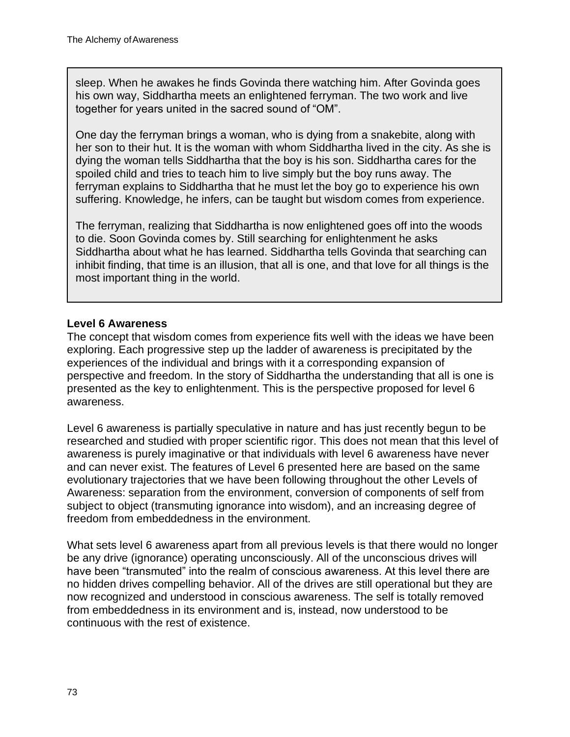sleep. When he awakes he finds Govinda there watching him. After Govinda goes his own way, Siddhartha meets an enlightened ferryman. The two work and live together for years united in the sacred sound of "OM".

One day the ferryman brings a woman, who is dying from a snakebite, along with her son to their hut. It is the woman with whom Siddhartha lived in the city. As she is dying the woman tells Siddhartha that the boy is his son. Siddhartha cares for the spoiled child and tries to teach him to live simply but the boy runs away. The ferryman explains to Siddhartha that he must let the boy go to experience his own suffering. Knowledge, he infers, can be taught but wisdom comes from experience.

The ferryman, realizing that Siddhartha is now enlightened goes off into the woods to die. Soon Govinda comes by. Still searching for enlightenment he asks Siddhartha about what he has learned. Siddhartha tells Govinda that searching can inhibit finding, that time is an illusion, that all is one, and that love for all things is the most important thing in the world.

#### **Level 6 Awareness**

The concept that wisdom comes from experience fits well with the ideas we have been exploring. Each progressive step up the ladder of awareness is precipitated by the experiences of the individual and brings with it a corresponding expansion of perspective and freedom. In the story of Siddhartha the understanding that all is one is presented as the key to enlightenment. This is the perspective proposed for level 6 awareness.

Level 6 awareness is partially speculative in nature and has just recently begun to be researched and studied with proper scientific rigor. This does not mean that this level of awareness is purely imaginative or that individuals with level 6 awareness have never and can never exist. The features of Level 6 presented here are based on the same evolutionary trajectories that we have been following throughout the other Levels of Awareness: separation from the environment, conversion of components of self from subject to object (transmuting ignorance into wisdom), and an increasing degree of freedom from embeddedness in the environment.

What sets level 6 awareness apart from all previous levels is that there would no longer be any drive (ignorance) operating unconsciously. All of the unconscious drives will have been "transmuted" into the realm of conscious awareness. At this level there are no hidden drives compelling behavior. All of the drives are still operational but they are now recognized and understood in conscious awareness. The self is totally removed from embeddedness in its environment and is, instead, now understood to be continuous with the rest of existence.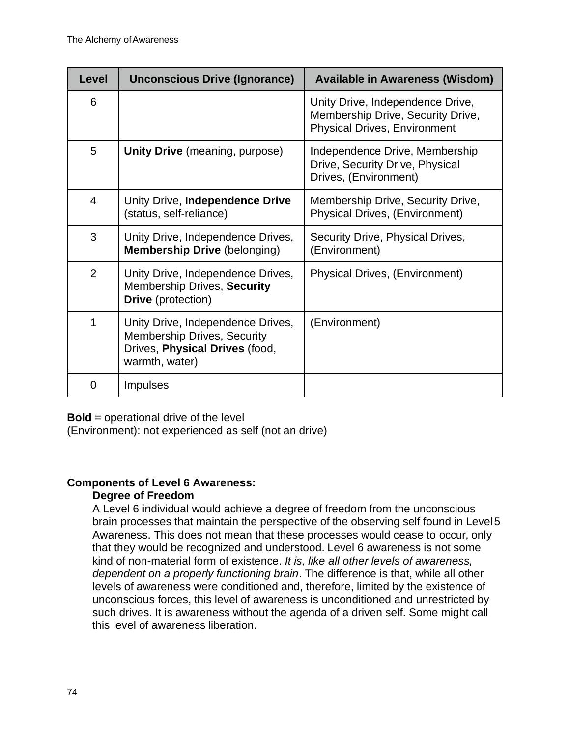| <b>Level</b>   | <b>Unconscious Drive (Ignorance)</b>                                                                                        | <b>Available in Awareness (Wisdom)</b>                                                                       |
|----------------|-----------------------------------------------------------------------------------------------------------------------------|--------------------------------------------------------------------------------------------------------------|
| 6              |                                                                                                                             | Unity Drive, Independence Drive,<br>Membership Drive, Security Drive,<br><b>Physical Drives, Environment</b> |
| 5              | Unity Drive (meaning, purpose)                                                                                              | Independence Drive, Membership<br>Drive, Security Drive, Physical<br>Drives, (Environment)                   |
| $\overline{4}$ | Unity Drive, Independence Drive<br>(status, self-reliance)                                                                  | Membership Drive, Security Drive,<br><b>Physical Drives, (Environment)</b>                                   |
| 3              | Unity Drive, Independence Drives,<br><b>Membership Drive (belonging)</b>                                                    | Security Drive, Physical Drives,<br>(Environment)                                                            |
| $\overline{2}$ | Unity Drive, Independence Drives,<br>Membership Drives, Security<br><b>Drive</b> (protection)                               | Physical Drives, (Environment)                                                                               |
| 1              | Unity Drive, Independence Drives,<br><b>Membership Drives, Security</b><br>Drives, Physical Drives (food,<br>warmth, water) | (Environment)                                                                                                |
| 0              | <b>Impulses</b>                                                                                                             |                                                                                                              |

**Bold** = operational drive of the level

(Environment): not experienced as self (not an drive)

## **Components of Level 6 Awareness:**

## **Degree of Freedom**

A Level 6 individual would achieve a degree of freedom from the unconscious brain processes that maintain the perspective of the observing self found in Level5 Awareness. This does not mean that these processes would cease to occur, only that they would be recognized and understood. Level 6 awareness is not some kind of non-material form of existence. *It is, like all other levels of awareness, dependent on a properly functioning brain*. The difference is that, while all other levels of awareness were conditioned and, therefore, limited by the existence of unconscious forces, this level of awareness is unconditioned and unrestricted by such drives. It is awareness without the agenda of a driven self. Some might call this level of awareness liberation.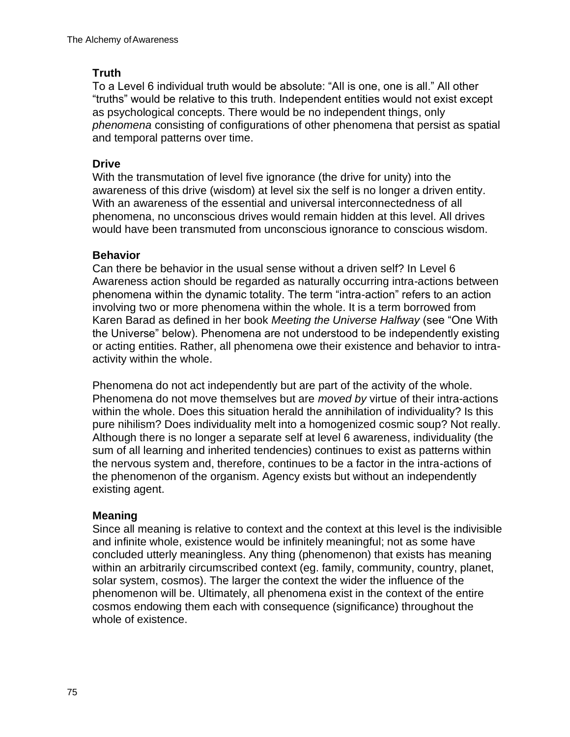## **Truth**

To a Level 6 individual truth would be absolute: "All is one, one is all." All other "truths" would be relative to this truth. Independent entities would not exist except as psychological concepts. There would be no independent things, only *phenomena* consisting of configurations of other phenomena that persist as spatial and temporal patterns over time.

## **Drive**

With the transmutation of level five ignorance (the drive for unity) into the awareness of this drive (wisdom) at level six the self is no longer a driven entity. With an awareness of the essential and universal interconnectedness of all phenomena, no unconscious drives would remain hidden at this level. All drives would have been transmuted from unconscious ignorance to conscious wisdom.

### **Behavior**

Can there be behavior in the usual sense without a driven self? In Level 6 Awareness action should be regarded as naturally occurring intra-actions between phenomena within the dynamic totality. The term "intra-action" refers to an action involving two or more phenomena within the whole. It is a term borrowed from Karen Barad as defined in her book *Meeting the Universe Halfway* (see "One With the Universe" below). Phenomena are not understood to be independently existing or acting entities. Rather, all phenomena owe their existence and behavior to intraactivity within the whole.

Phenomena do not act independently but are part of the activity of the whole. Phenomena do not move themselves but are *moved by* virtue of their intra-actions within the whole. Does this situation herald the annihilation of individuality? Is this pure nihilism? Does individuality melt into a homogenized cosmic soup? Not really. Although there is no longer a separate self at level 6 awareness, individuality (the sum of all learning and inherited tendencies) continues to exist as patterns within the nervous system and, therefore, continues to be a factor in the intra-actions of the phenomenon of the organism. Agency exists but without an independently existing agent.

### **Meaning**

Since all meaning is relative to context and the context at this level is the indivisible and infinite whole, existence would be infinitely meaningful; not as some have concluded utterly meaningless. Any thing (phenomenon) that exists has meaning within an arbitrarily circumscribed context (eg. family, community, country, planet, solar system, cosmos). The larger the context the wider the influence of the phenomenon will be. Ultimately, all phenomena exist in the context of the entire cosmos endowing them each with consequence (significance) throughout the whole of existence.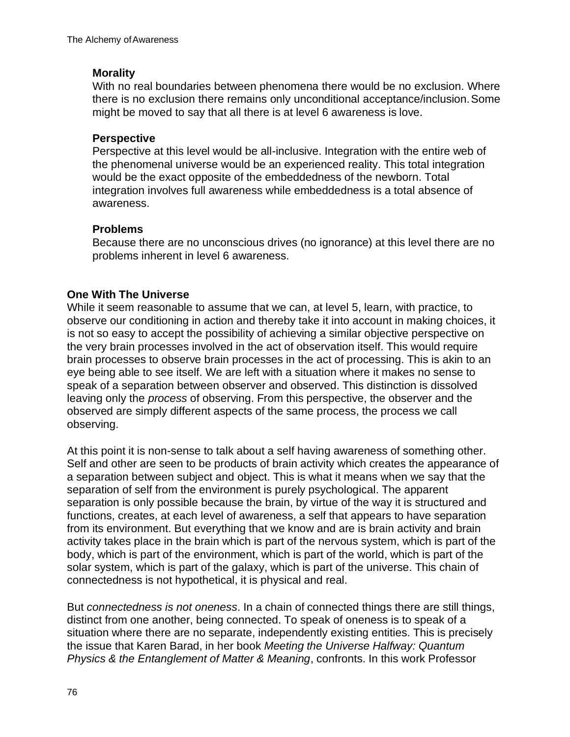#### **Morality**

With no real boundaries between phenomena there would be no exclusion. Where there is no exclusion there remains only unconditional acceptance/inclusion.Some might be moved to say that all there is at level 6 awareness is love.

#### **Perspective**

Perspective at this level would be all-inclusive. Integration with the entire web of the phenomenal universe would be an experienced reality. This total integration would be the exact opposite of the embeddedness of the newborn. Total integration involves full awareness while embeddedness is a total absence of awareness.

### **Problems**

Because there are no unconscious drives (no ignorance) at this level there are no problems inherent in level 6 awareness.

### **One With The Universe**

While it seem reasonable to assume that we can, at level 5, learn, with practice, to observe our conditioning in action and thereby take it into account in making choices, it is not so easy to accept the possibility of achieving a similar objective perspective on the very brain processes involved in the act of observation itself. This would require brain processes to observe brain processes in the act of processing. This is akin to an eye being able to see itself. We are left with a situation where it makes no sense to speak of a separation between observer and observed. This distinction is dissolved leaving only the *process* of observing. From this perspective, the observer and the observed are simply different aspects of the same process, the process we call observing.

At this point it is non-sense to talk about a self having awareness of something other. Self and other are seen to be products of brain activity which creates the appearance of a separation between subject and object. This is what it means when we say that the separation of self from the environment is purely psychological. The apparent separation is only possible because the brain, by virtue of the way it is structured and functions, creates, at each level of awareness, a self that appears to have separation from its environment. But everything that we know and are is brain activity and brain activity takes place in the brain which is part of the nervous system, which is part of the body, which is part of the environment, which is part of the world, which is part of the solar system, which is part of the galaxy, which is part of the universe. This chain of connectedness is not hypothetical, it is physical and real.

But *connectedness is not oneness*. In a chain of connected things there are still things, distinct from one another, being connected. To speak of oneness is to speak of a situation where there are no separate, independently existing entities. This is precisely the issue that Karen Barad, in her book *Meeting the Universe Halfway: Quantum Physics & the Entanglement of Matter & Meaning*, confronts. In this work Professor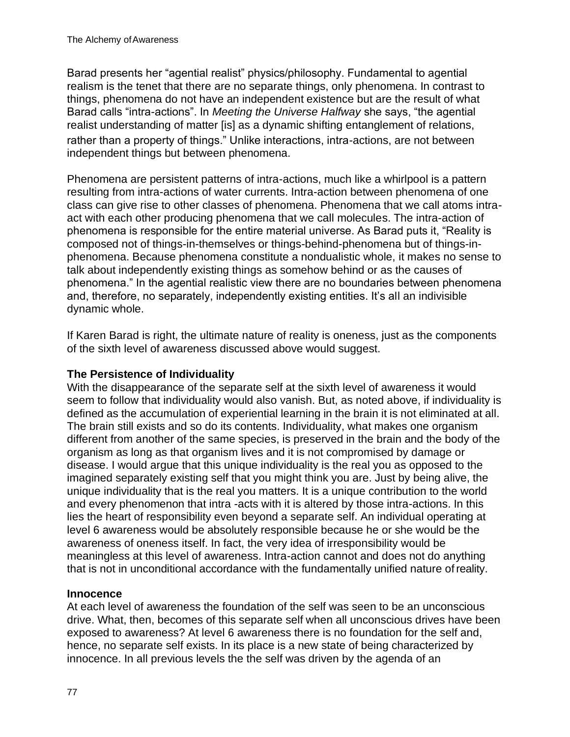Barad presents her "agential realist" physics/philosophy. Fundamental to agential realism is the tenet that there are no separate things, only phenomena. In contrast to things, phenomena do not have an independent existence but are the result of what Barad calls "intra-actions". In *Meeting the Universe Halfway* she says, "the agential realist understanding of matter [is] as a dynamic shifting entanglement of relations, rather than a property of things." Unlike interactions, intra-actions, are not between independent things but between phenomena.

Phenomena are persistent patterns of intra-actions, much like a whirlpool is a pattern resulting from intra-actions of water currents. Intra-action between phenomena of one class can give rise to other classes of phenomena. Phenomena that we call atoms intraact with each other producing phenomena that we call molecules. The intra-action of phenomena is responsible for the entire material universe. As Barad puts it, "Reality is composed not of things-in-themselves or things-behind-phenomena but of things-inphenomena. Because phenomena constitute a nondualistic whole, it makes no sense to talk about independently existing things as somehow behind or as the causes of phenomena." In the agential realistic view there are no boundaries between phenomena and, therefore, no separately, independently existing entities. It's all an indivisible dynamic whole.

If Karen Barad is right, the ultimate nature of reality is oneness, just as the components of the sixth level of awareness discussed above would suggest.

### **The Persistence of Individuality**

With the disappearance of the separate self at the sixth level of awareness it would seem to follow that individuality would also vanish. But, as noted above, if individuality is defined as the accumulation of experiential learning in the brain it is not eliminated at all. The brain still exists and so do its contents. Individuality, what makes one organism different from another of the same species, is preserved in the brain and the body of the organism as long as that organism lives and it is not compromised by damage or disease. I would argue that this unique individuality is the real you as opposed to the imagined separately existing self that you might think you are. Just by being alive, the unique individuality that is the real you matters. It is a unique contribution to the world and every phenomenon that intra -acts with it is altered by those intra-actions. In this lies the heart of responsibility even beyond a separate self. An individual operating at level 6 awareness would be absolutely responsible because he or she would be the awareness of oneness itself. In fact, the very idea of irresponsibility would be meaningless at this level of awareness. Intra-action cannot and does not do anything that is not in unconditional accordance with the fundamentally unified nature ofreality.

### **Innocence**

At each level of awareness the foundation of the self was seen to be an unconscious drive. What, then, becomes of this separate self when all unconscious drives have been exposed to awareness? At level 6 awareness there is no foundation for the self and, hence, no separate self exists. In its place is a new state of being characterized by innocence. In all previous levels the the self was driven by the agenda of an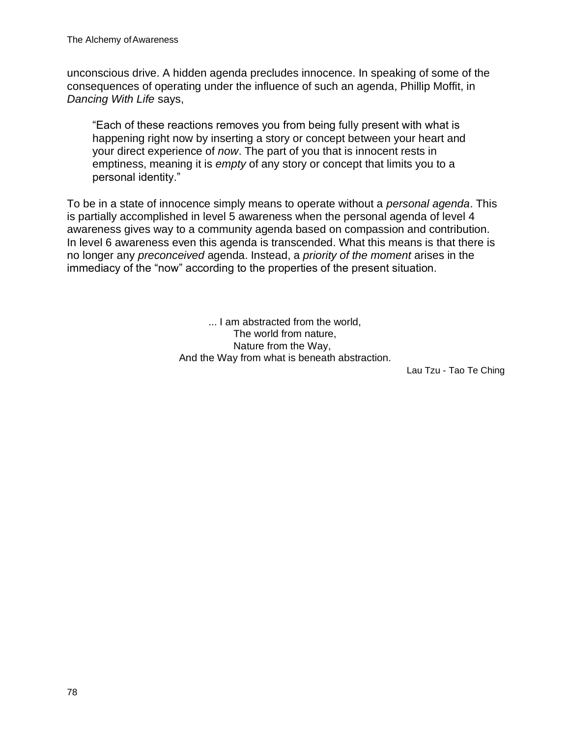unconscious drive. A hidden agenda precludes innocence. In speaking of some of the consequences of operating under the influence of such an agenda, Phillip Moffit, in *Dancing With Life* says,

"Each of these reactions removes you from being fully present with what is happening right now by inserting a story or concept between your heart and your direct experience of *now*. The part of you that is innocent rests in emptiness, meaning it is *empty* of any story or concept that limits you to a personal identity."

To be in a state of innocence simply means to operate without a *personal agenda*. This is partially accomplished in level 5 awareness when the personal agenda of level 4 awareness gives way to a community agenda based on compassion and contribution. In level 6 awareness even this agenda is transcended. What this means is that there is no longer any *preconceived* agenda. Instead, a *priority of the moment* arises in the immediacy of the "now" according to the properties of the present situation.

> ... I am abstracted from the world, The world from nature, Nature from the Way, And the Way from what is beneath abstraction.

Lau Tzu - Tao Te Ching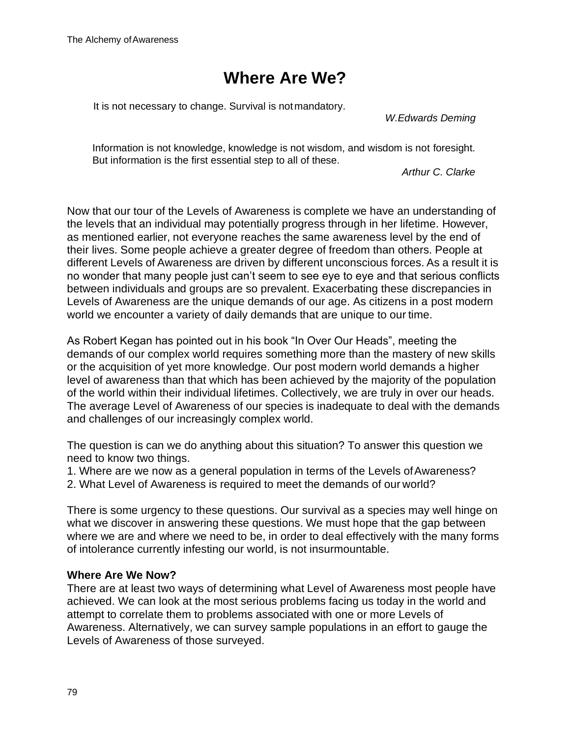# **Where Are We?**

It is not necessary to change. Survival is notmandatory.

*W.Edwards Deming*

Information is not knowledge, knowledge is not wisdom, and wisdom is not foresight. But information is the first essential step to all of these.

*Arthur C. Clarke*

Now that our tour of the Levels of Awareness is complete we have an understanding of the levels that an individual may potentially progress through in her lifetime. However, as mentioned earlier, not everyone reaches the same awareness level by the end of their lives. Some people achieve a greater degree of freedom than others. People at different Levels of Awareness are driven by different unconscious forces. As a result it is no wonder that many people just can't seem to see eye to eye and that serious conflicts between individuals and groups are so prevalent. Exacerbating these discrepancies in Levels of Awareness are the unique demands of our age. As citizens in a post modern world we encounter a variety of daily demands that are unique to our time.

As Robert Kegan has pointed out in his book "In Over Our Heads", meeting the demands of our complex world requires something more than the mastery of new skills or the acquisition of yet more knowledge. Our post modern world demands a higher level of awareness than that which has been achieved by the majority of the population of the world within their individual lifetimes. Collectively, we are truly in over our heads. The average Level of Awareness of our species is inadequate to deal with the demands and challenges of our increasingly complex world.

The question is can we do anything about this situation? To answer this question we need to know two things.

1. Where are we now as a general population in terms of the Levels ofAwareness?

2. What Level of Awareness is required to meet the demands of our world?

There is some urgency to these questions. Our survival as a species may well hinge on what we discover in answering these questions. We must hope that the gap between where we are and where we need to be, in order to deal effectively with the many forms of intolerance currently infesting our world, is not insurmountable.

#### **Where Are We Now?**

There are at least two ways of determining what Level of Awareness most people have achieved. We can look at the most serious problems facing us today in the world and attempt to correlate them to problems associated with one or more Levels of Awareness. Alternatively, we can survey sample populations in an effort to gauge the Levels of Awareness of those surveyed.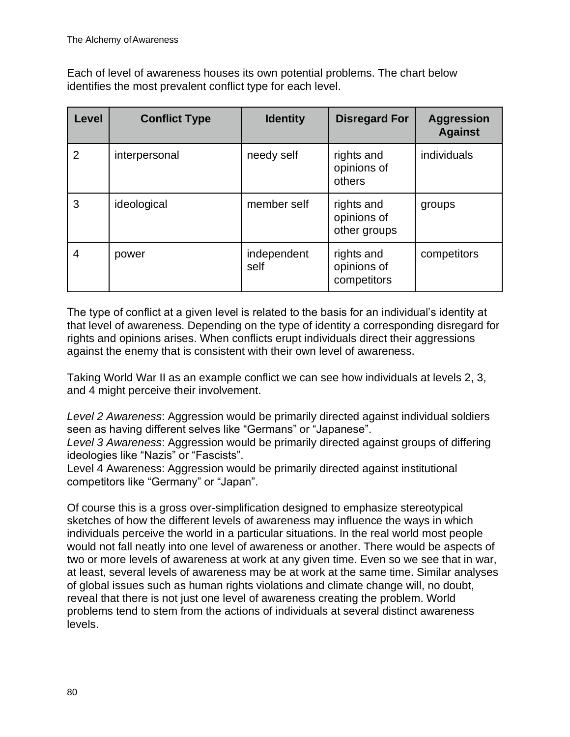Each of level of awareness houses its own potential problems. The chart below identifies the most prevalent conflict type for each level.

| <b>Level</b> | <b>Conflict Type</b> | <b>Identity</b>     | <b>Disregard For</b>                      | <b>Aggression</b><br><b>Against</b> |
|--------------|----------------------|---------------------|-------------------------------------------|-------------------------------------|
| 2            | interpersonal        | needy self          | rights and<br>opinions of<br>others       | individuals                         |
| 3            | ideological          | member self         | rights and<br>opinions of<br>other groups | groups                              |
| 4            | power                | independent<br>self | rights and<br>opinions of<br>competitors  | competitors                         |

The type of conflict at a given level is related to the basis for an individual's identity at that level of awareness. Depending on the type of identity a corresponding disregard for rights and opinions arises. When conflicts erupt individuals direct their aggressions against the enemy that is consistent with their own level of awareness.

Taking World War II as an example conflict we can see how individuals at levels 2, 3, and 4 might perceive their involvement.

*Level 2 Awareness*: Aggression would be primarily directed against individual soldiers seen as having different selves like "Germans" or "Japanese".

*Level 3 Awareness*: Aggression would be primarily directed against groups of differing ideologies like "Nazis" or "Fascists".

Level 4 Awareness: Aggression would be primarily directed against institutional competitors like "Germany" or "Japan".

Of course this is a gross over-simplification designed to emphasize stereotypical sketches of how the different levels of awareness may influence the ways in which individuals perceive the world in a particular situations. In the real world most people would not fall neatly into one level of awareness or another. There would be aspects of two or more levels of awareness at work at any given time. Even so we see that in war, at least, several levels of awareness may be at work at the same time. Similar analyses of global issues such as human rights violations and climate change will, no doubt, reveal that there is not just one level of awareness creating the problem. World problems tend to stem from the actions of individuals at several distinct awareness levels.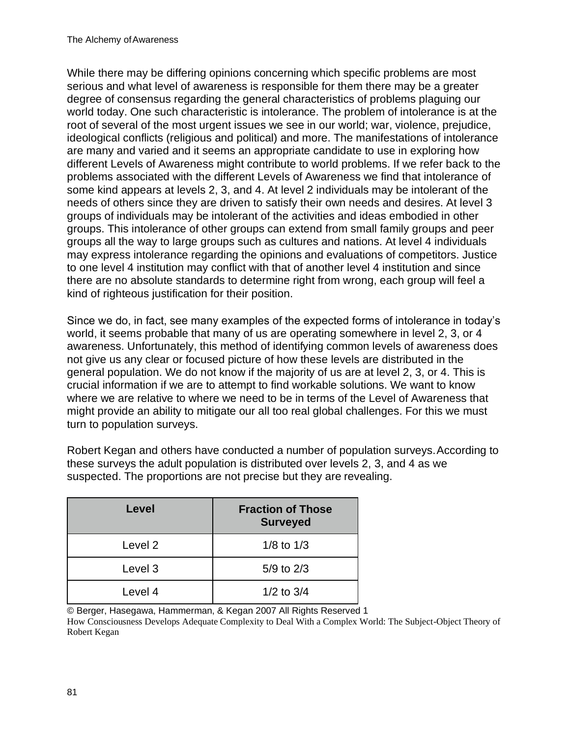While there may be differing opinions concerning which specific problems are most serious and what level of awareness is responsible for them there may be a greater degree of consensus regarding the general characteristics of problems plaguing our world today. One such characteristic is intolerance. The problem of intolerance is at the root of several of the most urgent issues we see in our world; war, violence, prejudice, ideological conflicts (religious and political) and more. The manifestations of intolerance are many and varied and it seems an appropriate candidate to use in exploring how different Levels of Awareness might contribute to world problems. If we refer back to the problems associated with the different Levels of Awareness we find that intolerance of some kind appears at levels 2, 3, and 4. At level 2 individuals may be intolerant of the needs of others since they are driven to satisfy their own needs and desires. At level 3 groups of individuals may be intolerant of the activities and ideas embodied in other groups. This intolerance of other groups can extend from small family groups and peer groups all the way to large groups such as cultures and nations. At level 4 individuals may express intolerance regarding the opinions and evaluations of competitors. Justice to one level 4 institution may conflict with that of another level 4 institution and since there are no absolute standards to determine right from wrong, each group will feel a kind of righteous justification for their position.

Since we do, in fact, see many examples of the expected forms of intolerance in today's world, it seems probable that many of us are operating somewhere in level 2, 3, or 4 awareness. Unfortunately, this method of identifying common levels of awareness does not give us any clear or focused picture of how these levels are distributed in the general population. We do not know if the majority of us are at level 2, 3, or 4. This is crucial information if we are to attempt to find workable solutions. We want to know where we are relative to where we need to be in terms of the Level of Awareness that might provide an ability to mitigate our all too real global challenges. For this we must turn to population surveys.

Robert Kegan and others have conducted a number of population surveys.According to these surveys the adult population is distributed over levels 2, 3, and 4 as we suspected. The proportions are not precise but they are revealing.

| Level              | <b>Fraction of Those</b><br><b>Surveyed</b> |
|--------------------|---------------------------------------------|
| Level <sub>2</sub> | $1/8$ to $1/3$                              |
| Level 3            | $5/9$ to $2/3$                              |
| Level 4            | $1/2$ to $3/4$                              |

© Berger, Hasegawa, Hammerman, & Kegan 2007 All Rights Reserved 1

How Consciousness Develops Adequate Complexity to Deal With a Complex World: The Subject-Object Theory of Robert Kegan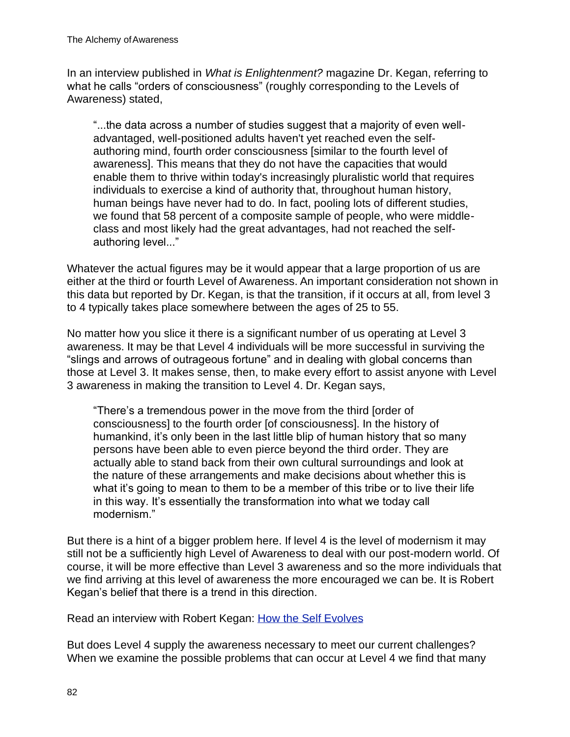In an interview published in *What is Enlightenment?* magazine Dr. Kegan, referring to what he calls "orders of consciousness" (roughly corresponding to the Levels of Awareness) stated,

"...the data across a number of studies suggest that a majority of even welladvantaged, well-positioned adults haven't yet reached even the selfauthoring mind, fourth order consciousness [similar to the fourth level of awareness]. This means that they do not have the capacities that would enable them to thrive within today's increasingly pluralistic world that requires individuals to exercise a kind of authority that, throughout human history, human beings have never had to do. In fact, pooling lots of different studies, we found that 58 percent of a composite sample of people, who were middleclass and most likely had the great advantages, had not reached the selfauthoring level..."

Whatever the actual figures may be it would appear that a large proportion of us are either at the third or fourth Level of Awareness. An important consideration not shown in this data but reported by Dr. Kegan, is that the transition, if it occurs at all, from level 3 to 4 typically takes place somewhere between the ages of 25 to 55.

No matter how you slice it there is a significant number of us operating at Level 3 awareness. It may be that Level 4 individuals will be more successful in surviving the "slings and arrows of outrageous fortune" and in dealing with global concerns than those at Level 3. It makes sense, then, to make every effort to assist anyone with Level 3 awareness in making the transition to Level 4. Dr. Kegan says,

"There's a tremendous power in the move from the third [order of consciousness] to the fourth order [of consciousness]. In the history of humankind, it's only been in the last little blip of human history that so many persons have been able to even pierce beyond the third order. They are actually able to stand back from their own cultural surroundings and look at the nature of these arrangements and make decisions about whether this is what it's going to mean to them to be a member of this tribe or to live their life in this way. It's essentially the transformation into what we today call modernism."

But there is a hint of a bigger problem here. If level 4 is the level of modernism it may still not be a sufficiently high Level of Awareness to deal with our post-modern world. Of course, it will be more effective than Level 3 awareness and so the more individuals that we find arriving at this level of awareness the more encouraged we can be. It is Robert Kegan's belief that there is a trend in this direction.

Read an interview with Robert Kegan: How the Self Evolves

But does Level 4 supply the awareness necessary to meet our current challenges? When we examine the possible problems that can occur at Level 4 we find that many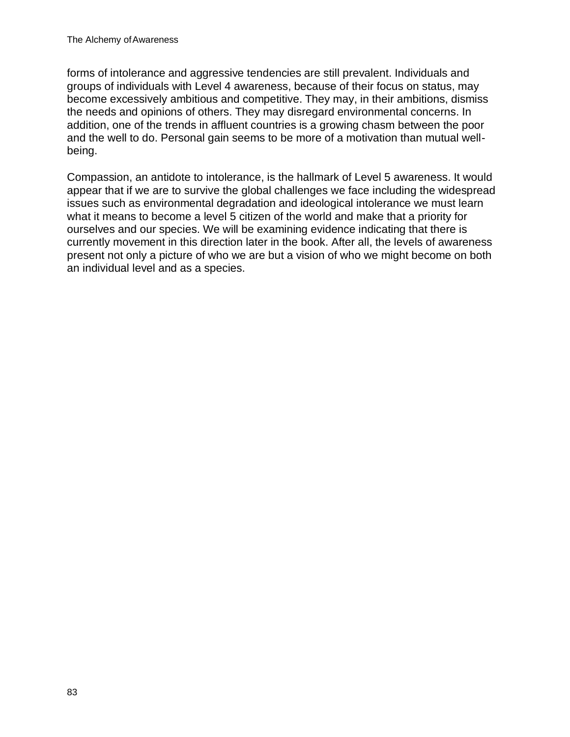forms of intolerance and aggressive tendencies are still prevalent. Individuals and groups of individuals with Level 4 awareness, because of their focus on status, may become excessively ambitious and competitive. They may, in their ambitions, dismiss the needs and opinions of others. They may disregard environmental concerns. In addition, one of the trends in affluent countries is a growing chasm between the poor and the well to do. Personal gain seems to be more of a motivation than mutual wellbeing.

Compassion, an antidote to intolerance, is the hallmark of Level 5 awareness. It would appear that if we are to survive the global challenges we face including the widespread issues such as environmental degradation and ideological intolerance we must learn what it means to become a level 5 citizen of the world and make that a priority for ourselves and our species. We will be examining evidence indicating that there is currently movement in this direction later in the book. After all, the levels of awareness present not only a picture of who we are but a vision of who we might become on both an individual level and as a species.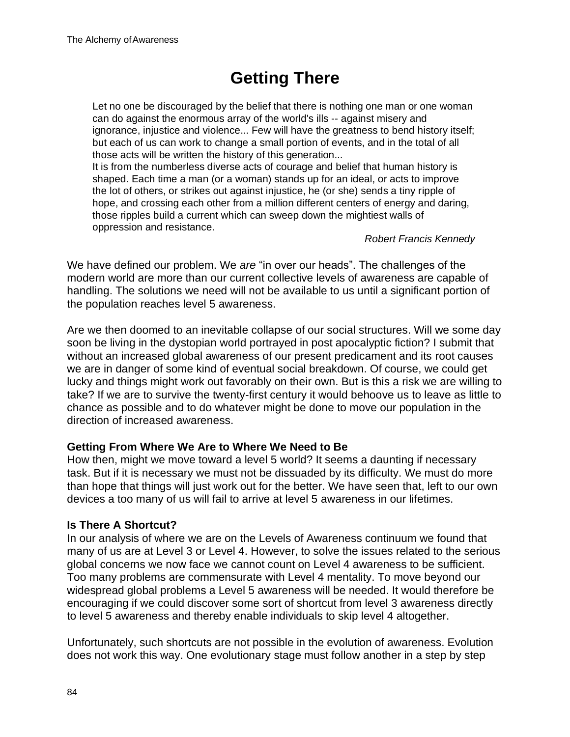# **Getting There**

Let no one be discouraged by the belief that there is nothing one man or one woman can do against the enormous array of the world's ills -- against misery and ignorance, injustice and violence... Few will have the greatness to bend history itself; but each of us can work to change a small portion of events, and in the total of all those acts will be written the history of this generation...

It is from the numberless diverse acts of courage and belief that human history is shaped. Each time a man (or a woman) stands up for an ideal, or acts to improve the lot of others, or strikes out against injustice, he (or she) sends a tiny ripple of hope, and crossing each other from a million different centers of energy and daring, those ripples build a current which can sweep down the mightiest walls of oppression and resistance.

#### *Robert Francis Kennedy*

We have defined our problem. We *are* "in over our heads". The challenges of the modern world are more than our current collective levels of awareness are capable of handling. The solutions we need will not be available to us until a significant portion of the population reaches level 5 awareness.

Are we then doomed to an inevitable collapse of our social structures. Will we some day soon be living in the dystopian world portrayed in post apocalyptic fiction? I submit that without an increased global awareness of our present predicament and its root causes we are in danger of some kind of eventual social breakdown. Of course, we could get lucky and things might work out favorably on their own. But is this a risk we are willing to take? If we are to survive the twenty-first century it would behoove us to leave as little to chance as possible and to do whatever might be done to move our population in the direction of increased awareness.

#### **Getting From Where We Are to Where We Need to Be**

How then, might we move toward a level 5 world? It seems a daunting if necessary task. But if it is necessary we must not be dissuaded by its difficulty. We must do more than hope that things will just work out for the better. We have seen that, left to our own devices a too many of us will fail to arrive at level 5 awareness in our lifetimes.

#### **Is There A Shortcut?**

In our analysis of where we are on the Levels of Awareness continuum we found that many of us are at Level 3 or Level 4. However, to solve the issues related to the serious global concerns we now face we cannot count on Level 4 awareness to be sufficient. Too many problems are commensurate with Level 4 mentality. To move beyond our widespread global problems a Level 5 awareness will be needed. It would therefore be encouraging if we could discover some sort of shortcut from level 3 awareness directly to level 5 awareness and thereby enable individuals to skip level 4 altogether.

Unfortunately, such shortcuts are not possible in the evolution of awareness. Evolution does not work this way. One evolutionary stage must follow another in a step by step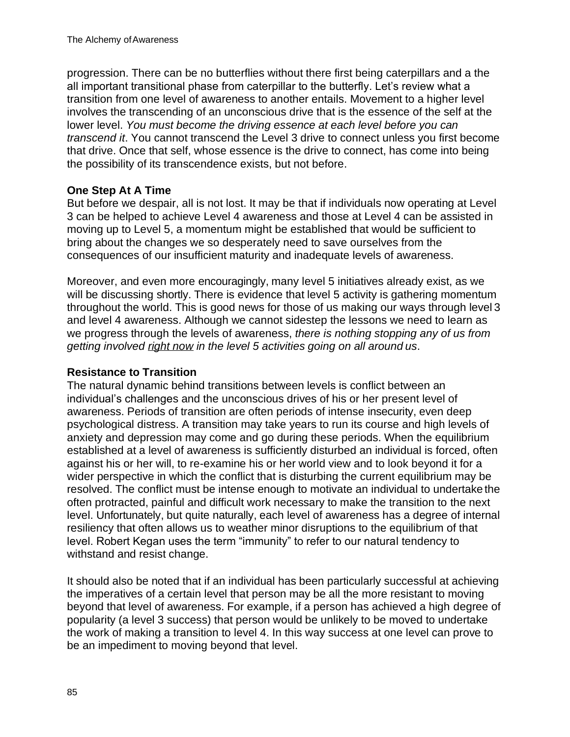progression. There can be no butterflies without there first being caterpillars and a the all important transitional phase from caterpillar to the butterfly. Let's review what a transition from one level of awareness to another entails. Movement to a higher level involves the transcending of an unconscious drive that is the essence of the self at the lower level. *You must become the driving essence at each level before you can transcend it*. You cannot transcend the Level 3 drive to connect unless you first become that drive. Once that self, whose essence is the drive to connect, has come into being the possibility of its transcendence exists, but not before.

#### **One Step At A Time**

But before we despair, all is not lost. It may be that if individuals now operating at Level 3 can be helped to achieve Level 4 awareness and those at Level 4 can be assisted in moving up to Level 5, a momentum might be established that would be sufficient to bring about the changes we so desperately need to save ourselves from the consequences of our insufficient maturity and inadequate levels of awareness.

Moreover, and even more encouragingly, many level 5 initiatives already exist, as we will be discussing shortly. There is evidence that level 5 activity is gathering momentum throughout the world. This is good news for those of us making our ways through level 3 and level 4 awareness. Although we cannot sidestep the lessons we need to learn as we progress through the levels of awareness, *there is nothing stopping any of us from getting involved right now in the level 5 activities going on all around us*.

#### **Resistance to Transition**

The natural dynamic behind transitions between levels is conflict between an individual's challenges and the unconscious drives of his or her present level of awareness. Periods of transition are often periods of intense insecurity, even deep psychological distress. A transition may take years to run its course and high levels of anxiety and depression may come and go during these periods. When the equilibrium established at a level of awareness is sufficiently disturbed an individual is forced, often against his or her will, to re-examine his or her world view and to look beyond it for a wider perspective in which the conflict that is disturbing the current equilibrium may be resolved. The conflict must be intense enough to motivate an individual to undertake the often protracted, painful and difficult work necessary to make the transition to the next level. Unfortunately, but quite naturally, each level of awareness has a degree of internal resiliency that often allows us to weather minor disruptions to the equilibrium of that level. Robert Kegan uses the term "immunity" to refer to our natural tendency to withstand and resist change.

It should also be noted that if an individual has been particularly successful at achieving the imperatives of a certain level that person may be all the more resistant to moving beyond that level of awareness. For example, if a person has achieved a high degree of popularity (a level 3 success) that person would be unlikely to be moved to undertake the work of making a transition to level 4. In this way success at one level can prove to be an impediment to moving beyond that level.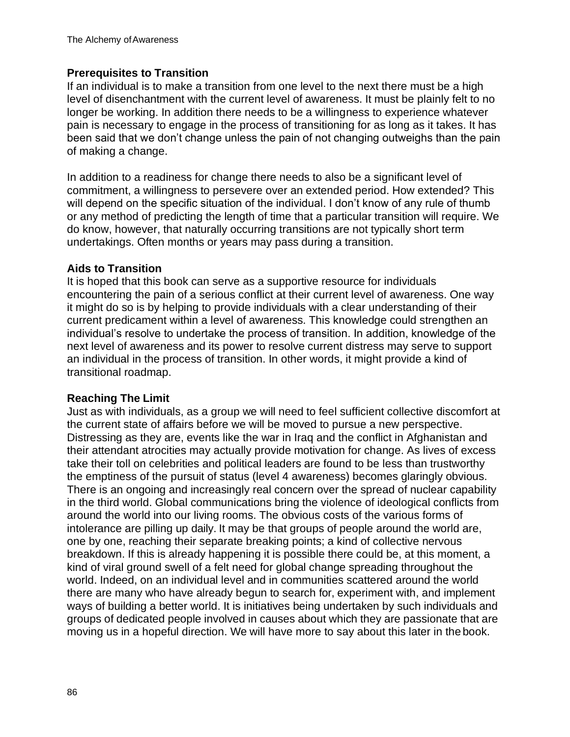### **Prerequisites to Transition**

If an individual is to make a transition from one level to the next there must be a high level of disenchantment with the current level of awareness. It must be plainly felt to no longer be working. In addition there needs to be a willingness to experience whatever pain is necessary to engage in the process of transitioning for as long as it takes. It has been said that we don't change unless the pain of not changing outweighs than the pain of making a change.

In addition to a readiness for change there needs to also be a significant level of commitment, a willingness to persevere over an extended period. How extended? This will depend on the specific situation of the individual. I don't know of any rule of thumb or any method of predicting the length of time that a particular transition will require. We do know, however, that naturally occurring transitions are not typically short term undertakings. Often months or years may pass during a transition.

#### **Aids to Transition**

It is hoped that this book can serve as a supportive resource for individuals encountering the pain of a serious conflict at their current level of awareness. One way it might do so is by helping to provide individuals with a clear understanding of their current predicament within a level of awareness. This knowledge could strengthen an individual's resolve to undertake the process of transition. In addition, knowledge of the next level of awareness and its power to resolve current distress may serve to support an individual in the process of transition. In other words, it might provide a kind of transitional roadmap.

#### **Reaching The Limit**

Just as with individuals, as a group we will need to feel sufficient collective discomfort at the current state of affairs before we will be moved to pursue a new perspective. Distressing as they are, events like the war in Iraq and the conflict in Afghanistan and their attendant atrocities may actually provide motivation for change. As lives of excess take their toll on celebrities and political leaders are found to be less than trustworthy the emptiness of the pursuit of status (level 4 awareness) becomes glaringly obvious. There is an ongoing and increasingly real concern over the spread of nuclear capability in the third world. Global communications bring the violence of ideological conflicts from around the world into our living rooms. The obvious costs of the various forms of intolerance are pilling up daily. It may be that groups of people around the world are, one by one, reaching their separate breaking points; a kind of collective nervous breakdown. If this is already happening it is possible there could be, at this moment, a kind of viral ground swell of a felt need for global change spreading throughout the world. Indeed, on an individual level and in communities scattered around the world there are many who have already begun to search for, experiment with, and implement ways of building a better world. It is initiatives being undertaken by such individuals and groups of dedicated people involved in causes about which they are passionate that are moving us in a hopeful direction. We will have more to say about this later in the book.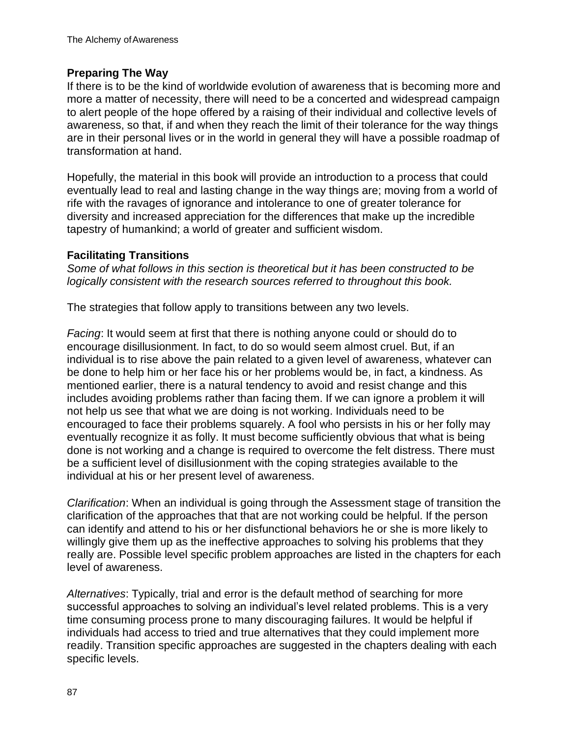#### **Preparing The Way**

If there is to be the kind of worldwide evolution of awareness that is becoming more and more a matter of necessity, there will need to be a concerted and widespread campaign to alert people of the hope offered by a raising of their individual and collective levels of awareness, so that, if and when they reach the limit of their tolerance for the way things are in their personal lives or in the world in general they will have a possible roadmap of transformation at hand.

Hopefully, the material in this book will provide an introduction to a process that could eventually lead to real and lasting change in the way things are; moving from a world of rife with the ravages of ignorance and intolerance to one of greater tolerance for diversity and increased appreciation for the differences that make up the incredible tapestry of humankind; a world of greater and sufficient wisdom.

#### **Facilitating Transitions**

*Some of what follows in this section is theoretical but it has been constructed to be logically consistent with the research sources referred to throughout this book.*

The strategies that follow apply to transitions between any two levels.

*Facing*: It would seem at first that there is nothing anyone could or should do to encourage disillusionment. In fact, to do so would seem almost cruel. But, if an individual is to rise above the pain related to a given level of awareness, whatever can be done to help him or her face his or her problems would be, in fact, a kindness. As mentioned earlier, there is a natural tendency to avoid and resist change and this includes avoiding problems rather than facing them. If we can ignore a problem it will not help us see that what we are doing is not working. Individuals need to be encouraged to face their problems squarely. A fool who persists in his or her folly may eventually recognize it as folly. It must become sufficiently obvious that what is being done is not working and a change is required to overcome the felt distress. There must be a sufficient level of disillusionment with the coping strategies available to the individual at his or her present level of awareness.

*Clarification*: When an individual is going through the Assessment stage of transition the clarification of the approaches that that are not working could be helpful. If the person can identify and attend to his or her disfunctional behaviors he or she is more likely to willingly give them up as the ineffective approaches to solving his problems that they really are. Possible level specific problem approaches are listed in the chapters for each level of awareness.

*Alternatives*: Typically, trial and error is the default method of searching for more successful approaches to solving an individual's level related problems. This is a very time consuming process prone to many discouraging failures. It would be helpful if individuals had access to tried and true alternatives that they could implement more readily. Transition specific approaches are suggested in the chapters dealing with each specific levels.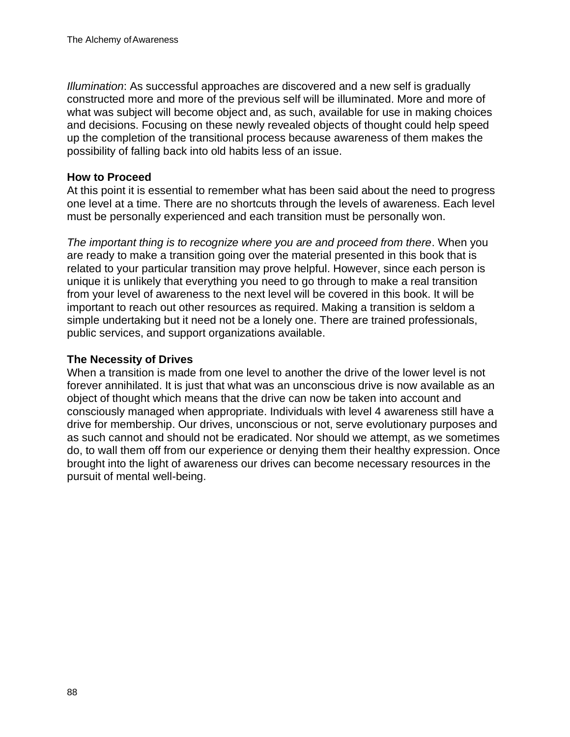*Illumination*: As successful approaches are discovered and a new self is gradually constructed more and more of the previous self will be illuminated. More and more of what was subject will become object and, as such, available for use in making choices and decisions. Focusing on these newly revealed objects of thought could help speed up the completion of the transitional process because awareness of them makes the possibility of falling back into old habits less of an issue.

#### **How to Proceed**

At this point it is essential to remember what has been said about the need to progress one level at a time. There are no shortcuts through the levels of awareness. Each level must be personally experienced and each transition must be personally won.

*The important thing is to recognize where you are and proceed from there*. When you are ready to make a transition going over the material presented in this book that is related to your particular transition may prove helpful. However, since each person is unique it is unlikely that everything you need to go through to make a real transition from your level of awareness to the next level will be covered in this book. It will be important to reach out other resources as required. Making a transition is seldom a simple undertaking but it need not be a lonely one. There are trained professionals, public services, and support organizations available.

#### **The Necessity of Drives**

When a transition is made from one level to another the drive of the lower level is not forever annihilated. It is just that what was an unconscious drive is now available as an object of thought which means that the drive can now be taken into account and consciously managed when appropriate. Individuals with level 4 awareness still have a drive for membership. Our drives, unconscious or not, serve evolutionary purposes and as such cannot and should not be eradicated. Nor should we attempt, as we sometimes do, to wall them off from our experience or denying them their healthy expression. Once brought into the light of awareness our drives can become necessary resources in the pursuit of mental well-being.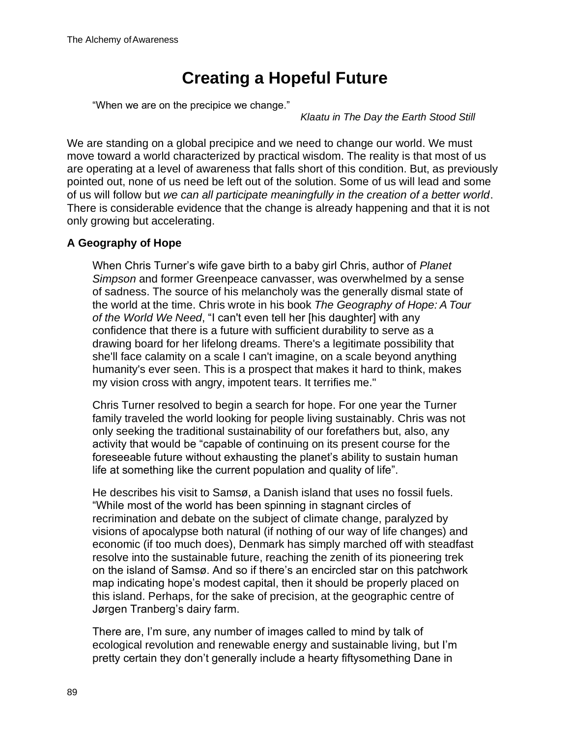# **Creating a Hopeful Future**

"When we are on the precipice we change."

*Klaatu in The Day the Earth Stood Still*

We are standing on a global precipice and we need to change our world. We must move toward a world characterized by practical wisdom. The reality is that most of us are operating at a level of awareness that falls short of this condition. But, as previously pointed out, none of us need be left out of the solution. Some of us will lead and some of us will follow but *we can all participate meaningfully in the creation of a better world*. There is considerable evidence that the change is already happening and that it is not only growing but accelerating.

### **A Geography of Hope**

When Chris Turner's wife gave birth to a baby girl Chris, author of *Planet Simpson* and former Greenpeace canvasser, was overwhelmed by a sense of sadness. The source of his melancholy was the generally dismal state of the world at the time. Chris wrote in his book *The Geography of Hope: A Tour of the World We Need*, "I can't even tell her [his daughter] with any confidence that there is a future with sufficient durability to serve as a drawing board for her lifelong dreams. There's a legitimate possibility that she'll face calamity on a scale I can't imagine, on a scale beyond anything humanity's ever seen. This is a prospect that makes it hard to think, makes my vision cross with angry, impotent tears. It terrifies me."

Chris Turner resolved to begin a search for hope. For one year the Turner family traveled the world looking for people living sustainably. Chris was not only seeking the traditional sustainability of our forefathers but, also, any activity that would be "capable of continuing on its present course for the foreseeable future without exhausting the planet's ability to sustain human life at something like the current population and quality of life".

He describes his visit to Samsø, a Danish island that uses no fossil fuels. "While most of the world has been spinning in stagnant circles of recrimination and debate on the subject of climate change, paralyzed by visions of apocalypse both natural (if nothing of our way of life changes) and economic (if too much does), Denmark has simply marched off with steadfast resolve into the sustainable future, reaching the zenith of its pioneering trek on the island of Samsø. And so if there's an encircled star on this patchwork map indicating hope's modest capital, then it should be properly placed on this island. Perhaps, for the sake of precision, at the geographic centre of Jørgen Tranberg's dairy farm.

There are, I'm sure, any number of images called to mind by talk of ecological revolution and renewable energy and sustainable living, but I'm pretty certain they don't generally include a hearty fiftysomething Dane in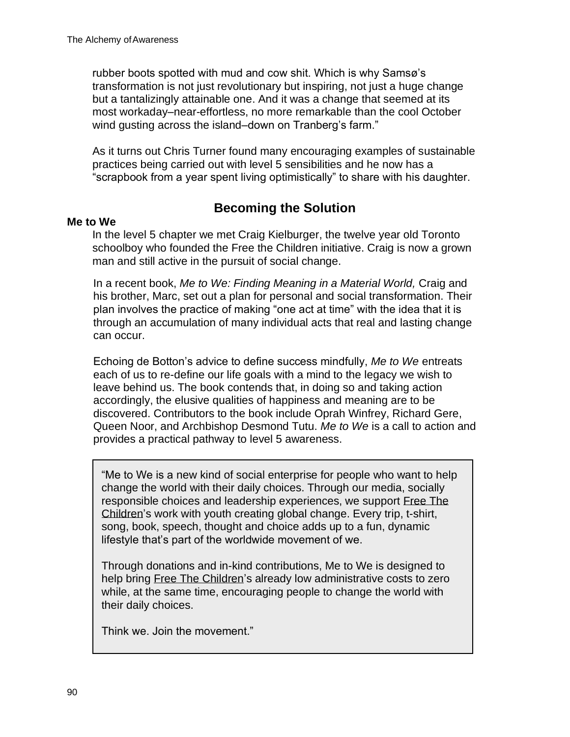rubber boots spotted with mud and cow shit. Which is why Samsø's transformation is not just revolutionary but inspiring, not just a huge change but a tantalizingly attainable one. And it was a change that seemed at its most workaday–near-effortless, no more remarkable than the cool October wind gusting across the island–down on Tranberg's farm."

As it turns out Chris Turner found many encouraging examples of sustainable practices being carried out with level 5 sensibilities and he now has a "scrapbook from a year spent living optimistically" to share with his daughter.

# **Becoming the Solution**

#### **Me to We**

In the level 5 chapter we met Craig Kielburger, the twelve year old Toronto schoolboy who founded the Free the Children initiative. Craig is now a grown man and still active in the pursuit of social change.

In a recent book, *Me to We: Finding Meaning in a Material World,* Craig and his brother, Marc, set out a plan for personal and social transformation. Their plan involves the practice of making "one act at time" with the idea that it is through an accumulation of many individual acts that real and lasting change can occur.

Echoing de Botton's advice to define success mindfully, *Me to We* entreats each of us to re-define our life goals with a mind to the legacy we wish to leave behind us. The book contends that, in doing so and taking action accordingly, the elusive qualities of happiness and meaning are to be discovered. Contributors to the book include Oprah Winfrey, Richard Gere, Queen Noor, and Archbishop Desmond Tutu. *Me to We* is a call to action and provides a practical pathway to level 5 awareness.

"Me to We is a new kind of social enterprise for people who want to help change the world with their daily choices. Through our media, socially responsible choices and leadership experiences, we support Free The Children's work with youth creating global change. Every trip, t-shirt, song, book, speech, thought and choice adds up to a fun, dynamic lifestyle that's part of the worldwide movement of we.

Through donations and in-kind contributions, Me to We is designed to help bring Free The Children's already low administrative costs to zero while, at the same time, encouraging people to change the world with their daily choices.

Think we. Join the movement."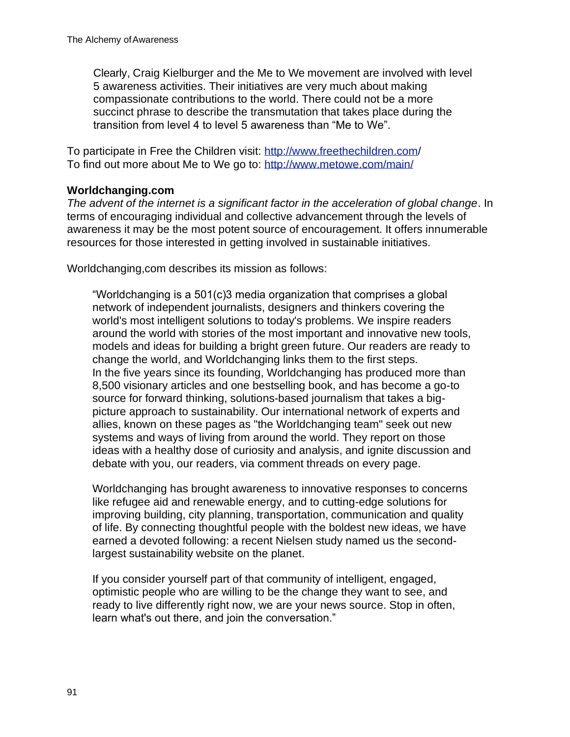Clearly, Craig Kielburger and the Me to We movement are involved with level 5 awareness activities. Their initiatives are very much about making compassionate contributions to the world. There could not be a more succinct phrase to describe the transmutation that takes place during the transition from level 4 to level 5 awareness than "Me to We".

To participate in Free the Children visit:<http://www.freethechildren.com/> To find out more about Me to We go to:<http://www.metowe.com/main/>

### **Worldchanging.com**

*The advent of the internet is a significant factor in the acceleration of global change*. In terms of encouraging individual and collective advancement through the levels of awareness it may be the most potent source of encouragement. It offers innumerable resources for those interested in getting involved in sustainable initiatives.

Worldchanging,com describes its mission as follows:

"Worldchanging is a 501(c)3 media organization that comprises a global network of independent journalists, designers and thinkers covering the world's most intelligent solutions to today's problems. We inspire readers around the world with stories of the most important and innovative new tools, models and ideas for building a bright green future. Our readers are ready to change the world, and Worldchanging links them to the first steps. In the five years since its founding, Worldchanging has produced more than 8,500 visionary articles and one bestselling book, and has become a go-to source for forward thinking, solutions-based journalism that takes a bigpicture approach to sustainability. Our international network of experts and allies, known on these pages as "the Worldchanging team" seek out new systems and ways of living from around the world. They report on those ideas with a healthy dose of curiosity and analysis, and ignite discussion and debate with you, our readers, via comment threads on every page.

Worldchanging has brought awareness to innovative responses to concerns like refugee aid and renewable energy, and to cutting-edge solutions for improving building, city planning, transportation, communication and quality of life. By connecting thoughtful people with the boldest new ideas, we have earned a devoted following: a recent Nielsen study named us the secondlargest sustainability website on the planet.

If you consider yourself part of that community of intelligent, engaged, optimistic people who are willing to be the change they want to see, and ready to live differently right now, we are your news source. Stop in often, learn what's out there, and join the conversation."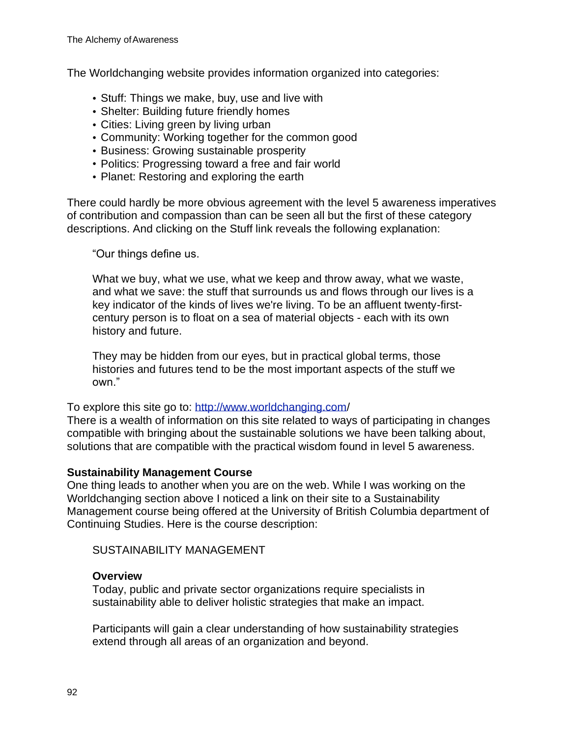The Worldchanging website provides information organized into categories:

- Stuff: Things we make, buy, use and live with
- Shelter: Building future friendly homes
- Cities: Living green by living urban
- Community: Working together for the common good
- Business: Growing sustainable prosperity
- Politics: Progressing toward a free and fair world
- Planet: Restoring and exploring the earth

There could hardly be more obvious agreement with the level 5 awareness imperatives of contribution and compassion than can be seen all but the first of these category descriptions. And clicking on the Stuff link reveals the following explanation:

"Our things define us.

What we buy, what we use, what we keep and throw away, what we waste, and what we save: the stuff that surrounds us and flows through our lives is a key indicator of the kinds of lives we're living. To be an affluent twenty-firstcentury person is to float on a sea of material objects - each with its own history and future.

They may be hidden from our eyes, but in practical global terms, those histories and futures tend to be the most important aspects of the stuff we own."

#### To explore this site go to:<http://www.worldchanging.com/>

There is a wealth of information on this site related to ways of participating in changes compatible with bringing about the sustainable solutions we have been talking about, solutions that are compatible with the practical wisdom found in level 5 awareness.

#### **Sustainability Management Course**

One thing leads to another when you are on the web. While I was working on the Worldchanging section above I noticed a link on their site to a Sustainability Management course being offered at the University of British Columbia department of Continuing Studies. Here is the course description:

SUSTAINABILITY MANAGEMENT

#### **Overview**

Today, public and private sector organizations require specialists in sustainability able to deliver holistic strategies that make an impact.

Participants will gain a clear understanding of how sustainability strategies extend through all areas of an organization and beyond.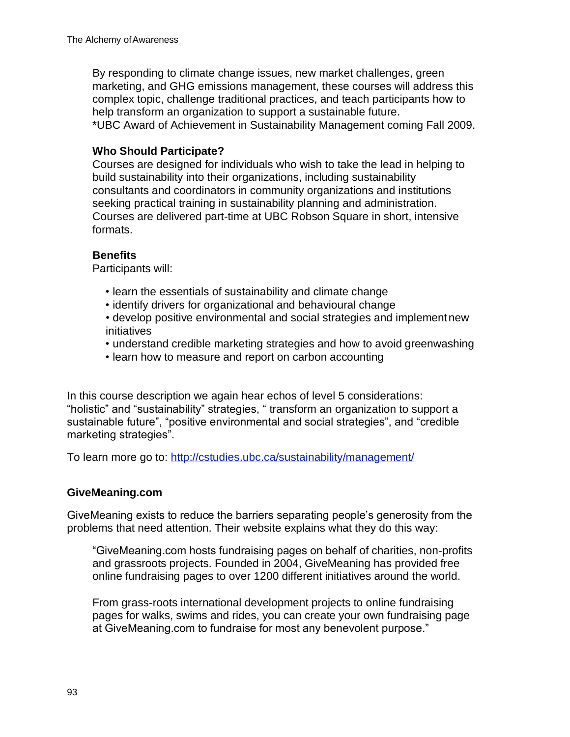By responding to climate change issues, new market challenges, green marketing, and GHG emissions management, these courses will address this complex topic, challenge traditional practices, and teach participants how to help transform an organization to support a sustainable future. \*UBC Award of Achievement in Sustainability Management coming Fall 2009.

#### **Who Should Participate?**

Courses are designed for individuals who wish to take the lead in helping to build sustainability into their organizations, including sustainability consultants and coordinators in community organizations and institutions seeking practical training in sustainability planning and administration. Courses are delivered part-time at UBC Robson Square in short, intensive formats.

#### **Benefits**

Participants will:

- learn the essentials of sustainability and climate change
- identify drivers for organizational and behavioural change
- develop positive environmental and social strategies and implementnew initiatives
- understand credible marketing strategies and how to avoid greenwashing
- learn how to measure and report on carbon accounting

In this course description we again hear echos of level 5 considerations: "holistic" and "sustainability" strategies, " transform an organization to support a sustainable future", "positive environmental and social strategies", and "credible marketing strategies".

To learn more go to:<http://cstudies.ubc.ca/sustainability/management/>

#### **GiveMeaning.com**

GiveMeaning exists to reduce the barriers separating people's generosity from the problems that need attention. Their website explains what they do this way:

"GiveMeaning.com hosts fundraising pages on behalf of charities, non-profits and grassroots projects. Founded in 2004, GiveMeaning has provided free online fundraising pages to over 1200 different initiatives around the world.

From grass-roots international development projects to online fundraising pages for walks, swims and rides, you can create your own fundraising page at GiveMeaning.com to fundraise for most any benevolent purpose."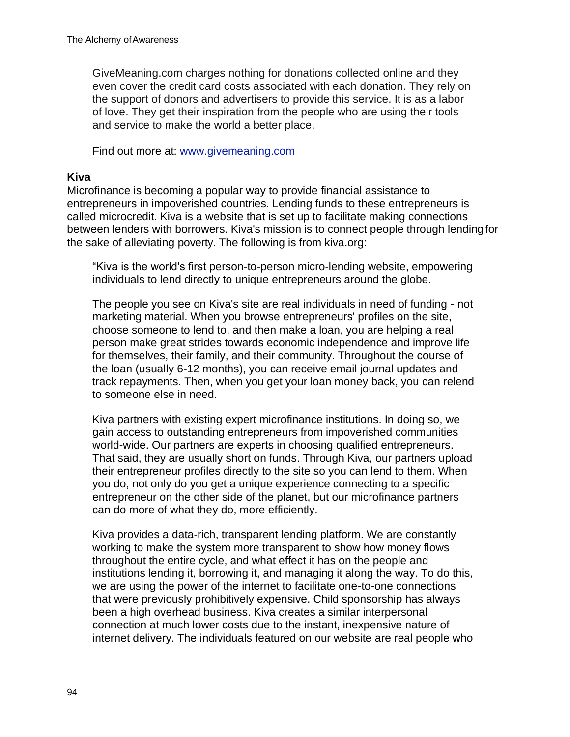GiveMeaning.com charges nothing for donations collected online and they even cover the credit card costs associated with each donation. They rely on the support of donors and advertisers to provide this service. It is as a labor of love. They get their inspiration from the people who are using their tools and service to make the world a better place.

Find out more at: [www.givemeaning.com](http://www.givemeaning.com/)

#### **Kiva**

Microfinance is becoming a popular way to provide financial assistance to entrepreneurs in impoverished countries. Lending funds to these entrepreneurs is called microcredit. Kiva is a website that is set up to facilitate making connections between lenders with borrowers. Kiva's mission is to connect people through lending for the sake of alleviating poverty. The following is from kiva.org:

"Kiva is the world's first person-to-person micro-lending website, empowering individuals to lend directly to unique entrepreneurs around the globe.

The people you see on Kiva's site are real individuals in need of funding - not marketing material. When you browse entrepreneurs' profiles on the site, choose someone to lend to, and then make a loan, you are helping a real person make great strides towards economic independence and improve life for themselves, their family, and their community. Throughout the course of the loan (usually 6-12 months), you can receive email journal updates and track repayments. Then, when you get your loan money back, you can relend to someone else in need.

Kiva partners with existing expert microfinance institutions. In doing so, we gain access to outstanding entrepreneurs from impoverished communities world-wide. Our partners are experts in choosing qualified entrepreneurs. That said, they are usually short on funds. Through Kiva, our partners upload their entrepreneur profiles directly to the site so you can lend to them. When you do, not only do you get a unique experience connecting to a specific entrepreneur on the other side of the planet, but our microfinance partners can do more of what they do, more efficiently.

Kiva provides a data-rich, transparent lending platform. We are constantly working to make the system more transparent to show how money flows throughout the entire cycle, and what effect it has on the people and institutions lending it, borrowing it, and managing it along the way. To do this, we are using the power of the internet to facilitate one-to-one connections that were previously prohibitively expensive. Child sponsorship has always been a high overhead business. Kiva creates a similar interpersonal connection at much lower costs due to the instant, inexpensive nature of internet delivery. The individuals featured on our website are real people who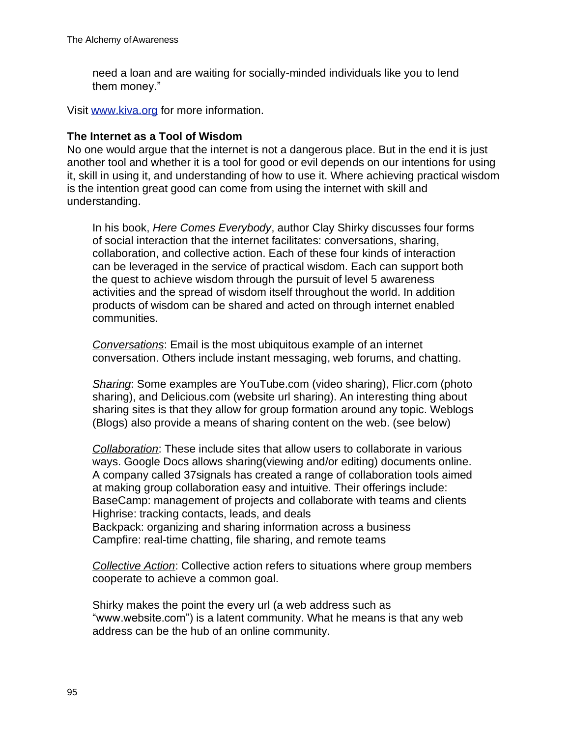need a loan and are waiting for socially-minded individuals like you to lend them money."

Visit [www.kiva.org](http://www.kiva.org/) for more information.

#### **The Internet as a Tool of Wisdom**

No one would argue that the internet is not a dangerous place. But in the end it is just another tool and whether it is a tool for good or evil depends on our intentions for using it, skill in using it, and understanding of how to use it. Where achieving practical wisdom is the intention great good can come from using the internet with skill and understanding.

In his book, *Here Comes Everybody*, author Clay Shirky discusses four forms of social interaction that the internet facilitates: conversations, sharing, collaboration, and collective action. Each of these four kinds of interaction can be leveraged in the service of practical wisdom. Each can support both the quest to achieve wisdom through the pursuit of level 5 awareness activities and the spread of wisdom itself throughout the world. In addition products of wisdom can be shared and acted on through internet enabled communities.

*Conversations*: Email is the most ubiquitous example of an internet conversation. Others include instant messaging, web forums, and chatting.

*Sharing*: Some examples are YouTube.com (video sharing), Flicr.com (photo sharing), and Delicious.com (website url sharing). An interesting thing about sharing sites is that they allow for group formation around any topic. Weblogs (Blogs) also provide a means of sharing content on the web. (see below)

*Collaboration*: These include sites that allow users to collaborate in various ways. Google Docs allows sharing(viewing and/or editing) documents online. A company called 37signals has created a range of collaboration tools aimed at making group collaboration easy and intuitive. Their offerings include: BaseCamp: management of projects and collaborate with teams and clients Highrise: tracking contacts, leads, and deals Backpack: organizing and sharing information across a business Campfire: real-time chatting, file sharing, and remote teams

*Collective Action*: Collective action refers to situations where group members cooperate to achieve a common goal.

Shirky makes the point the every url (a web address such as ["www.website.com"\) i](http://www.website.com/)s a latent community. What he means is that any web address can be the hub of an online community.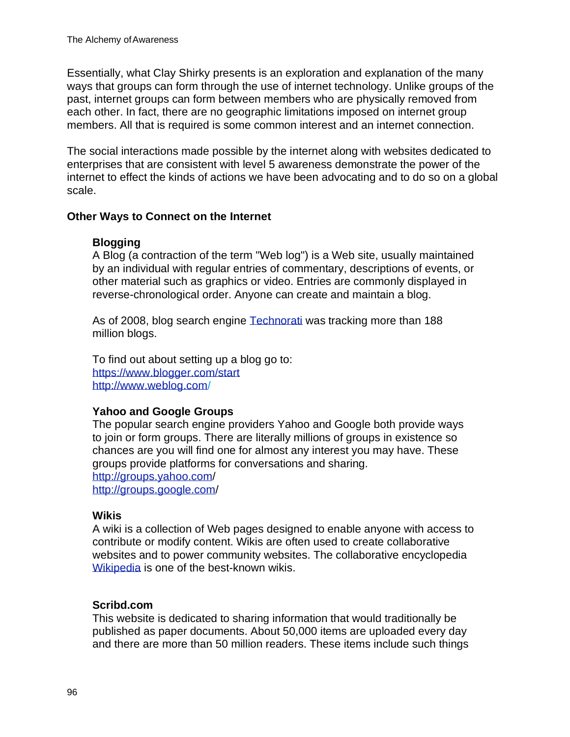Essentially, what Clay Shirky presents is an exploration and explanation of the many ways that groups can form through the use of internet technology. Unlike groups of the past, internet groups can form between members who are physically removed from each other. In fact, there are no geographic limitations imposed on internet group members. All that is required is some common interest and an internet connection.

The social interactions made possible by the internet along with websites dedicated to enterprises that are consistent with level 5 awareness demonstrate the power of the internet to effect the kinds of actions we have been advocating and to do so on a global scale.

#### **Other Ways to Connect on the Internet**

#### **Blogging**

A Blog (a contraction of the term "Web log") is a Web site, usually maintained by an individual with regular entries of commentary, descriptions of events, or other material such as graphics or video. Entries are commonly displayed in reverse-chronological order. Anyone can create and maintain a blog.

As of 2008, blog search engine Technorati was tracking more than 188 million blogs.

To find out about setting up a blog go to: [https://www.](http://www.blogger.com/start)blogge[r.com/start](http://www.blogger.com/start) <http://www.weblog.com/>

#### **Yahoo and Google Groups**

The popular search engine providers Yahoo and Google both provide ways to join or form groups. There are literally millions of groups in existence so chances are you will find one for almost any interest you may have. These groups provide platforms for conversations and sharing. <http://groups.yahoo.com/> <http://groups.google.com/>

#### **Wikis**

A wiki is a collection of Web pages designed to enable anyone with access to contribute or modify content. Wikis are often used to create collaborative websites and to power community websites. The collaborative encyclopedia Wikipedia is one of the best-known wikis.

#### **Scribd.com**

This website is dedicated to sharing information that would traditionally be published as paper documents. About 50,000 items are uploaded every day and there are more than 50 million readers. These items include such things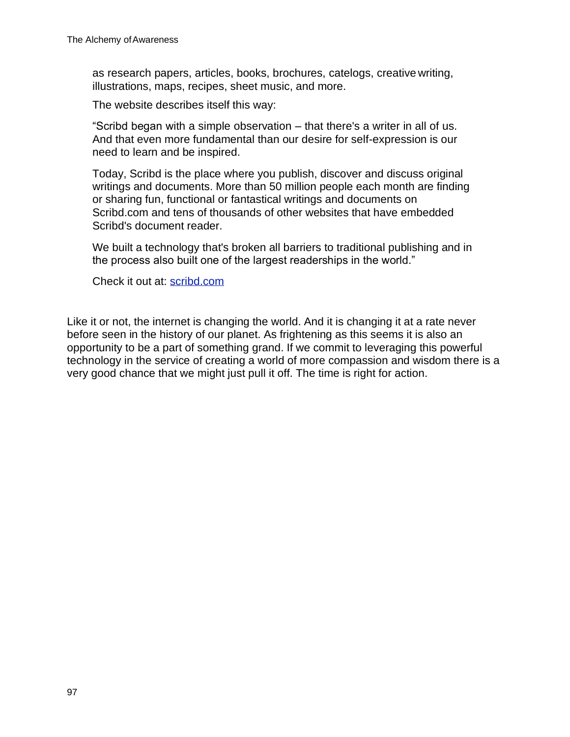as research papers, articles, books, brochures, catelogs, creative writing, illustrations, maps, recipes, sheet music, and more.

The website describes itself this way:

"Scribd began with a simple observation – that there's a writer in all of us. And that even more fundamental than our desire for self-expression is our need to learn and be inspired.

Today, Scribd is the place where you publish, discover and discuss original writings and documents. More than 50 million people each month are finding or sharing fun, functional or fantastical writings and documents on Scribd.com and tens of thousands of other websites that have embedded Scribd's document reader.

We built a technology that's broken all barriers to traditional publishing and in the process also built one of the largest readerships in the world."

Check it out at: scribd.com

Like it or not, the internet is changing the world. And it is changing it at a rate never before seen in the history of our planet. As frightening as this seems it is also an opportunity to be a part of something grand. If we commit to leveraging this powerful technology in the service of creating a world of more compassion and wisdom there is a very good chance that we might just pull it off. The time is right for action.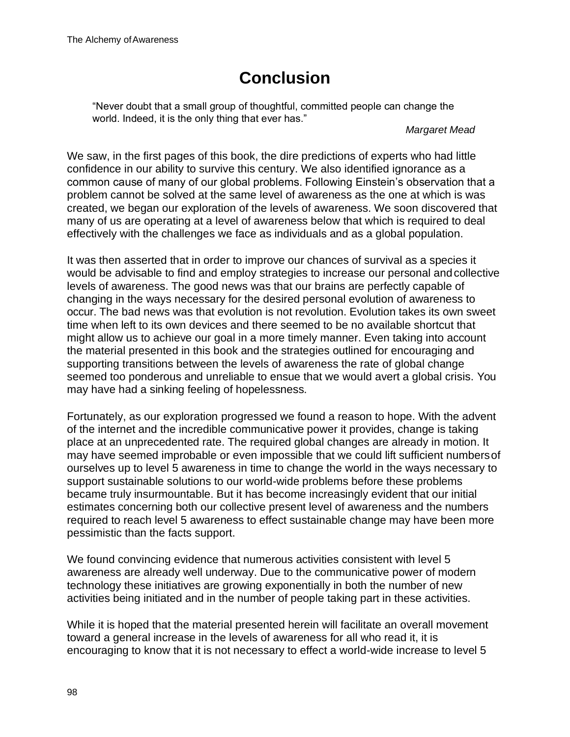# **Conclusion**

"Never doubt that a small group of thoughtful, committed people can change the world. Indeed, it is the only thing that ever has."

#### *Margaret Mead*

We saw, in the first pages of this book, the dire predictions of experts who had little confidence in our ability to survive this century. We also identified ignorance as a common cause of many of our global problems. Following Einstein's observation that a problem cannot be solved at the same level of awareness as the one at which is was created, we began our exploration of the levels of awareness. We soon discovered that many of us are operating at a level of awareness below that which is required to deal effectively with the challenges we face as individuals and as a global population.

It was then asserted that in order to improve our chances of survival as a species it would be advisable to find and employ strategies to increase our personal andcollective levels of awareness. The good news was that our brains are perfectly capable of changing in the ways necessary for the desired personal evolution of awareness to occur. The bad news was that evolution is not revolution. Evolution takes its own sweet time when left to its own devices and there seemed to be no available shortcut that might allow us to achieve our goal in a more timely manner. Even taking into account the material presented in this book and the strategies outlined for encouraging and supporting transitions between the levels of awareness the rate of global change seemed too ponderous and unreliable to ensue that we would avert a global crisis. You may have had a sinking feeling of hopelessness.

Fortunately, as our exploration progressed we found a reason to hope. With the advent of the internet and the incredible communicative power it provides, change is taking place at an unprecedented rate. The required global changes are already in motion. It may have seemed improbable or even impossible that we could lift sufficient numbersof ourselves up to level 5 awareness in time to change the world in the ways necessary to support sustainable solutions to our world-wide problems before these problems became truly insurmountable. But it has become increasingly evident that our initial estimates concerning both our collective present level of awareness and the numbers required to reach level 5 awareness to effect sustainable change may have been more pessimistic than the facts support.

We found convincing evidence that numerous activities consistent with level 5 awareness are already well underway. Due to the communicative power of modern technology these initiatives are growing exponentially in both the number of new activities being initiated and in the number of people taking part in these activities.

While it is hoped that the material presented herein will facilitate an overall movement toward a general increase in the levels of awareness for all who read it, it is encouraging to know that it is not necessary to effect a world-wide increase to level 5